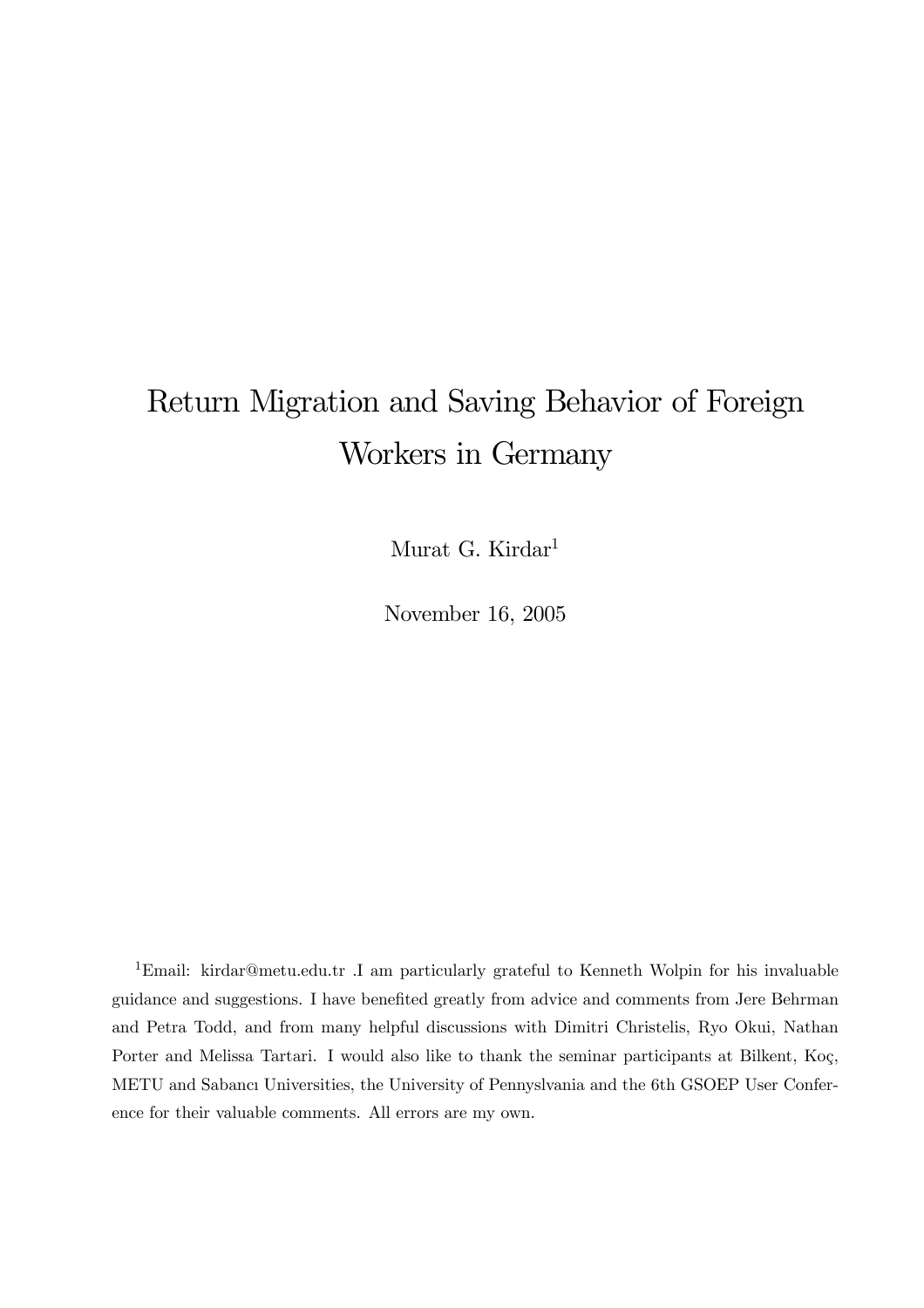# Return Migration and Saving Behavior of Foreign Workers in Germany

Murat G. Kirdar<sup>1</sup>

November 16, 2005

1Email: kirdar@metu.edu.tr .I am particularly grateful to Kenneth Wolpin for his invaluable guidance and suggestions. I have benefited greatly from advice and comments from Jere Behrman and Petra Todd, and from many helpful discussions with Dimitri Christelis, Ryo Okui, Nathan Porter and Melissa Tartari. I would also like to thank the seminar participants at Bilkent, Koç, METU and Sabancı Universities, the University of Pennyslvania and the 6th GSOEP User Conference for their valuable comments. All errors are my own.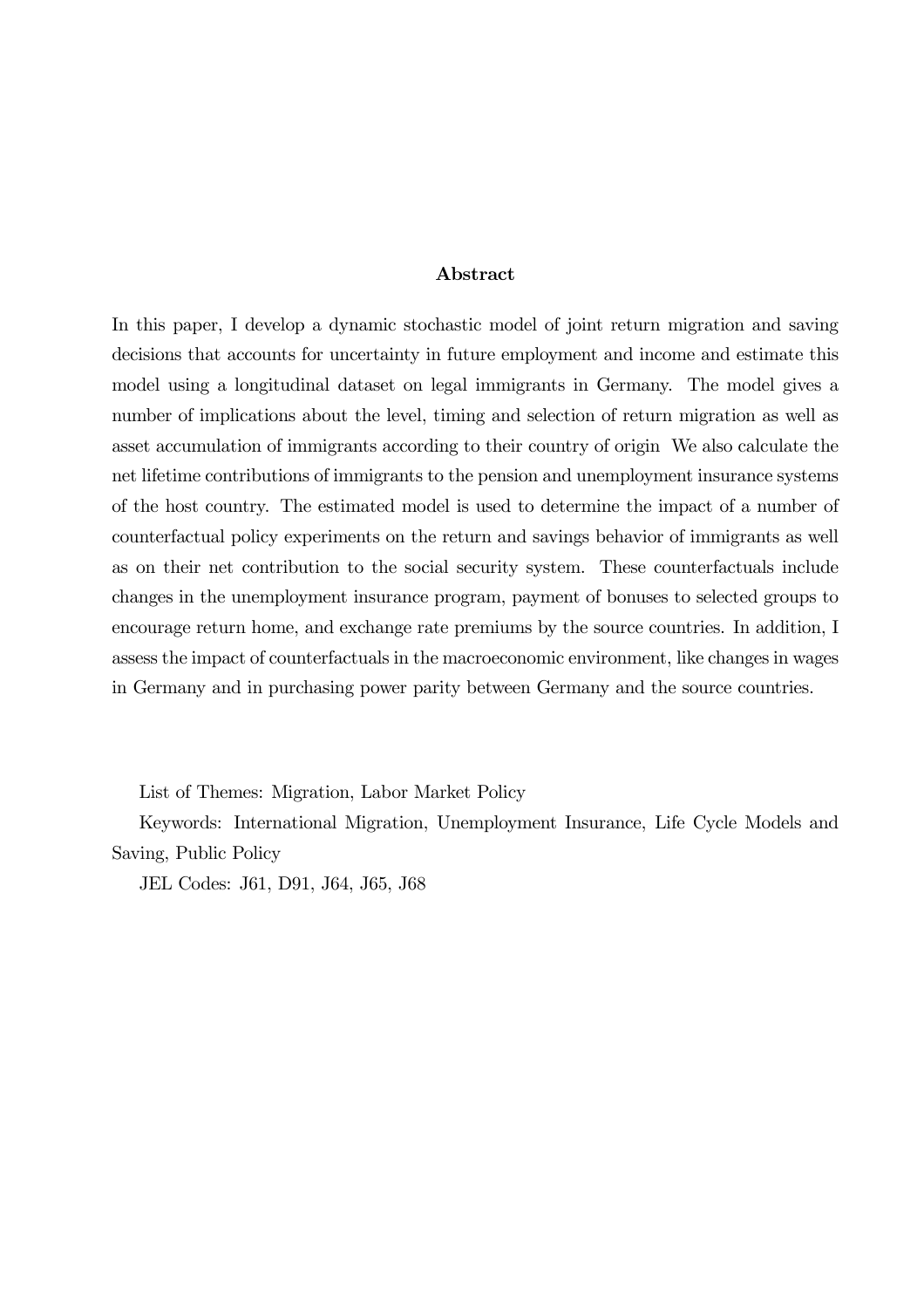### Abstract

In this paper, I develop a dynamic stochastic model of joint return migration and saving decisions that accounts for uncertainty in future employment and income and estimate this model using a longitudinal dataset on legal immigrants in Germany. The model gives a number of implications about the level, timing and selection of return migration as well as asset accumulation of immigrants according to their country of origin We also calculate the net lifetime contributions of immigrants to the pension and unemployment insurance systems of the host country. The estimated model is used to determine the impact of a number of counterfactual policy experiments on the return and savings behavior of immigrants as well as on their net contribution to the social security system. These counterfactuals include changes in the unemployment insurance program, payment of bonuses to selected groups to encourage return home, and exchange rate premiums by the source countries. In addition, I assess the impact of counterfactuals in the macroeconomic environment, like changes in wages in Germany and in purchasing power parity between Germany and the source countries.

List of Themes: Migration, Labor Market Policy

Keywords: International Migration, Unemployment Insurance, Life Cycle Models and Saving, Public Policy

JEL Codes: J61, D91, J64, J65, J68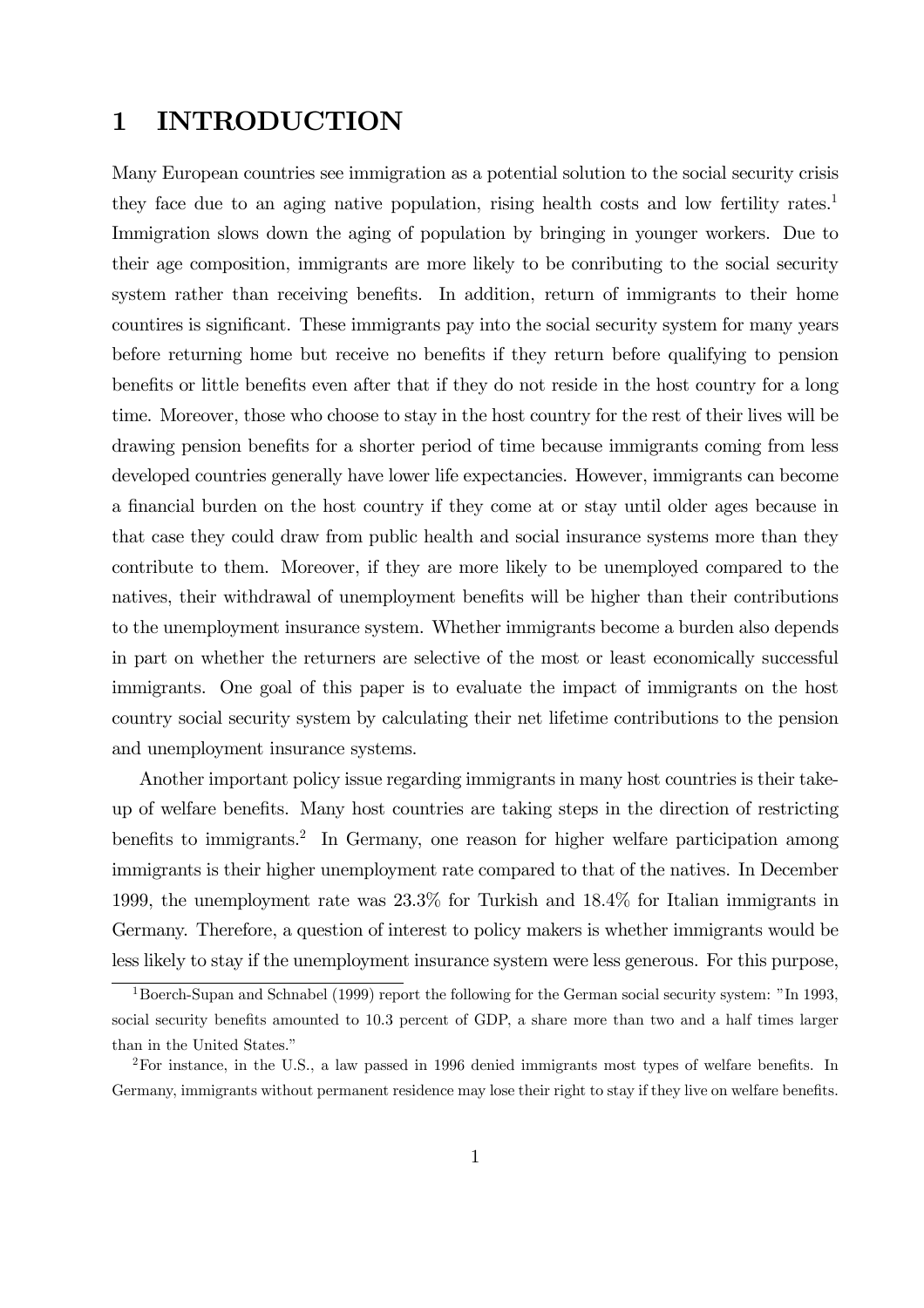# 1 INTRODUCTION

Many European countries see immigration as a potential solution to the social security crisis they face due to an aging native population, rising health costs and low fertility rates.<sup>1</sup> Immigration slows down the aging of population by bringing in younger workers. Due to their age composition, immigrants are more likely to be conributing to the social security system rather than receiving benefits. In addition, return of immigrants to their home countires is significant. These immigrants pay into the social security system for many years before returning home but receive no benefits if they return before qualifying to pension benefits or little benefits even after that if they do not reside in the host country for a long time. Moreover, those who choose to stay in the host country for the rest of their lives will be drawing pension benefits for a shorter period of time because immigrants coming from less developed countries generally have lower life expectancies. However, immigrants can become a financial burden on the host country if they come at or stay until older ages because in that case they could draw from public health and social insurance systems more than they contribute to them. Moreover, if they are more likely to be unemployed compared to the natives, their withdrawal of unemployment benefits will be higher than their contributions to the unemployment insurance system. Whether immigrants become a burden also depends in part on whether the returners are selective of the most or least economically successful immigrants. One goal of this paper is to evaluate the impact of immigrants on the host country social security system by calculating their net lifetime contributions to the pension and unemployment insurance systems.

Another important policy issue regarding immigrants in many host countries is their takeup of welfare benefits. Many host countries are taking steps in the direction of restricting benefits to immigrants.<sup>2</sup> In Germany, one reason for higher welfare participation among immigrants is their higher unemployment rate compared to that of the natives. In December 1999, the unemployment rate was 23.3% for Turkish and 18.4% for Italian immigrants in Germany. Therefore, a question of interest to policy makers is whether immigrants would be less likely to stay if the unemployment insurance system were less generous. For this purpose,

<sup>&</sup>lt;sup>1</sup>Boerch-Supan and Schnabel (1999) report the following for the German social security system: "In 1993, social security benefits amounted to 10.3 percent of GDP, a share more than two and a half times larger than in the United States."

<sup>&</sup>lt;sup>2</sup>For instance, in the U.S., a law passed in 1996 denied immigrants most types of welfare benefits. In Germany, immigrants without permanent residence may lose their right to stay if they live on welfare benefits.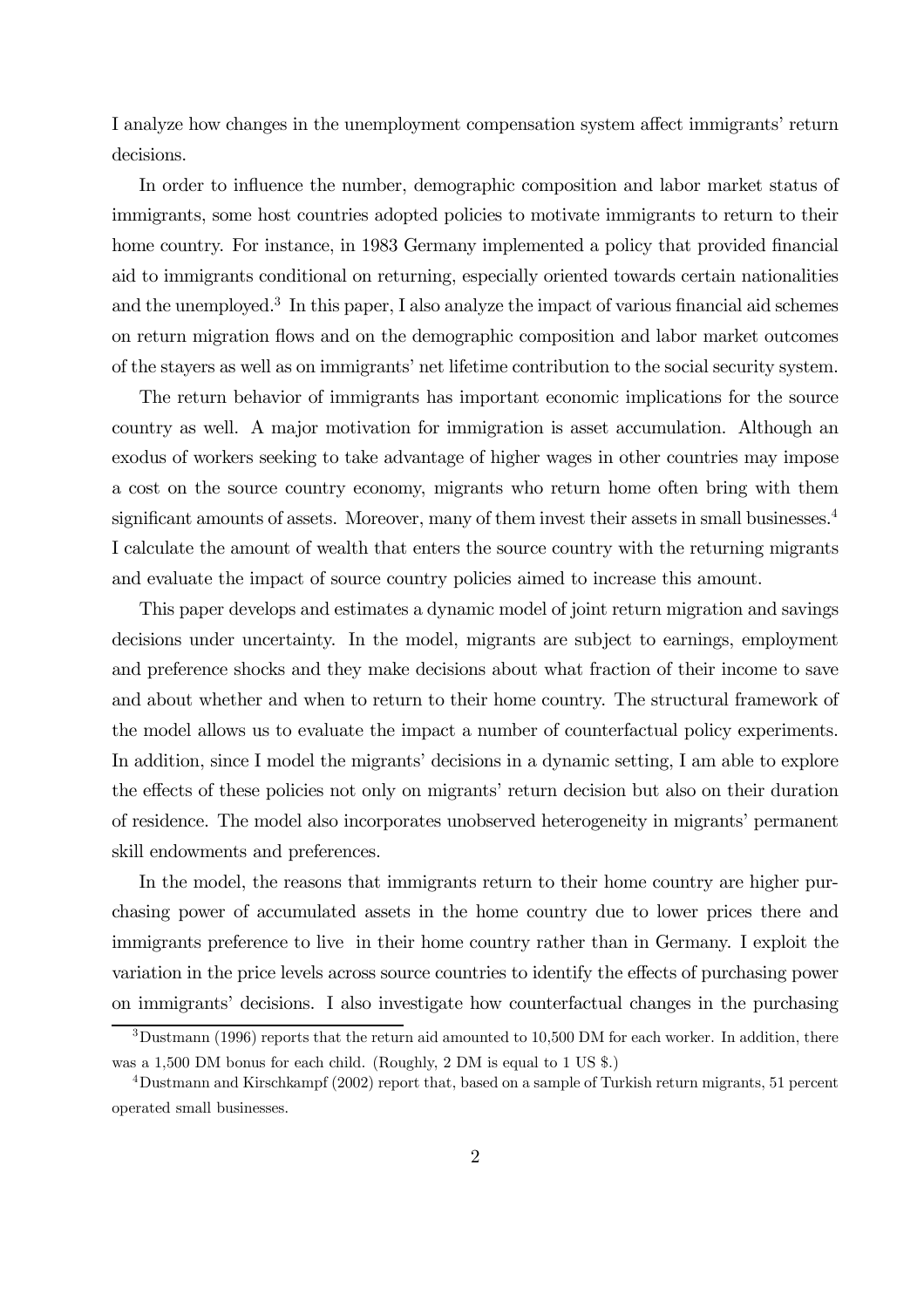I analyze how changes in the unemployment compensation system affect immigrants' return decisions.

In order to influence the number, demographic composition and labor market status of immigrants, some host countries adopted policies to motivate immigrants to return to their home country. For instance, in 1983 Germany implemented a policy that provided financial aid to immigrants conditional on returning, especially oriented towards certain nationalities and the unemployed.<sup>3</sup> In this paper, I also analyze the impact of various financial aid schemes on return migration flows and on the demographic composition and labor market outcomes of the stayers as well as on immigrants' net lifetime contribution to the social security system.

The return behavior of immigrants has important economic implications for the source country as well. A major motivation for immigration is asset accumulation. Although an exodus of workers seeking to take advantage of higher wages in other countries may impose a cost on the source country economy, migrants who return home often bring with them significant amounts of assets. Moreover, many of them invest their assets in small businesses.<sup>4</sup> I calculate the amount of wealth that enters the source country with the returning migrants and evaluate the impact of source country policies aimed to increase this amount.

This paper develops and estimates a dynamic model of joint return migration and savings decisions under uncertainty. In the model, migrants are subject to earnings, employment and preference shocks and they make decisions about what fraction of their income to save and about whether and when to return to their home country. The structural framework of the model allows us to evaluate the impact a number of counterfactual policy experiments. In addition, since I model the migrants' decisions in a dynamic setting, I am able to explore the effects of these policies not only on migrants' return decision but also on their duration of residence. The model also incorporates unobserved heterogeneity in migrants' permanent skill endowments and preferences.

In the model, the reasons that immigrants return to their home country are higher purchasing power of accumulated assets in the home country due to lower prices there and immigrants preference to live in their home country rather than in Germany. I exploit the variation in the price levels across source countries to identify the effects of purchasing power on immigrants' decisions. I also investigate how counterfactual changes in the purchasing

 $3$ Dustmann (1996) reports that the return aid amounted to 10,500 DM for each worker. In addition, there was a 1,500 DM bonus for each child. (Roughly, 2 DM is equal to 1 US \$.)

<sup>4</sup>Dustmann and Kirschkampf (2002) report that, based on a sample of Turkish return migrants, 51 percent operated small businesses.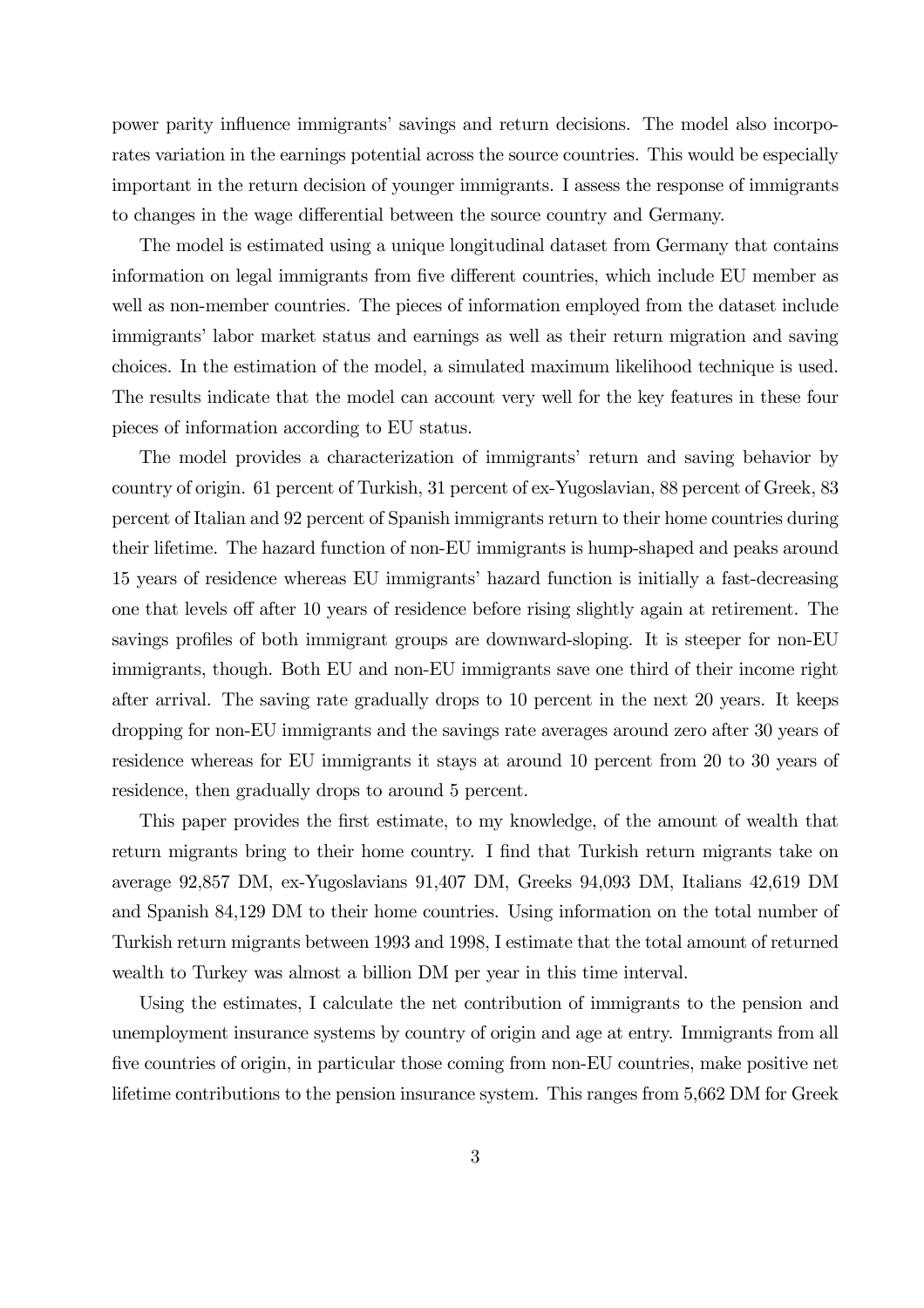power parity influence immigrants' savings and return decisions. The model also incorporates variation in the earnings potential across the source countries. This would be especially important in the return decision of younger immigrants. I assess the response of immigrants to changes in the wage differential between the source country and Germany.

The model is estimated using a unique longitudinal dataset from Germany that contains information on legal immigrants from five different countries, which include EU member as well as non-member countries. The pieces of information employed from the dataset include immigrants' labor market status and earnings as well as their return migration and saving choices. In the estimation of the model, a simulated maximum likelihood technique is used. The results indicate that the model can account very well for the key features in these four pieces of information according to EU status.

The model provides a characterization of immigrants' return and saving behavior by country of origin. 61 percent of Turkish, 31 percent of ex-Yugoslavian, 88 percent of Greek, 83 percent of Italian and 92 percent of Spanish immigrants return to their home countries during their lifetime. The hazard function of non-EU immigrants is hump-shaped and peaks around 15 years of residence whereas EU immigrants' hazard function is initially a fast-decreasing one that levels off after 10 years of residence before rising slightly again at retirement. The savings profiles of both immigrant groups are downward-sloping. It is steeper for non-EU immigrants, though. Both EU and non-EU immigrants save one third of their income right after arrival. The saving rate gradually drops to 10 percent in the next 20 years. It keeps dropping for non-EU immigrants and the savings rate averages around zero after 30 years of residence whereas for EU immigrants it stays at around 10 percent from 20 to 30 years of residence, then gradually drops to around 5 percent.

This paper provides the first estimate, to my knowledge, of the amount of wealth that return migrants bring to their home country. I find that Turkish return migrants take on average 92,857 DM, ex-Yugoslavians 91,407 DM, Greeks 94,093 DM, Italians 42,619 DM and Spanish 84,129 DM to their home countries. Using information on the total number of Turkish return migrants between 1993 and 1998, I estimate that the total amount of returned wealth to Turkey was almost a billion DM per year in this time interval.

Using the estimates, I calculate the net contribution of immigrants to the pension and unemployment insurance systems by country of origin and age at entry. Immigrants from all five countries of origin, in particular those coming from non-EU countries, make positive net lifetime contributions to the pension insurance system. This ranges from 5,662 DM for Greek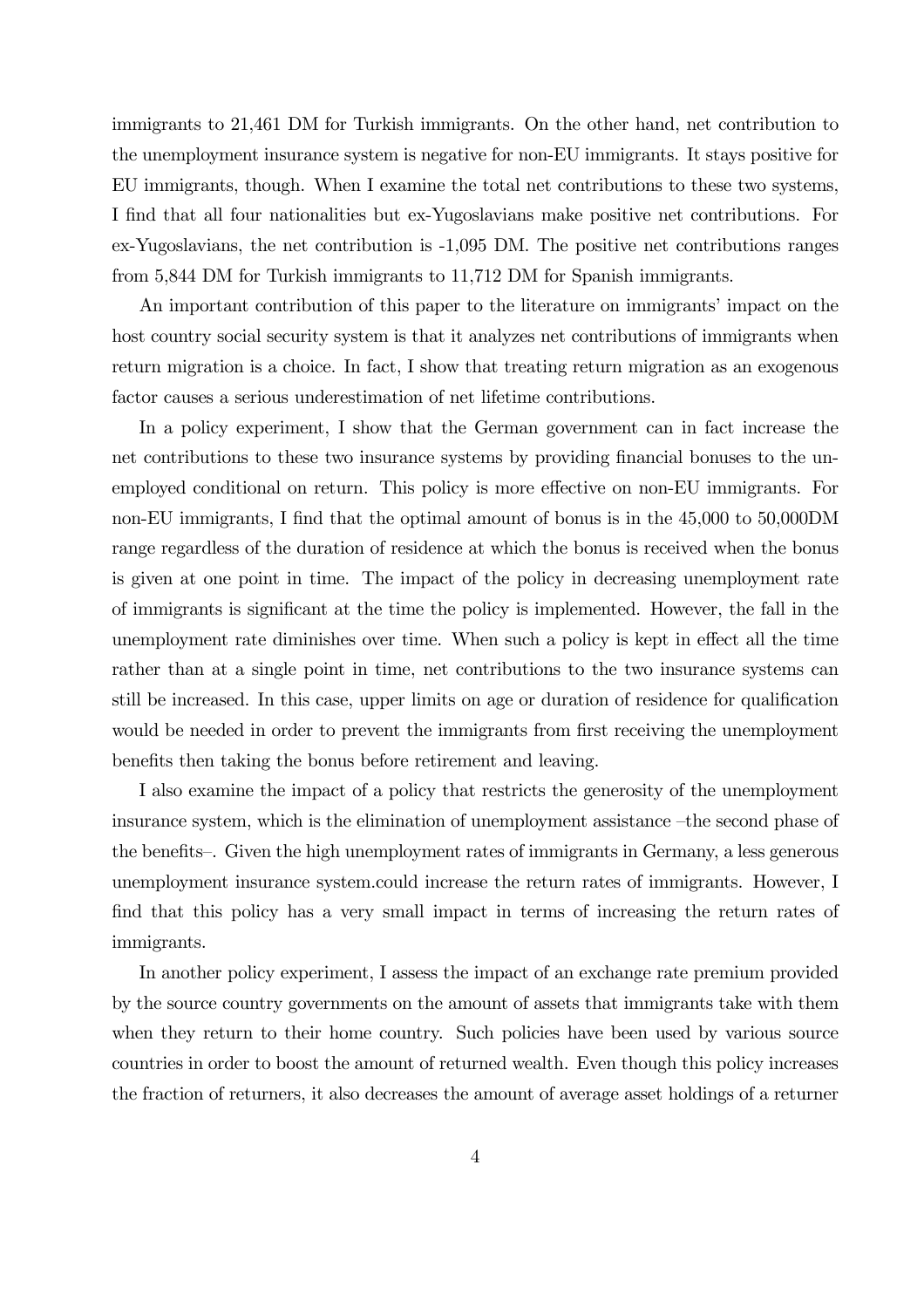immigrants to 21,461 DM for Turkish immigrants. On the other hand, net contribution to the unemployment insurance system is negative for non-EU immigrants. It stays positive for EU immigrants, though. When I examine the total net contributions to these two systems, I find that all four nationalities but ex-Yugoslavians make positive net contributions. For ex-Yugoslavians, the net contribution is -1,095 DM. The positive net contributions ranges from 5,844 DM for Turkish immigrants to 11,712 DM for Spanish immigrants.

An important contribution of this paper to the literature on immigrants' impact on the host country social security system is that it analyzes net contributions of immigrants when return migration is a choice. In fact, I show that treating return migration as an exogenous factor causes a serious underestimation of net lifetime contributions.

In a policy experiment, I show that the German government can in fact increase the net contributions to these two insurance systems by providing financial bonuses to the unemployed conditional on return. This policy is more effective on non-EU immigrants. For non-EU immigrants, I find that the optimal amount of bonus is in the 45,000 to 50,000DM range regardless of the duration of residence at which the bonus is received when the bonus is given at one point in time. The impact of the policy in decreasing unemployment rate of immigrants is significant at the time the policy is implemented. However, the fall in the unemployment rate diminishes over time. When such a policy is kept in effect all the time rather than at a single point in time, net contributions to the two insurance systems can still be increased. In this case, upper limits on age or duration of residence for qualification would be needed in order to prevent the immigrants from first receiving the unemployment benefits then taking the bonus before retirement and leaving.

I also examine the impact of a policy that restricts the generosity of the unemployment insurance system, which is the elimination of unemployment assistance —the second phase of the benefits—. Given the high unemployment rates of immigrants in Germany, a less generous unemployment insurance system.could increase the return rates of immigrants. However, I find that this policy has a very small impact in terms of increasing the return rates of immigrants.

In another policy experiment, I assess the impact of an exchange rate premium provided by the source country governments on the amount of assets that immigrants take with them when they return to their home country. Such policies have been used by various source countries in order to boost the amount of returned wealth. Even though this policy increases the fraction of returners, it also decreases the amount of average asset holdings of a returner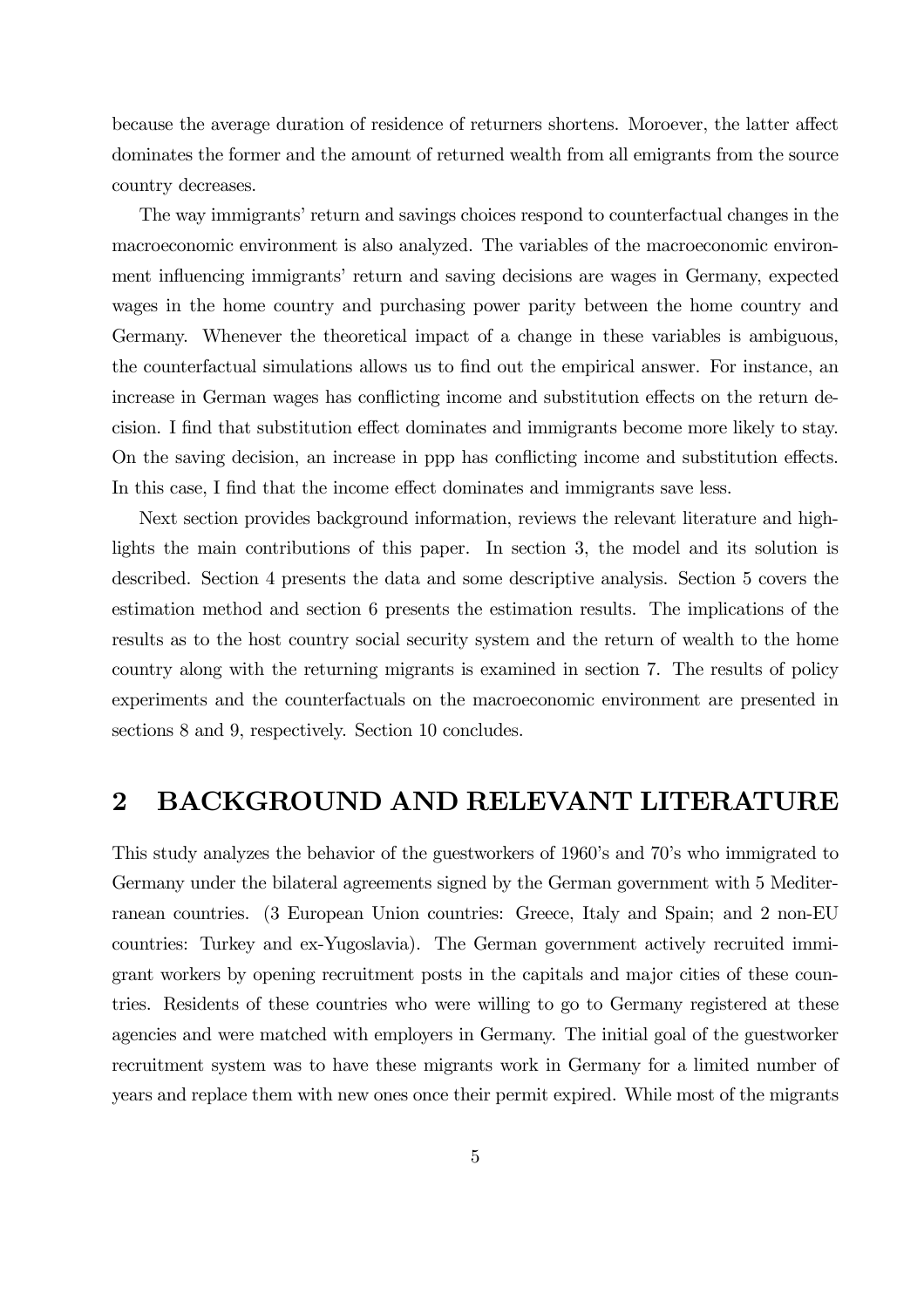because the average duration of residence of returners shortens. Moroever, the latter affect dominates the former and the amount of returned wealth from all emigrants from the source country decreases.

The way immigrants' return and savings choices respond to counterfactual changes in the macroeconomic environment is also analyzed. The variables of the macroeconomic environment influencing immigrants' return and saving decisions are wages in Germany, expected wages in the home country and purchasing power parity between the home country and Germany. Whenever the theoretical impact of a change in these variables is ambiguous, the counterfactual simulations allows us to find out the empirical answer. For instance, an increase in German wages has conflicting income and substitution effects on the return decision. I find that substitution effect dominates and immigrants become more likely to stay. On the saving decision, an increase in ppp has conflicting income and substitution effects. In this case, I find that the income effect dominates and immigrants save less.

Next section provides background information, reviews the relevant literature and highlights the main contributions of this paper. In section 3, the model and its solution is described. Section 4 presents the data and some descriptive analysis. Section 5 covers the estimation method and section 6 presents the estimation results. The implications of the results as to the host country social security system and the return of wealth to the home country along with the returning migrants is examined in section 7. The results of policy experiments and the counterfactuals on the macroeconomic environment are presented in sections 8 and 9, respectively. Section 10 concludes.

## 2 BACKGROUND AND RELEVANT LITERATURE

This study analyzes the behavior of the guestworkers of 1960's and 70's who immigrated to Germany under the bilateral agreements signed by the German government with 5 Mediterranean countries. (3 European Union countries: Greece, Italy and Spain; and 2 non-EU countries: Turkey and ex-Yugoslavia). The German government actively recruited immigrant workers by opening recruitment posts in the capitals and major cities of these countries. Residents of these countries who were willing to go to Germany registered at these agencies and were matched with employers in Germany. The initial goal of the guestworker recruitment system was to have these migrants work in Germany for a limited number of years and replace them with new ones once their permit expired. While most of the migrants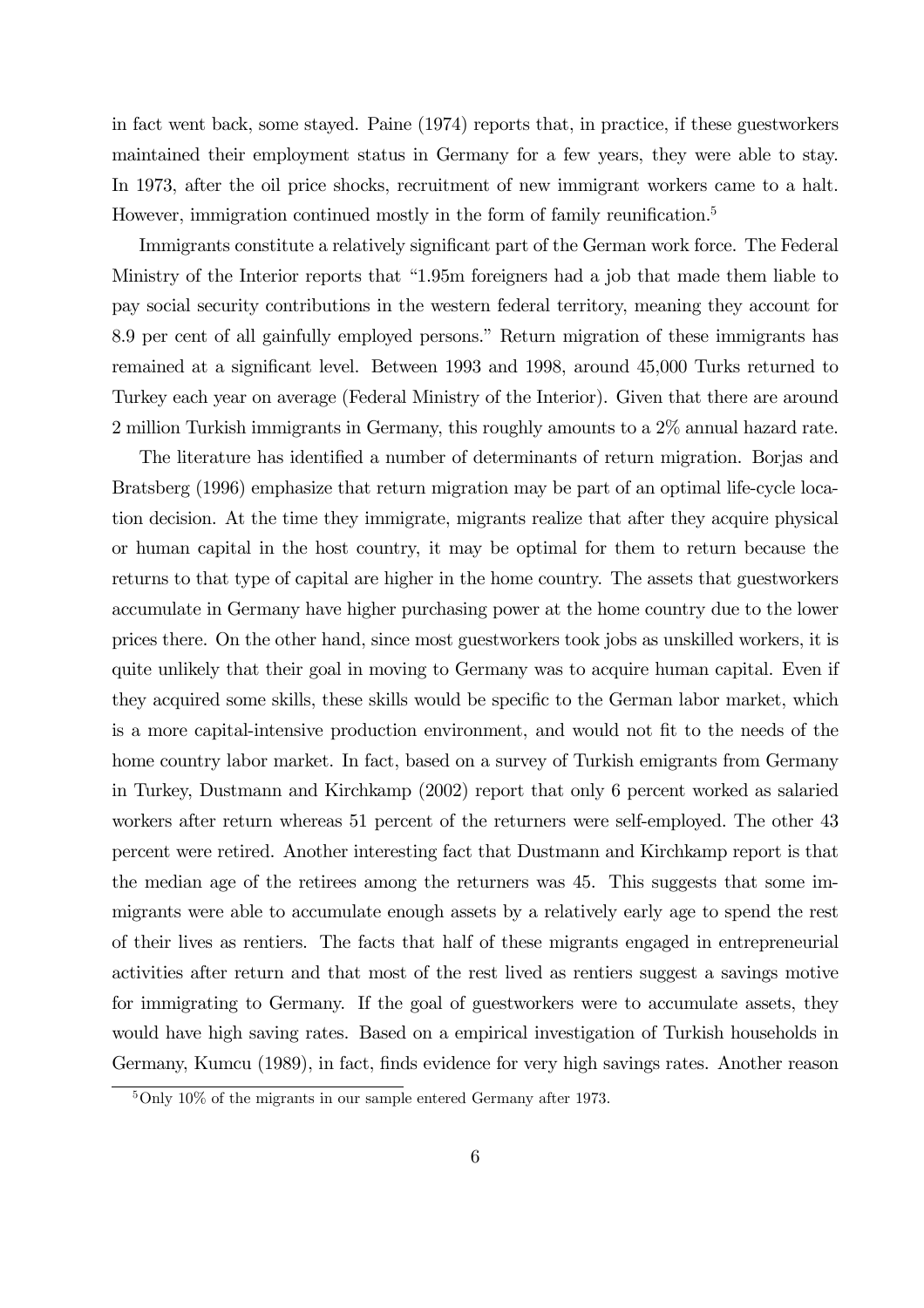in fact went back, some stayed. Paine (1974) reports that, in practice, if these guestworkers maintained their employment status in Germany for a few years, they were able to stay. In 1973, after the oil price shocks, recruitment of new immigrant workers came to a halt. However, immigration continued mostly in the form of family reunification.<sup>5</sup>

Immigrants constitute a relatively significant part of the German work force. The Federal Ministry of the Interior reports that "1.95m foreigners had a job that made them liable to pay social security contributions in the western federal territory, meaning they account for 8.9 per cent of all gainfully employed persons." Return migration of these immigrants has remained at a significant level. Between 1993 and 1998, around 45,000 Turks returned to Turkey each year on average (Federal Ministry of the Interior). Given that there are around 2 million Turkish immigrants in Germany, this roughly amounts to a 2% annual hazard rate.

The literature has identified a number of determinants of return migration. Borjas and Bratsberg (1996) emphasize that return migration may be part of an optimal life-cycle location decision. At the time they immigrate, migrants realize that after they acquire physical or human capital in the host country, it may be optimal for them to return because the returns to that type of capital are higher in the home country. The assets that guestworkers accumulate in Germany have higher purchasing power at the home country due to the lower prices there. On the other hand, since most guestworkers took jobs as unskilled workers, it is quite unlikely that their goal in moving to Germany was to acquire human capital. Even if they acquired some skills, these skills would be specific to the German labor market, which is a more capital-intensive production environment, and would not fit to the needs of the home country labor market. In fact, based on a survey of Turkish emigrants from Germany in Turkey, Dustmann and Kirchkamp (2002) report that only 6 percent worked as salaried workers after return whereas 51 percent of the returners were self-employed. The other 43 percent were retired. Another interesting fact that Dustmann and Kirchkamp report is that the median age of the retirees among the returners was 45. This suggests that some immigrants were able to accumulate enough assets by a relatively early age to spend the rest of their lives as rentiers. The facts that half of these migrants engaged in entrepreneurial activities after return and that most of the rest lived as rentiers suggest a savings motive for immigrating to Germany. If the goal of guestworkers were to accumulate assets, they would have high saving rates. Based on a empirical investigation of Turkish households in Germany, Kumcu (1989), in fact, finds evidence for very high savings rates. Another reason

 $5$ Only 10% of the migrants in our sample entered Germany after 1973.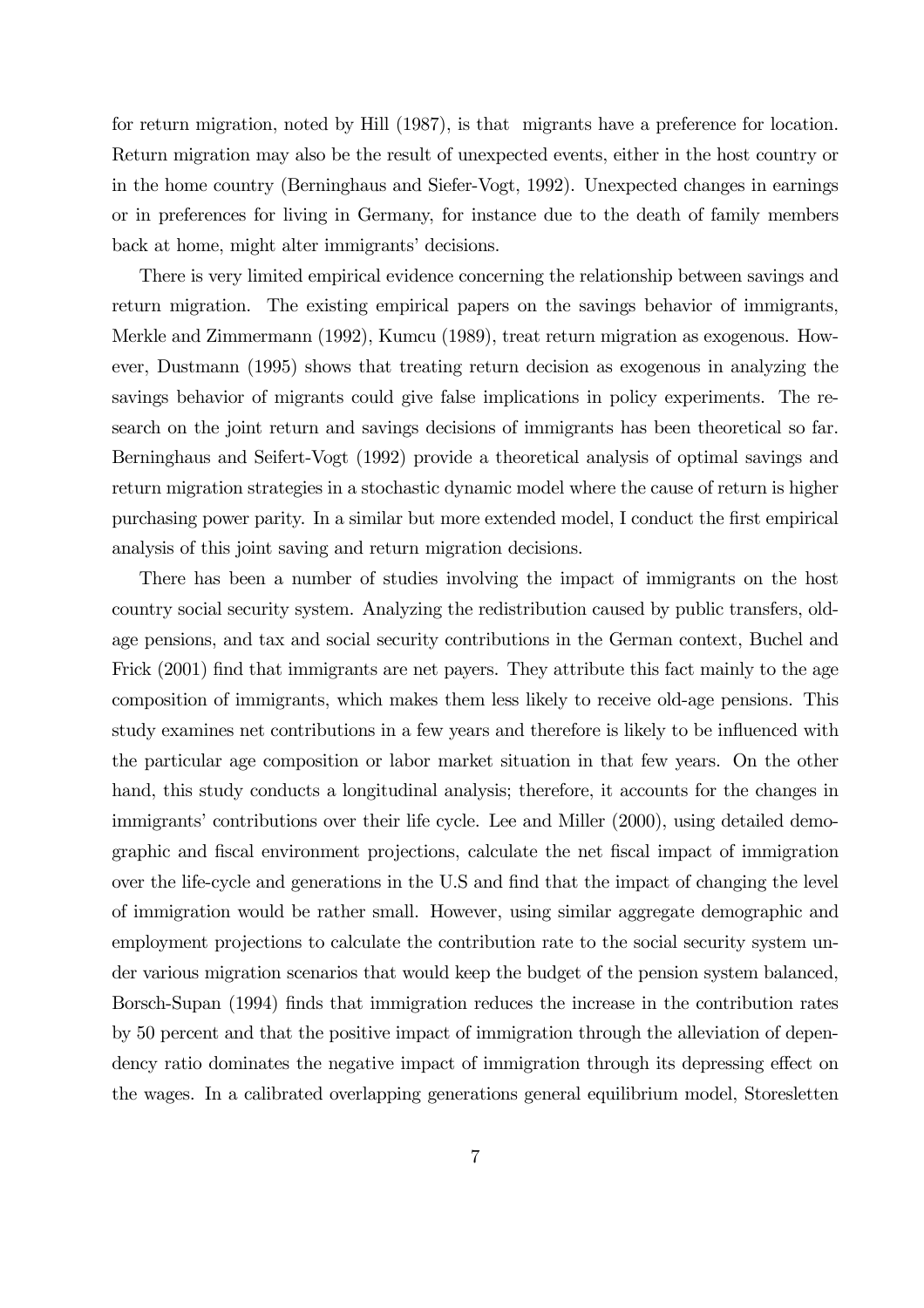for return migration, noted by Hill (1987), is that migrants have a preference for location. Return migration may also be the result of unexpected events, either in the host country or in the home country (Berninghaus and Siefer-Vogt, 1992). Unexpected changes in earnings or in preferences for living in Germany, for instance due to the death of family members back at home, might alter immigrants' decisions.

There is very limited empirical evidence concerning the relationship between savings and return migration. The existing empirical papers on the savings behavior of immigrants, Merkle and Zimmermann (1992), Kumcu (1989), treat return migration as exogenous. However, Dustmann (1995) shows that treating return decision as exogenous in analyzing the savings behavior of migrants could give false implications in policy experiments. The research on the joint return and savings decisions of immigrants has been theoretical so far. Berninghaus and Seifert-Vogt (1992) provide a theoretical analysis of optimal savings and return migration strategies in a stochastic dynamic model where the cause of return is higher purchasing power parity. In a similar but more extended model, I conduct the first empirical analysis of this joint saving and return migration decisions.

There has been a number of studies involving the impact of immigrants on the host country social security system. Analyzing the redistribution caused by public transfers, oldage pensions, and tax and social security contributions in the German context, Buchel and Frick (2001) find that immigrants are net payers. They attribute this fact mainly to the age composition of immigrants, which makes them less likely to receive old-age pensions. This study examines net contributions in a few years and therefore is likely to be influenced with the particular age composition or labor market situation in that few years. On the other hand, this study conducts a longitudinal analysis; therefore, it accounts for the changes in immigrants' contributions over their life cycle. Lee and Miller (2000), using detailed demographic and fiscal environment projections, calculate the net fiscal impact of immigration over the life-cycle and generations in the U.S and find that the impact of changing the level of immigration would be rather small. However, using similar aggregate demographic and employment projections to calculate the contribution rate to the social security system under various migration scenarios that would keep the budget of the pension system balanced, Borsch-Supan (1994) finds that immigration reduces the increase in the contribution rates by 50 percent and that the positive impact of immigration through the alleviation of dependency ratio dominates the negative impact of immigration through its depressing effect on the wages. In a calibrated overlapping generations general equilibrium model, Storesletten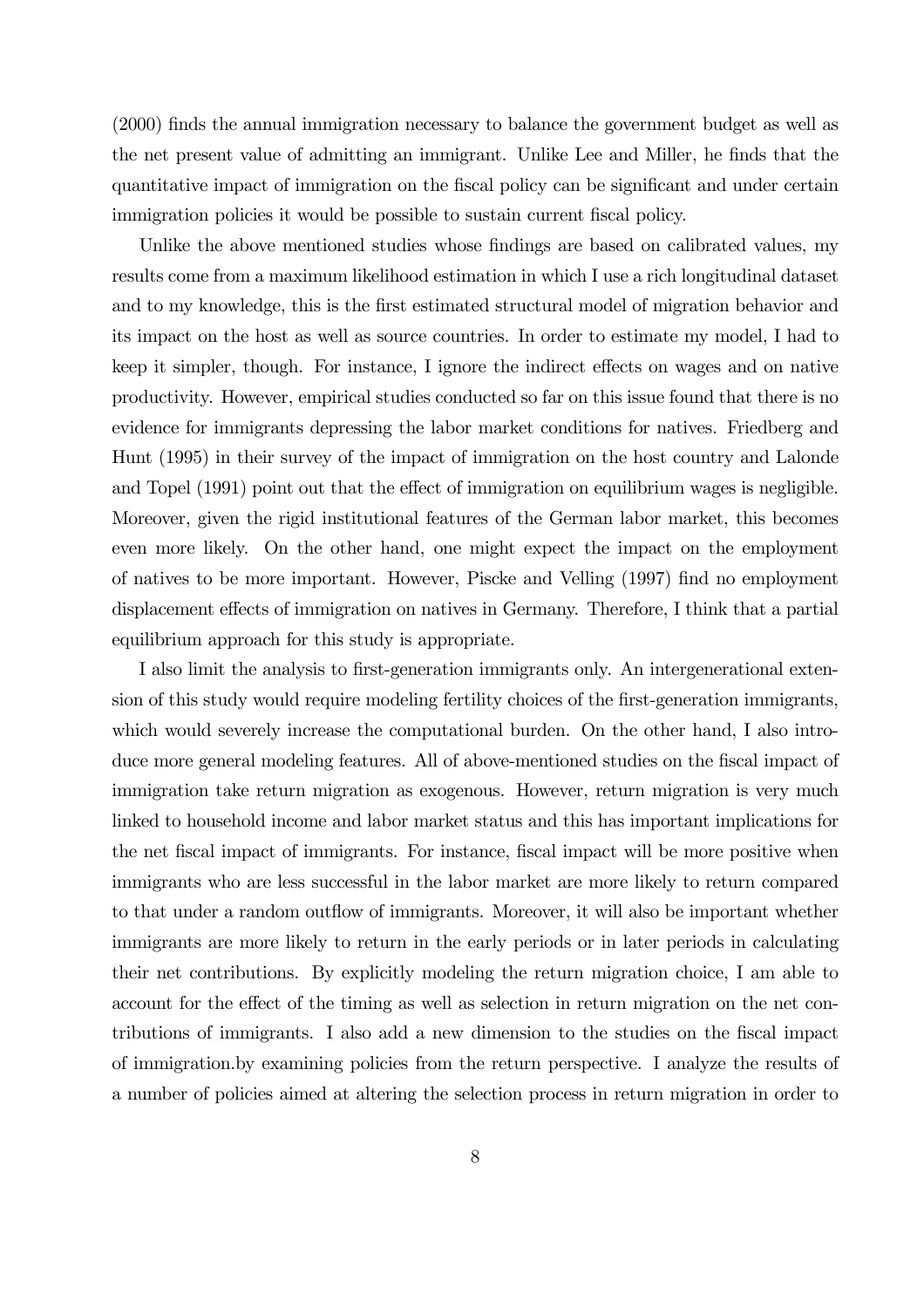(2000) finds the annual immigration necessary to balance the government budget as well as the net present value of admitting an immigrant. Unlike Lee and Miller, he finds that the quantitative impact of immigration on the fiscal policy can be significant and under certain immigration policies it would be possible to sustain current fiscal policy.

Unlike the above mentioned studies whose findings are based on calibrated values, my results come from a maximum likelihood estimation in which I use a rich longitudinal dataset and to my knowledge, this is the first estimated structural model of migration behavior and its impact on the host as well as source countries. In order to estimate my model, I had to keep it simpler, though. For instance, I ignore the indirect effects on wages and on native productivity. However, empirical studies conducted so far on this issue found that there is no evidence for immigrants depressing the labor market conditions for natives. Friedberg and Hunt (1995) in their survey of the impact of immigration on the host country and Lalonde and Topel (1991) point out that the effect of immigration on equilibrium wages is negligible. Moreover, given the rigid institutional features of the German labor market, this becomes even more likely. On the other hand, one might expect the impact on the employment of natives to be more important. However, Piscke and Velling (1997) find no employment displacement effects of immigration on natives in Germany. Therefore, I think that a partial equilibrium approach for this study is appropriate.

I also limit the analysis to first-generation immigrants only. An intergenerational extension of this study would require modeling fertility choices of the first-generation immigrants, which would severely increase the computational burden. On the other hand, I also introduce more general modeling features. All of above-mentioned studies on the fiscal impact of immigration take return migration as exogenous. However, return migration is very much linked to household income and labor market status and this has important implications for the net fiscal impact of immigrants. For instance, fiscal impact will be more positive when immigrants who are less successful in the labor market are more likely to return compared to that under a random outflow of immigrants. Moreover, it will also be important whether immigrants are more likely to return in the early periods or in later periods in calculating their net contributions. By explicitly modeling the return migration choice, I am able to account for the effect of the timing as well as selection in return migration on the net contributions of immigrants. I also add a new dimension to the studies on the fiscal impact of immigration.by examining policies from the return perspective. I analyze the results of a number of policies aimed at altering the selection process in return migration in order to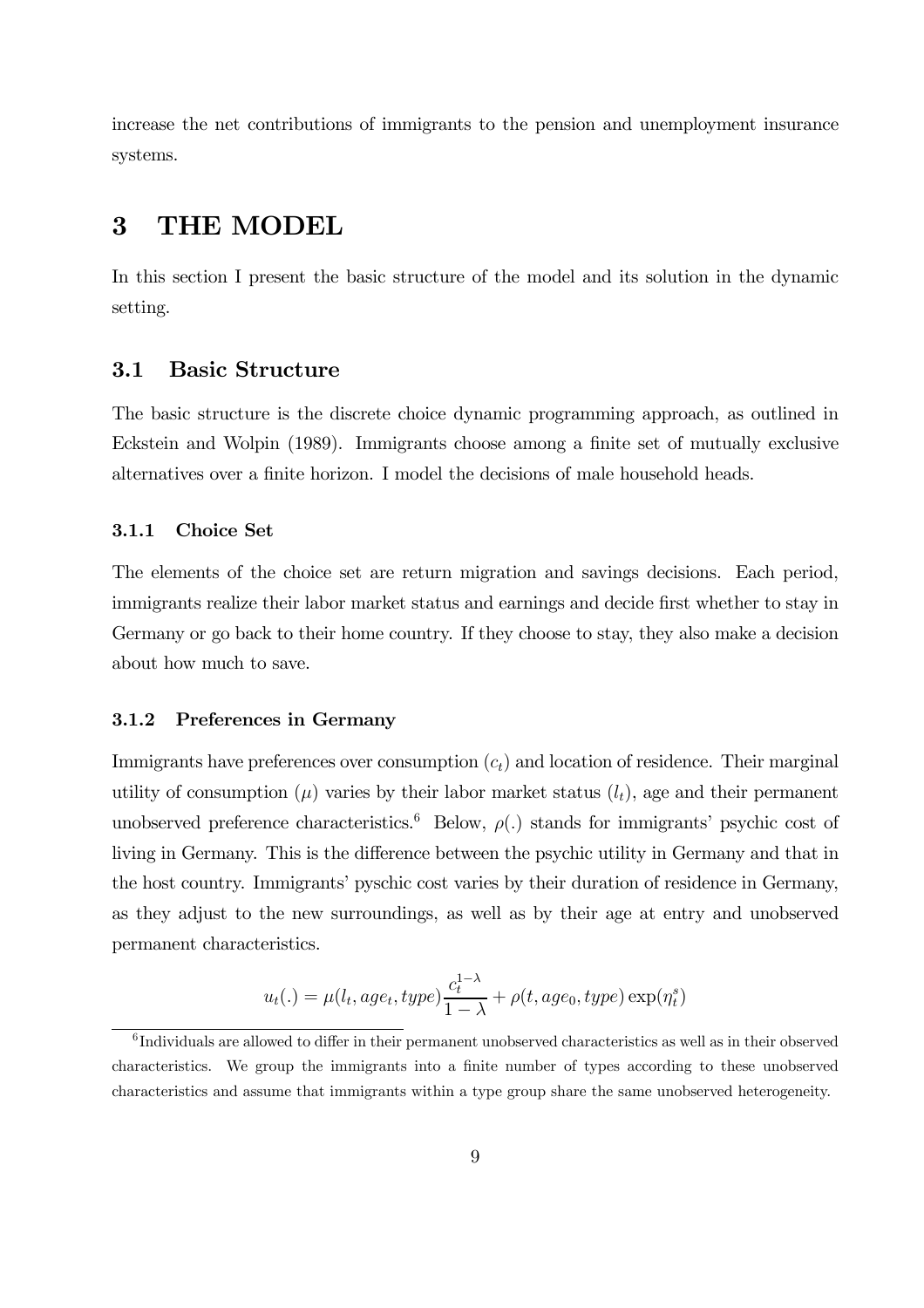increase the net contributions of immigrants to the pension and unemployment insurance systems.

## 3 THE MODEL

In this section I present the basic structure of the model and its solution in the dynamic setting.

### 3.1 Basic Structure

The basic structure is the discrete choice dynamic programming approach, as outlined in Eckstein and Wolpin (1989). Immigrants choose among a finite set of mutually exclusive alternatives over a finite horizon. I model the decisions of male household heads.

### 3.1.1 Choice Set

The elements of the choice set are return migration and savings decisions. Each period, immigrants realize their labor market status and earnings and decide first whether to stay in Germany or go back to their home country. If they choose to stay, they also make a decision about how much to save.

### 3.1.2 Preferences in Germany

Immigrants have preferences over consumption  $(c<sub>t</sub>)$  and location of residence. Their marginal utility of consumption ( $\mu$ ) varies by their labor market status ( $l_t$ ), age and their permanent unobserved preference characteristics.<sup>6</sup> Below,  $\rho(.)$  stands for immigrants' psychic cost of living in Germany. This is the difference between the psychic utility in Germany and that in the host country. Immigrants' pyschic cost varies by their duration of residence in Germany, as they adjust to the new surroundings, as well as by their age at entry and unobserved permanent characteristics.

$$
u_t(.) = \mu(l_t, age_t, type) \frac{c_t^{1-\lambda}}{1-\lambda} + \rho(t, age_0, type) \exp(\eta_t^s)
$$

 $6$ Individuals are allowed to differ in their permanent unobserved characteristics as well as in their observed characteristics. We group the immigrants into a finite number of types according to these unobserved characteristics and assume that immigrants within a type group share the same unobserved heterogeneity.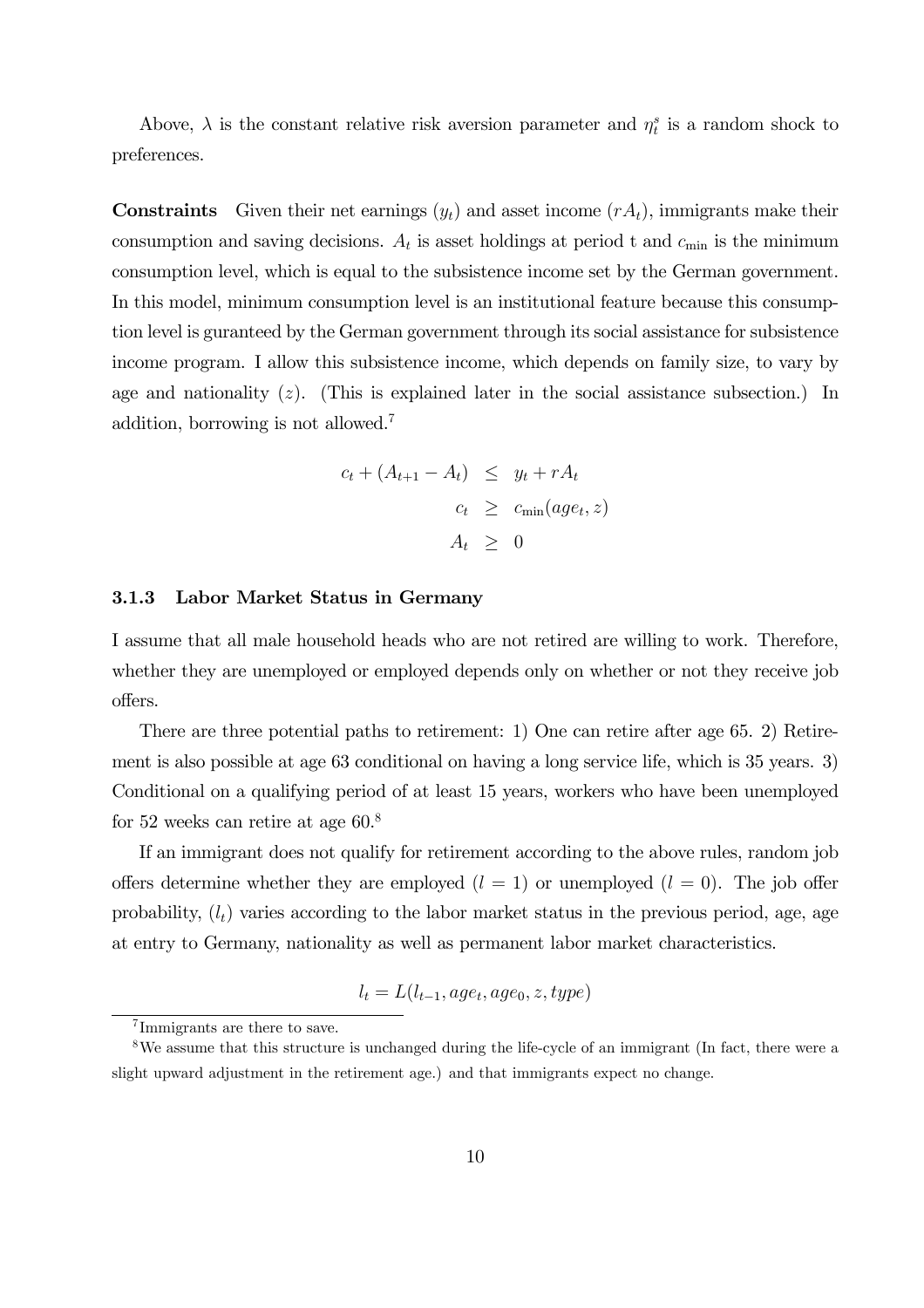Above,  $\lambda$  is the constant relative risk aversion parameter and  $\eta_t^s$  is a random shock to preferences.

**Constraints** Given their net earnings  $(y_t)$  and asset income  $(rA_t)$ , immigrants make their consumption and saving decisions.  $A_t$  is asset holdings at period t and  $c_{\min}$  is the minimum consumption level, which is equal to the subsistence income set by the German government. In this model, minimum consumption level is an institutional feature because this consumption level is guranteed by the German government through its social assistance for subsistence income program. I allow this subsistence income, which depends on family size, to vary by age and nationality  $(z)$ . (This is explained later in the social assistance subsection.) In addition, borrowing is not allowed.7

$$
c_t + (A_{t+1} - A_t) \leq y_t + rA_t
$$
  

$$
c_t \geq c_{\min}(age_t, z)
$$
  

$$
A_t \geq 0
$$

### 3.1.3 Labor Market Status in Germany

I assume that all male household heads who are not retired are willing to work. Therefore, whether they are unemployed or employed depends only on whether or not they receive job offers.

There are three potential paths to retirement: 1) One can retire after age 65. 2) Retirement is also possible at age 63 conditional on having a long service life, which is 35 years. 3) Conditional on a qualifying period of at least 15 years, workers who have been unemployed for 52 weeks can retire at age 60.8

If an immigrant does not qualify for retirement according to the above rules, random job offers determine whether they are employed  $(l = 1)$  or unemployed  $(l = 0)$ . The job offer probability,  $(l_t)$  varies according to the labor market status in the previous period, age, age at entry to Germany, nationality as well as permanent labor market characteristics.

$$
l_t = L(l_{t-1}, age_t, age_0, z, type)
$$

<sup>7</sup> Immigrants are there to save.

<sup>8</sup>We assume that this structure is unchanged during the life-cycle of an immigrant (In fact, there were a slight upward adjustment in the retirement age.) and that immigrants expect no change.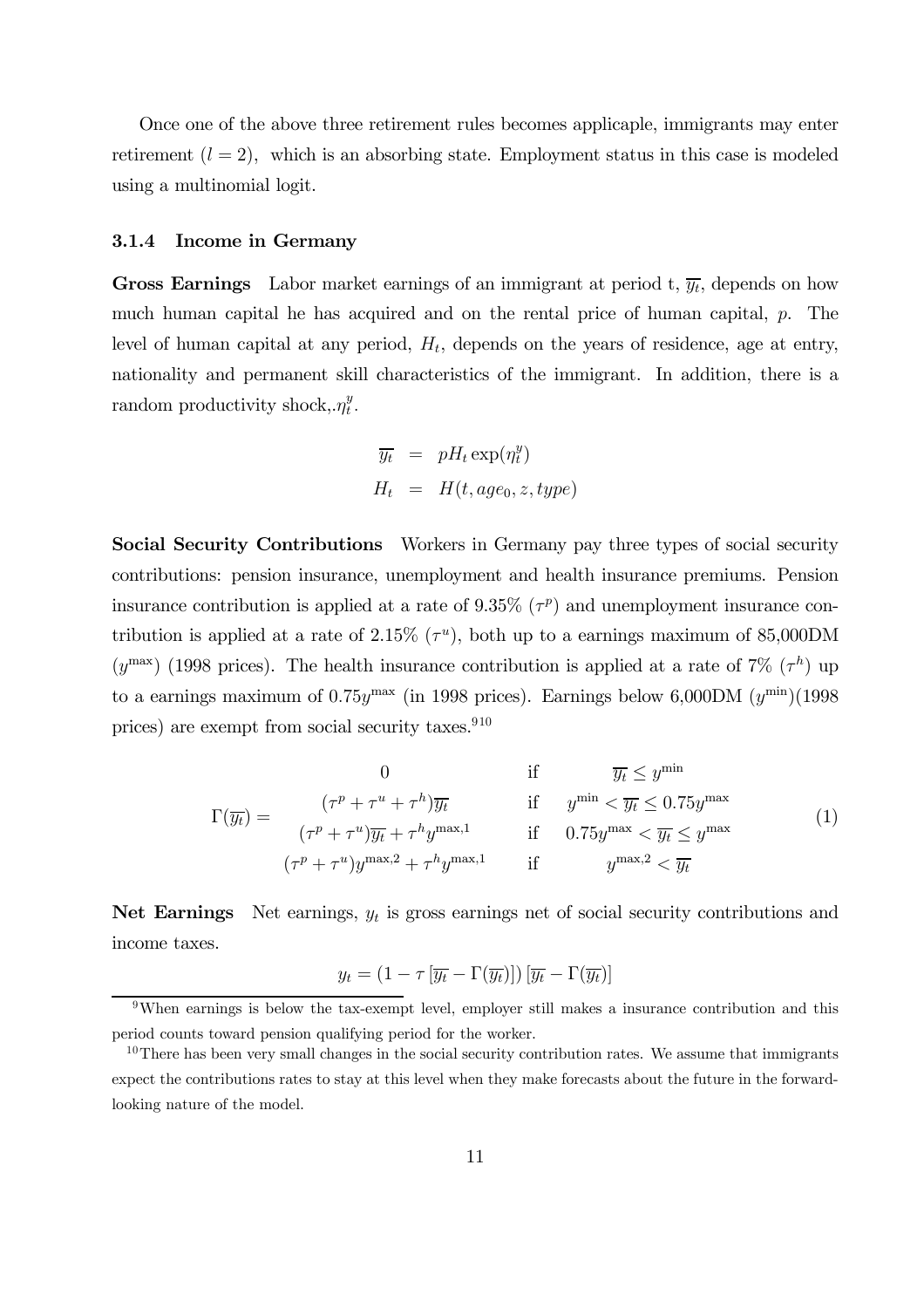Once one of the above three retirement rules becomes applicaple, immigrants may enter retirement  $(l = 2)$ , which is an absorbing state. Employment status in this case is modeled using a multinomial logit.

### 3.1.4 Income in Germany

**Gross Earnings** Labor market earnings of an immigrant at period t,  $\overline{y_t}$ , depends on how much human capital he has acquired and on the rental price of human capital, p. The level of human capital at any period,  $H_t$ , depends on the years of residence, age at entry, nationality and permanent skill characteristics of the immigrant. In addition, there is a random productivity shock,  $\eta_t^y$ .

$$
\overline{y_t} = pH_t \exp(\eta_t^y)
$$
  

$$
H_t = H(t, age_0, z, type)
$$

Social Security Contributions Workers in Germany pay three types of social security contributions: pension insurance, unemployment and health insurance premiums. Pension insurance contribution is applied at a rate of 9.35% ( $\tau$ <sup>p</sup>) and unemployment insurance contribution is applied at a rate of 2.15%  $(\tau^u)$ , both up to a earnings maximum of 85,000DM ( $y^{\text{max}}$ ) (1998 prices). The health insurance contribution is applied at a rate of 7% ( $\tau$ <sup>h</sup>) up to a earnings maximum of  $0.75y^{\text{max}}$  (in 1998 prices). Earnings below 6,000DM  $(y^{\text{min}})(1998)$ prices) are exempt from social security taxes.<sup>910</sup>

$$
\Gamma(\overline{y_t}) = \begin{cases}\n(7^p + \tau^u + \tau^h)\overline{y_t} & \text{if } y^{\min} < \overline{y_t} \le y^{\min} \\
(\tau^p + \tau^u)\overline{y_t} + \tau^h y^{\max,1} & \text{if } 0.75y^{\max} < \overline{y_t} \le y^{\max} \\
(\tau^p + \tau^u)y^{\max,2} + \tau^h y^{\max,1} & \text{if } y^{\max,2} < \overline{y_t}\n\end{cases}
$$
\n(1)

Net Earnings Net earnings,  $y_t$  is gross earnings net of social security contributions and income taxes.

$$
y_t = \left(1 - \tau \left[\overline{y_t} - \Gamma(\overline{y_t})\right]\right) \left[\overline{y_t} - \Gamma(\overline{y_t})\right]
$$

<sup>&</sup>lt;sup>9</sup>When earnings is below the tax-exempt level, employer still makes a insurance contribution and this period counts toward pension qualifying period for the worker.

 $10$ There has been very small changes in the social security contribution rates. We assume that immigrants expect the contributions rates to stay at this level when they make forecasts about the future in the forwardlooking nature of the model.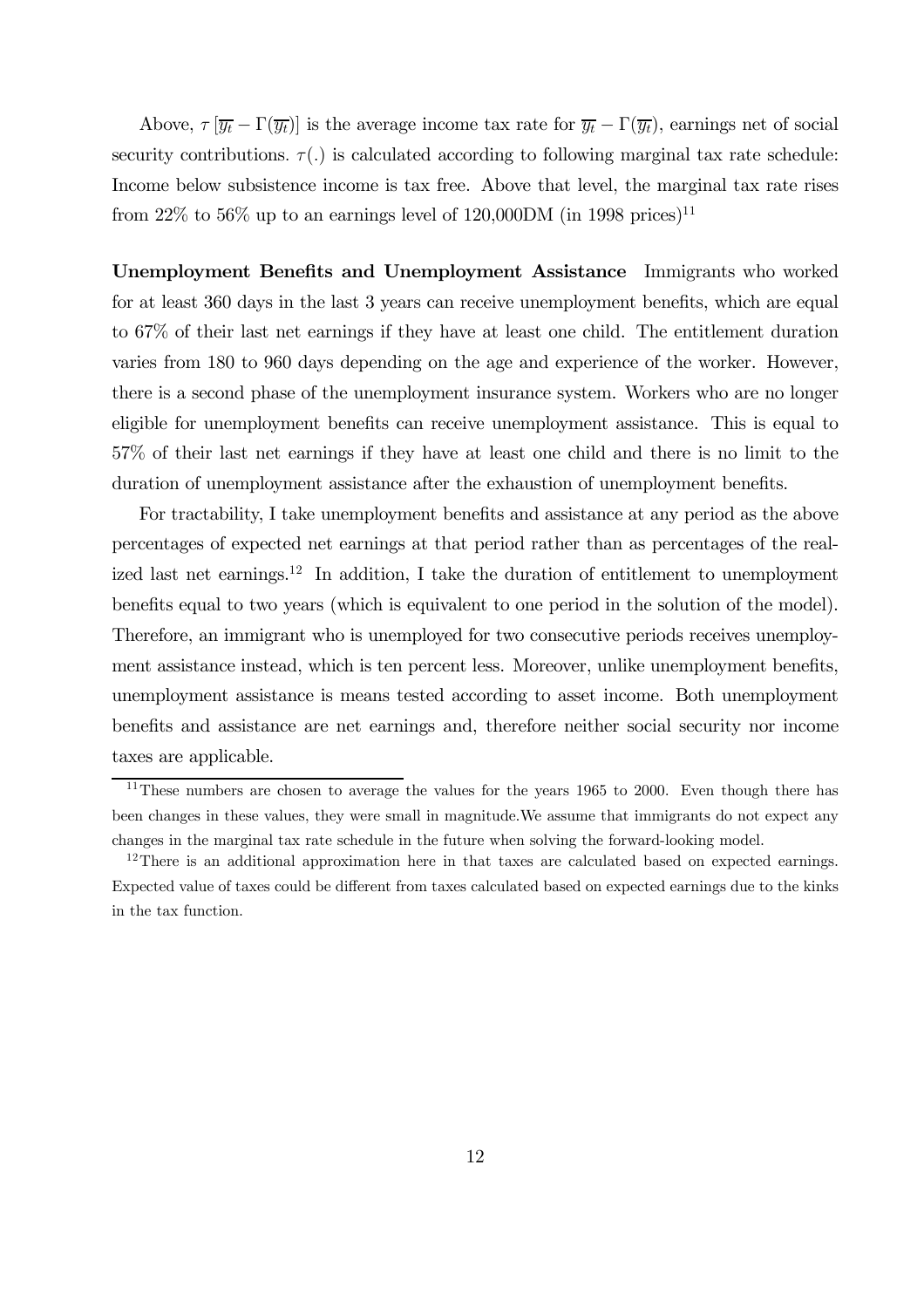Above,  $\tau$   $[\overline{y_t} - \Gamma(\overline{y_t})]$  is the average income tax rate for  $\overline{y_t} - \Gamma(\overline{y_t})$ , earnings net of social security contributions.  $\tau(.)$  is calculated according to following marginal tax rate schedule: Income below subsistence income is tax free. Above that level, the marginal tax rate rises from 22% to 56% up to an earnings level of 120,000DM (in 1998 prices)<sup>11</sup>

Unemployment Benefits and Unemployment Assistance Immigrants who worked for at least 360 days in the last 3 years can receive unemployment benefits, which are equal to 67% of their last net earnings if they have at least one child. The entitlement duration varies from 180 to 960 days depending on the age and experience of the worker. However, there is a second phase of the unemployment insurance system. Workers who are no longer eligible for unemployment benefits can receive unemployment assistance. This is equal to 57% of their last net earnings if they have at least one child and there is no limit to the duration of unemployment assistance after the exhaustion of unemployment benefits.

For tractability, I take unemployment benefits and assistance at any period as the above percentages of expected net earnings at that period rather than as percentages of the realized last net earnings.<sup>12</sup> In addition, I take the duration of entitlement to unemployment benefits equal to two years (which is equivalent to one period in the solution of the model). Therefore, an immigrant who is unemployed for two consecutive periods receives unemployment assistance instead, which is ten percent less. Moreover, unlike unemployment benefits, unemployment assistance is means tested according to asset income. Both unemployment benefits and assistance are net earnings and, therefore neither social security nor income taxes are applicable.

<sup>&</sup>lt;sup>11</sup>These numbers are chosen to average the values for the years 1965 to 2000. Even though there has been changes in these values, they were small in magnitude.We assume that immigrants do not expect any changes in the marginal tax rate schedule in the future when solving the forward-looking model.

<sup>&</sup>lt;sup>12</sup>There is an additional approximation here in that taxes are calculated based on expected earnings. Expected value of taxes could be different from taxes calculated based on expected earnings due to the kinks in the tax function.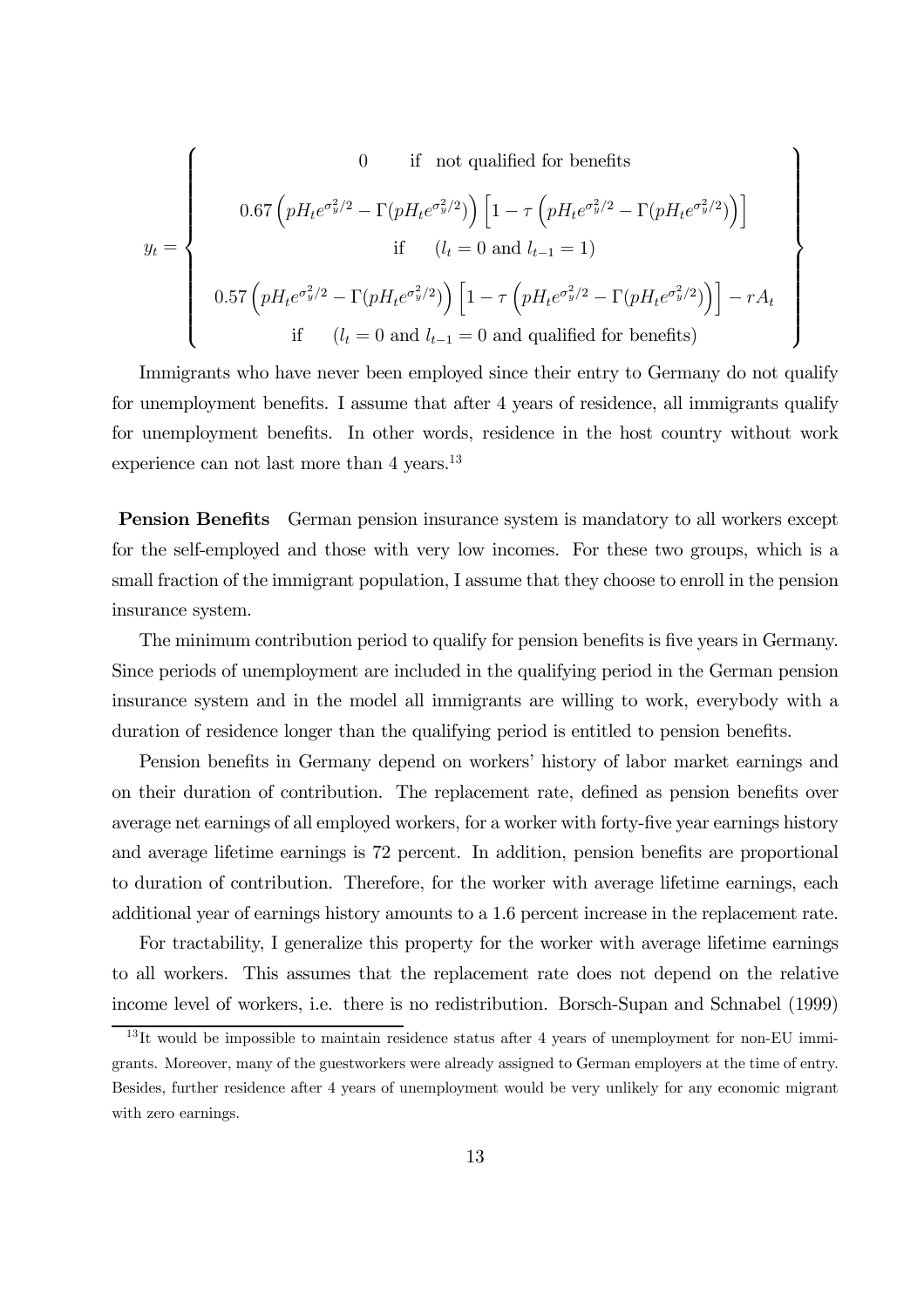$$
y_t = \begin{cases}\n0 & \text{if not qualified for benefits} \\
0.67 \left( pH_t e^{\sigma_y^2/2} - \Gamma(pH_t e^{\sigma_y^2/2}) \right) \left[ 1 - \tau \left( pH_t e^{\sigma_y^2/2} - \Gamma(pH_t e^{\sigma_y^2/2}) \right) \right] \\
\text{if } (l_t = 0 \text{ and } l_{t-1} = 1) \\
0.57 \left( pH_t e^{\sigma_y^2/2} - \Gamma(pH_t e^{\sigma_y^2/2}) \right) \left[ 1 - \tau \left( pH_t e^{\sigma_y^2/2} - \Gamma(pH_t e^{\sigma_y^2/2}) \right) \right] - rA_t \\
\text{if } (l_t = 0 \text{ and } l_{t-1} = 0 \text{ and qualified for benefits})\n\end{cases}
$$

Immigrants who have never been employed since their entry to Germany do not qualify for unemployment benefits. I assume that after 4 years of residence, all immigrants qualify for unemployment benefits. In other words, residence in the host country without work experience can not last more than 4 years.<sup>13</sup>

Pension Benefits German pension insurance system is mandatory to all workers except for the self-employed and those with very low incomes. For these two groups, which is a small fraction of the immigrant population, I assume that they choose to enroll in the pension insurance system.

The minimum contribution period to qualify for pension benefits is five years in Germany. Since periods of unemployment are included in the qualifying period in the German pension insurance system and in the model all immigrants are willing to work, everybody with a duration of residence longer than the qualifying period is entitled to pension benefits.

Pension benefits in Germany depend on workers' history of labor market earnings and on their duration of contribution. The replacement rate, defined as pension benefits over average net earnings of all employed workers, for a worker with forty-five year earnings history and average lifetime earnings is 72 percent. In addition, pension benefits are proportional to duration of contribution. Therefore, for the worker with average lifetime earnings, each additional year of earnings history amounts to a 1.6 percent increase in the replacement rate.

For tractability, I generalize this property for the worker with average lifetime earnings to all workers. This assumes that the replacement rate does not depend on the relative income level of workers, i.e. there is no redistribution. Borsch-Supan and Schnabel (1999)

<sup>&</sup>lt;sup>13</sup>It would be impossible to maintain residence status after 4 years of unemployment for non-EU immigrants. Moreover, many of the guestworkers were already assigned to German employers at the time of entry. Besides, further residence after 4 years of unemployment would be very unlikely for any economic migrant with zero earnings.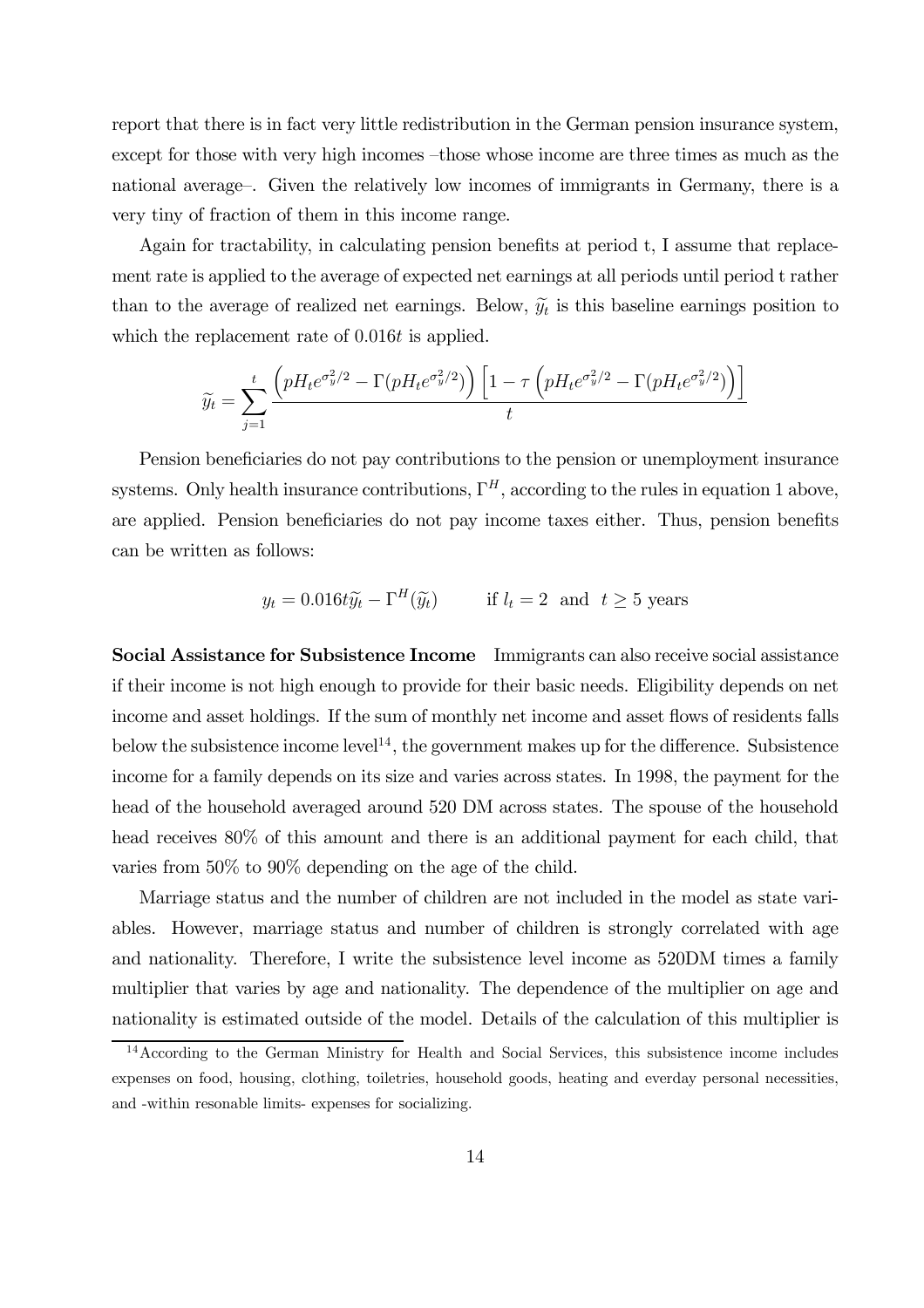report that there is in fact very little redistribution in the German pension insurance system, except for those with very high incomes —those whose income are three times as much as the national average—. Given the relatively low incomes of immigrants in Germany, there is a very tiny of fraction of them in this income range.

Again for tractability, in calculating pension benefits at period t, I assume that replacement rate is applied to the average of expected net earnings at all periods until period t rather than to the average of realized net earnings. Below,  $\tilde{y}_t$  is this baseline earnings position to which the replacement rate of 0.016t is applied.

$$
\widetilde{y_t} = \sum_{j=1}^t \frac{\left(pH_t e^{\sigma_y^2/2} - \Gamma(pH_t e^{\sigma_y^2/2})\right)\left[1 - \tau\left(pH_t e^{\sigma_y^2/2} - \Gamma(pH_t e^{\sigma_y^2/2})\right)\right]}{t}
$$

Pension beneficiaries do not pay contributions to the pension or unemployment insurance systems. Only health insurance contributions,  $\Gamma^H$ , according to the rules in equation 1 above, are applied. Pension beneficiaries do not pay income taxes either. Thus, pension benefits can be written as follows:

$$
y_t = 0.016t\tilde{y}_t - \Gamma^H(\tilde{y}_t)
$$
 if  $l_t = 2$  and  $t \ge 5$  years

Social Assistance for Subsistence Income Immigrants can also receive social assistance if their income is not high enough to provide for their basic needs. Eligibility depends on net income and asset holdings. If the sum of monthly net income and asset flows of residents falls below the subsistence income level<sup>14</sup>, the government makes up for the difference. Subsistence income for a family depends on its size and varies across states. In 1998, the payment for the head of the household averaged around 520 DM across states. The spouse of the household head receives  $80\%$  of this amount and there is an additional payment for each child, that varies from 50% to 90% depending on the age of the child.

Marriage status and the number of children are not included in the model as state variables. However, marriage status and number of children is strongly correlated with age and nationality. Therefore, I write the subsistence level income as 520DM times a family multiplier that varies by age and nationality. The dependence of the multiplier on age and nationality is estimated outside of the model. Details of the calculation of this multiplier is

<sup>&</sup>lt;sup>14</sup> According to the German Ministry for Health and Social Services, this subsistence income includes expenses on food, housing, clothing, toiletries, household goods, heating and everday personal necessities, and -within resonable limits- expenses for socializing.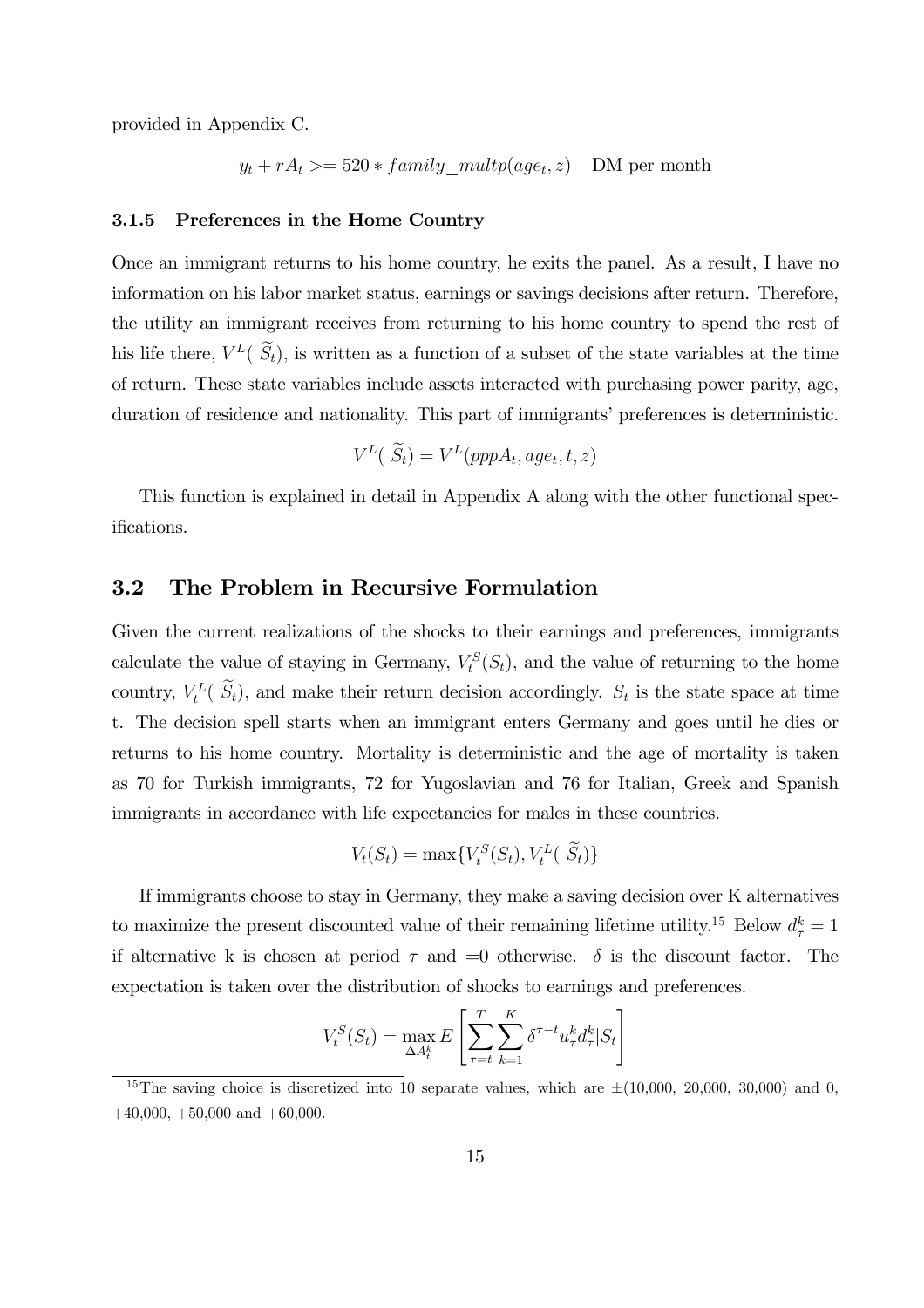provided in Appendix C.

 $y_t + rA_t \geq 520 * family\_multiply(age_t, z)$  DM per month

#### 3.1.5 Preferences in the Home Country

Once an immigrant returns to his home country, he exits the panel. As a result, I have no information on his labor market status, earnings or savings decisions after return. Therefore, the utility an immigrant receives from returning to his home country to spend the rest of his life there,  $V^L(\widetilde{S}_t)$ , is written as a function of a subset of the state variables at the time of return. These state variables include assets interacted with purchasing power parity, age, duration of residence and nationality. This part of immigrants' preferences is deterministic.

$$
V^{L}(\widetilde{S}_{t})=V^{L}(pppA_{t},age_{t},t,z)
$$

This function is explained in detail in Appendix A along with the other functional specifications.

### 3.2 The Problem in Recursive Formulation

Given the current realizations of the shocks to their earnings and preferences, immigrants calculate the value of staying in Germany,  $V_t^S(S_t)$ , and the value of returning to the home country,  $V_t^L(\tilde{S}_t)$ , and make their return decision accordingly.  $S_t$  is the state space at time t. The decision spell starts when an immigrant enters Germany and goes until he dies or returns to his home country. Mortality is deterministic and the age of mortality is taken as 70 for Turkish immigrants, 72 for Yugoslavian and 76 for Italian, Greek and Spanish immigrants in accordance with life expectancies for males in these countries.

$$
V_t(S_t) = \max\{V_t^S(S_t), V_t^L(\tilde{S}_t)\}
$$

If immigrants choose to stay in Germany, they make a saving decision over K alternatives to maximize the present discounted value of their remaining lifetime utility.<sup>15</sup> Below  $d_{\tau}^k = 1$ if alternative k is chosen at period  $\tau$  and  $=0$  otherwise.  $\delta$  is the discount factor. The expectation is taken over the distribution of shocks to earnings and preferences.

$$
V_t^S(S_t) = \max_{\Delta A_t^k} E\left[\sum_{\tau=t}^T \sum_{k=1}^K \delta^{\tau-t} u_{\tau}^k d_{\tau}^k | S_t\right]
$$

<sup>&</sup>lt;sup>15</sup>The saving choice is discretized into 10 separate values, which are  $\pm(10,000, 20,000, 30,000)$  and 0,  $+40,000, +50,000$  and  $+60,000$ .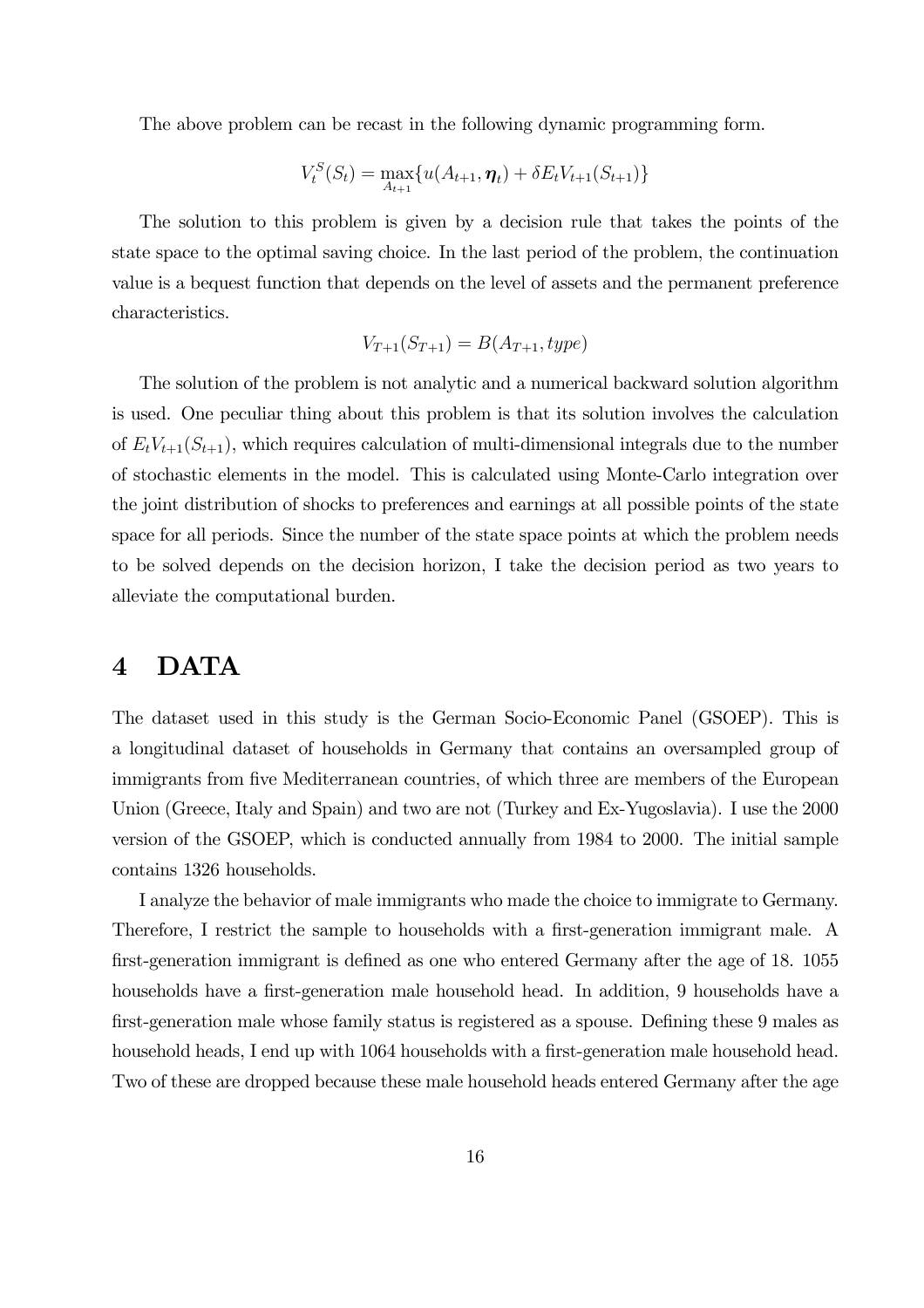The above problem can be recast in the following dynamic programming form.

$$
V_t^S(S_t) = \max_{A_{t+1}} \{ u(A_{t+1}, \eta_t) + \delta E_t V_{t+1}(S_{t+1}) \}
$$

The solution to this problem is given by a decision rule that takes the points of the state space to the optimal saving choice. In the last period of the problem, the continuation value is a bequest function that depends on the level of assets and the permanent preference characteristics.

$$
V_{T+1}(S_{T+1}) = B(A_{T+1}, type)
$$

The solution of the problem is not analytic and a numerical backward solution algorithm is used. One peculiar thing about this problem is that its solution involves the calculation of  $E_tV_{t+1}(S_{t+1})$ , which requires calculation of multi-dimensional integrals due to the number of stochastic elements in the model. This is calculated using Monte-Carlo integration over the joint distribution of shocks to preferences and earnings at all possible points of the state space for all periods. Since the number of the state space points at which the problem needs to be solved depends on the decision horizon, I take the decision period as two years to alleviate the computational burden.

# 4 DATA

The dataset used in this study is the German Socio-Economic Panel (GSOEP). This is a longitudinal dataset of households in Germany that contains an oversampled group of immigrants from five Mediterranean countries, of which three are members of the European Union (Greece, Italy and Spain) and two are not (Turkey and Ex-Yugoslavia). I use the 2000 version of the GSOEP, which is conducted annually from 1984 to 2000. The initial sample contains 1326 households.

I analyze the behavior of male immigrants who made the choice to immigrate to Germany. Therefore, I restrict the sample to households with a first-generation immigrant male. A first-generation immigrant is defined as one who entered Germany after the age of 18. 1055 households have a first-generation male household head. In addition, 9 households have a first-generation male whose family status is registered as a spouse. Defining these 9 males as household heads, I end up with 1064 households with a first-generation male household head. Two of these are dropped because these male household heads entered Germany after the age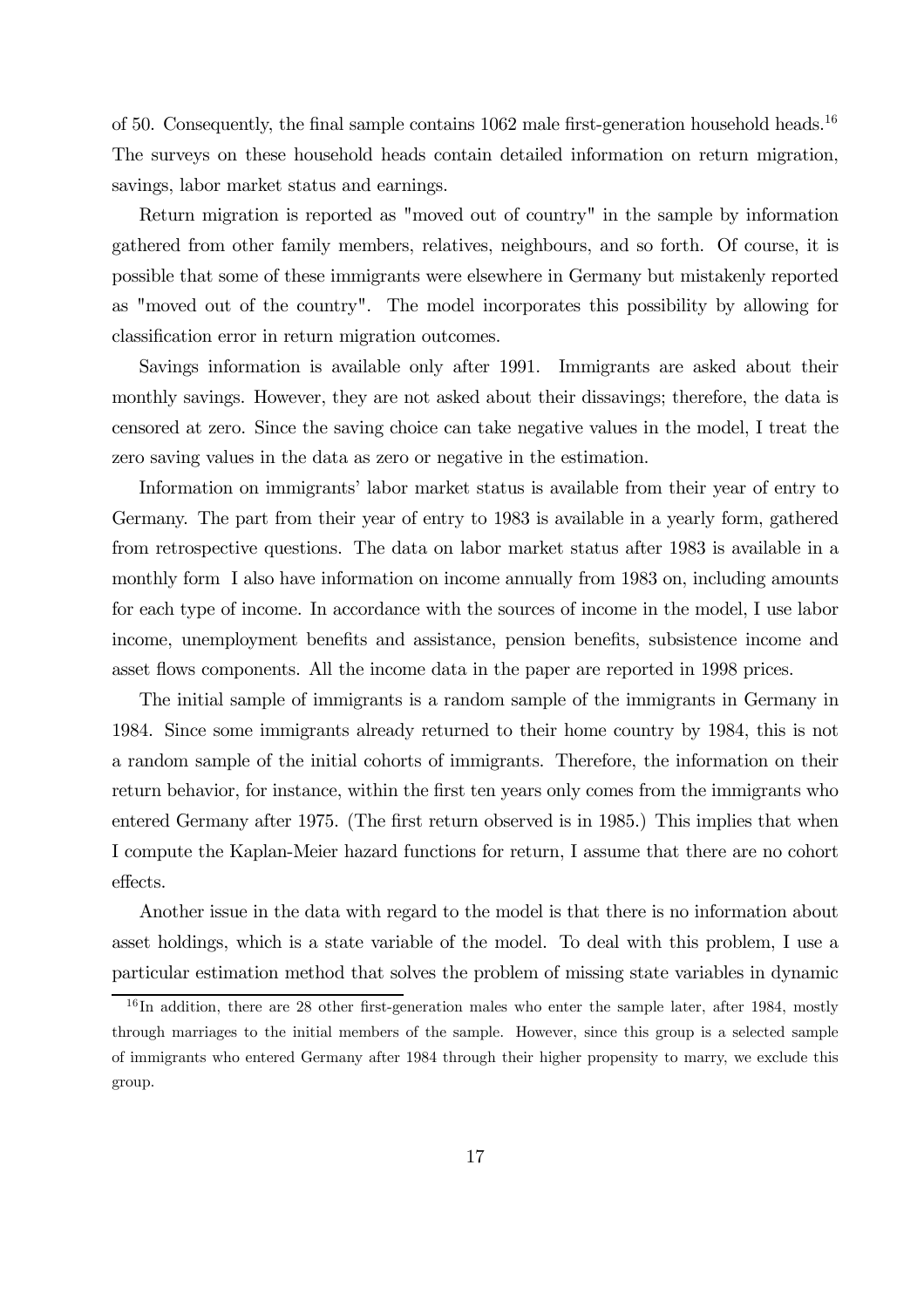of 50. Consequently, the final sample contains  $1062$  male first-generation household heads.<sup>16</sup> The surveys on these household heads contain detailed information on return migration, savings, labor market status and earnings.

Return migration is reported as "moved out of country" in the sample by information gathered from other family members, relatives, neighbours, and so forth. Of course, it is possible that some of these immigrants were elsewhere in Germany but mistakenly reported as "moved out of the country". The model incorporates this possibility by allowing for classification error in return migration outcomes.

Savings information is available only after 1991. Immigrants are asked about their monthly savings. However, they are not asked about their dissavings; therefore, the data is censored at zero. Since the saving choice can take negative values in the model, I treat the zero saving values in the data as zero or negative in the estimation.

Information on immigrants' labor market status is available from their year of entry to Germany. The part from their year of entry to 1983 is available in a yearly form, gathered from retrospective questions. The data on labor market status after 1983 is available in a monthly form I also have information on income annually from 1983 on, including amounts for each type of income. In accordance with the sources of income in the model, I use labor income, unemployment benefits and assistance, pension benefits, subsistence income and asset flows components. All the income data in the paper are reported in 1998 prices.

The initial sample of immigrants is a random sample of the immigrants in Germany in 1984. Since some immigrants already returned to their home country by 1984, this is not a random sample of the initial cohorts of immigrants. Therefore, the information on their return behavior, for instance, within the first ten years only comes from the immigrants who entered Germany after 1975. (The first return observed is in 1985.) This implies that when I compute the Kaplan-Meier hazard functions for return, I assume that there are no cohort effects.

Another issue in the data with regard to the model is that there is no information about asset holdings, which is a state variable of the model. To deal with this problem, I use a particular estimation method that solves the problem of missing state variables in dynamic

 $16$  In addition, there are 28 other first-generation males who enter the sample later, after 1984, mostly through marriages to the initial members of the sample. However, since this group is a selected sample of immigrants who entered Germany after 1984 through their higher propensity to marry, we exclude this group.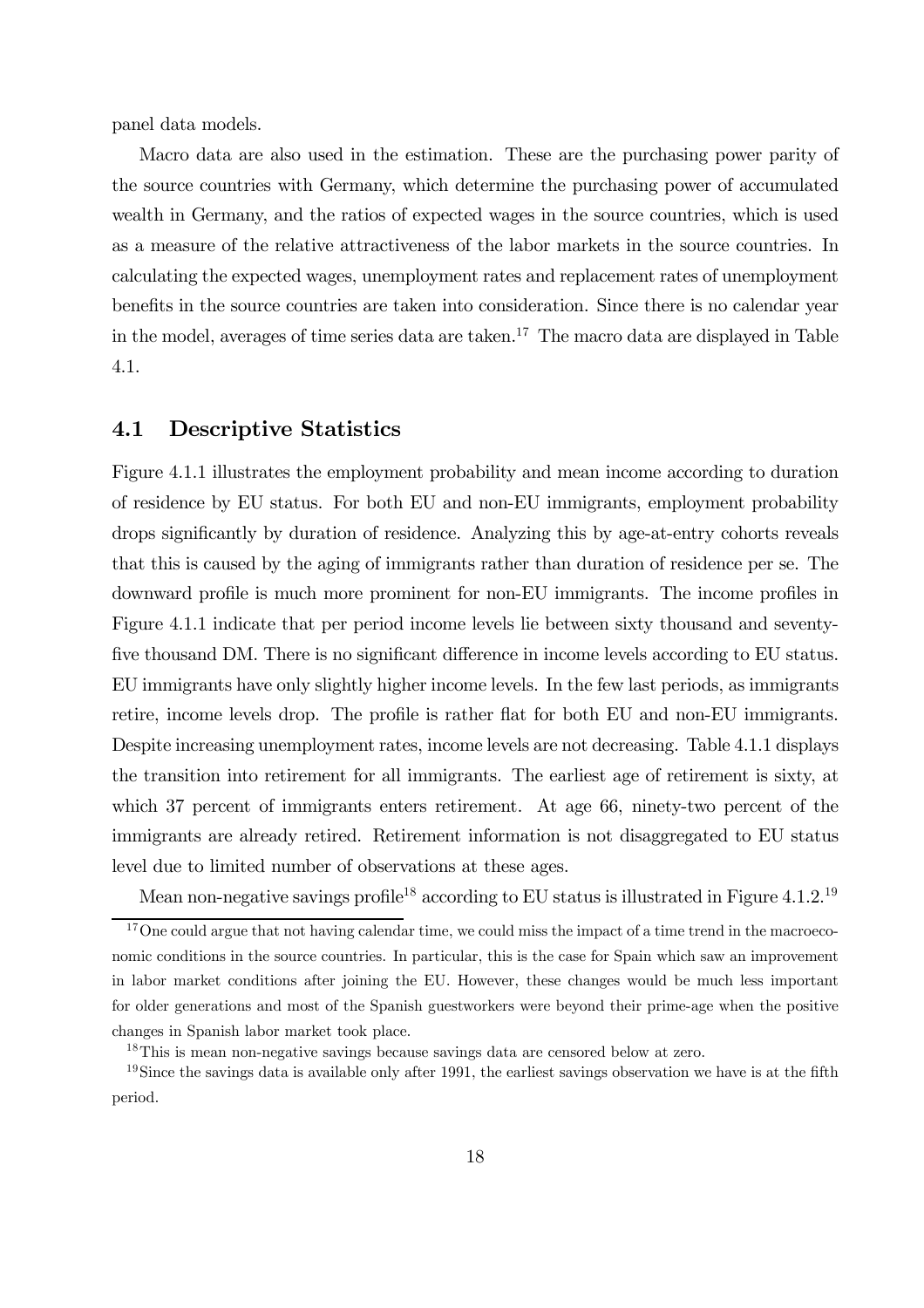panel data models.

Macro data are also used in the estimation. These are the purchasing power parity of the source countries with Germany, which determine the purchasing power of accumulated wealth in Germany, and the ratios of expected wages in the source countries, which is used as a measure of the relative attractiveness of the labor markets in the source countries. In calculating the expected wages, unemployment rates and replacement rates of unemployment benefits in the source countries are taken into consideration. Since there is no calendar year in the model, averages of time series data are taken.<sup>17</sup> The macro data are displayed in Table 4.1.

### 4.1 Descriptive Statistics

Figure 4.1.1 illustrates the employment probability and mean income according to duration of residence by EU status. For both EU and non-EU immigrants, employment probability drops significantly by duration of residence. Analyzing this by age-at-entry cohorts reveals that this is caused by the aging of immigrants rather than duration of residence per se. The downward profile is much more prominent for non-EU immigrants. The income profiles in Figure 4.1.1 indicate that per period income levels lie between sixty thousand and seventyfive thousand DM. There is no significant difference in income levels according to EU status. EU immigrants have only slightly higher income levels. In the few last periods, as immigrants retire, income levels drop. The profile is rather flat for both EU and non-EU immigrants. Despite increasing unemployment rates, income levels are not decreasing. Table 4.1.1 displays the transition into retirement for all immigrants. The earliest age of retirement is sixty, at which 37 percent of immigrants enters retirement. At age 66, ninety-two percent of the immigrants are already retired. Retirement information is not disaggregated to EU status level due to limited number of observations at these ages.

Mean non-negative savings profile<sup>18</sup> according to EU status is illustrated in Figure 4.1.2.<sup>19</sup>

<sup>&</sup>lt;sup>17</sup>One could argue that not having calendar time, we could miss the impact of a time trend in the macroeconomic conditions in the source countries. In particular, this is the case for Spain which saw an improvement in labor market conditions after joining the EU. However, these changes would be much less important for older generations and most of the Spanish guestworkers were beyond their prime-age when the positive changes in Spanish labor market took place.

<sup>18</sup>This is mean non-negative savings because savings data are censored below at zero.

 $19\text{Since the savings data is available only after 1991, the earliest savings observation we have is at the fifth.}$ period.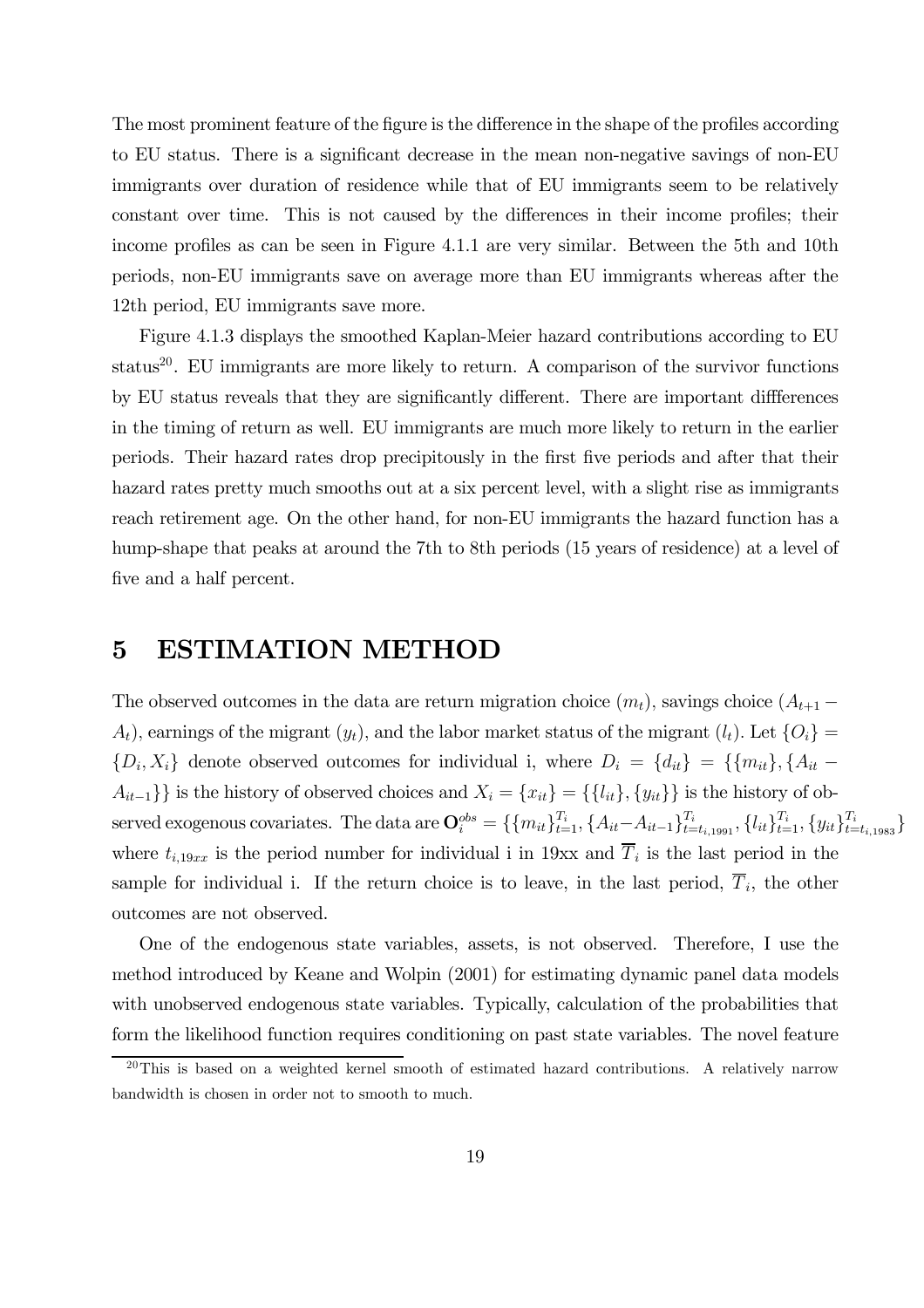The most prominent feature of the figure is the difference in the shape of the profiles according to EU status. There is a significant decrease in the mean non-negative savings of non-EU immigrants over duration of residence while that of EU immigrants seem to be relatively constant over time. This is not caused by the differences in their income profiles; their income profiles as can be seen in Figure 4.1.1 are very similar. Between the 5th and 10th periods, non-EU immigrants save on average more than EU immigrants whereas after the 12th period, EU immigrants save more.

Figure 4.1.3 displays the smoothed Kaplan-Meier hazard contributions according to EU status<sup>20</sup>. EU immigrants are more likely to return. A comparison of the survivor functions by EU status reveals that they are significantly different. There are important diffferences in the timing of return as well. EU immigrants are much more likely to return in the earlier periods. Their hazard rates drop precipitously in the first five periods and after that their hazard rates pretty much smooths out at a six percent level, with a slight rise as immigrants reach retirement age. On the other hand, for non-EU immigrants the hazard function has a hump-shape that peaks at around the 7th to 8th periods (15 years of residence) at a level of five and a half percent.

## 5 ESTIMATION METHOD

The observed outcomes in the data are return migration choice  $(m_t)$ , savings choice  $(A_{t+1}$  –  $A_t$ , earnings of the migrant  $(y_t)$ , and the labor market status of the migrant  $(l_t)$ . Let  $\{O_i\}$  $\{D_i, X_i\}$  denote observed outcomes for individual i, where  $D_i = \{d_{it}\}\ = \{\{m_{it}\}, \{A_{it} A_{it-1}$ }} is the history of observed choices and  $X_i = \{x_{it}\} = \{\{l_{it}\}, \{y_{it}\}\}\$ is the history of observed exogenous covariates. The data are  $\mathbf{O}_{i}^{obs} = \{\{m_{it}\}_{t=1}^{T_i}, \{A_{it}-A_{it-1}\}_{t=t_{i,1991}}^{T_i}, \{l_{it}\}_{t=1}^{T_i}, \{y_{it}\}_{t=t_{i,1983}}^{T_i}\}$ where  $t_{i,19xx}$  is the period number for individual i in 19xx and  $\overline{T}_i$  is the last period in the sample for individual i. If the return choice is to leave, in the last period,  $\overline{T}_i$ , the other outcomes are not observed.

One of the endogenous state variables, assets, is not observed. Therefore, I use the method introduced by Keane and Wolpin (2001) for estimating dynamic panel data models with unobserved endogenous state variables. Typically, calculation of the probabilities that form the likelihood function requires conditioning on past state variables. The novel feature

<sup>&</sup>lt;sup>20</sup>This is based on a weighted kernel smooth of estimated hazard contributions. A relatively narrow bandwidth is chosen in order not to smooth to much.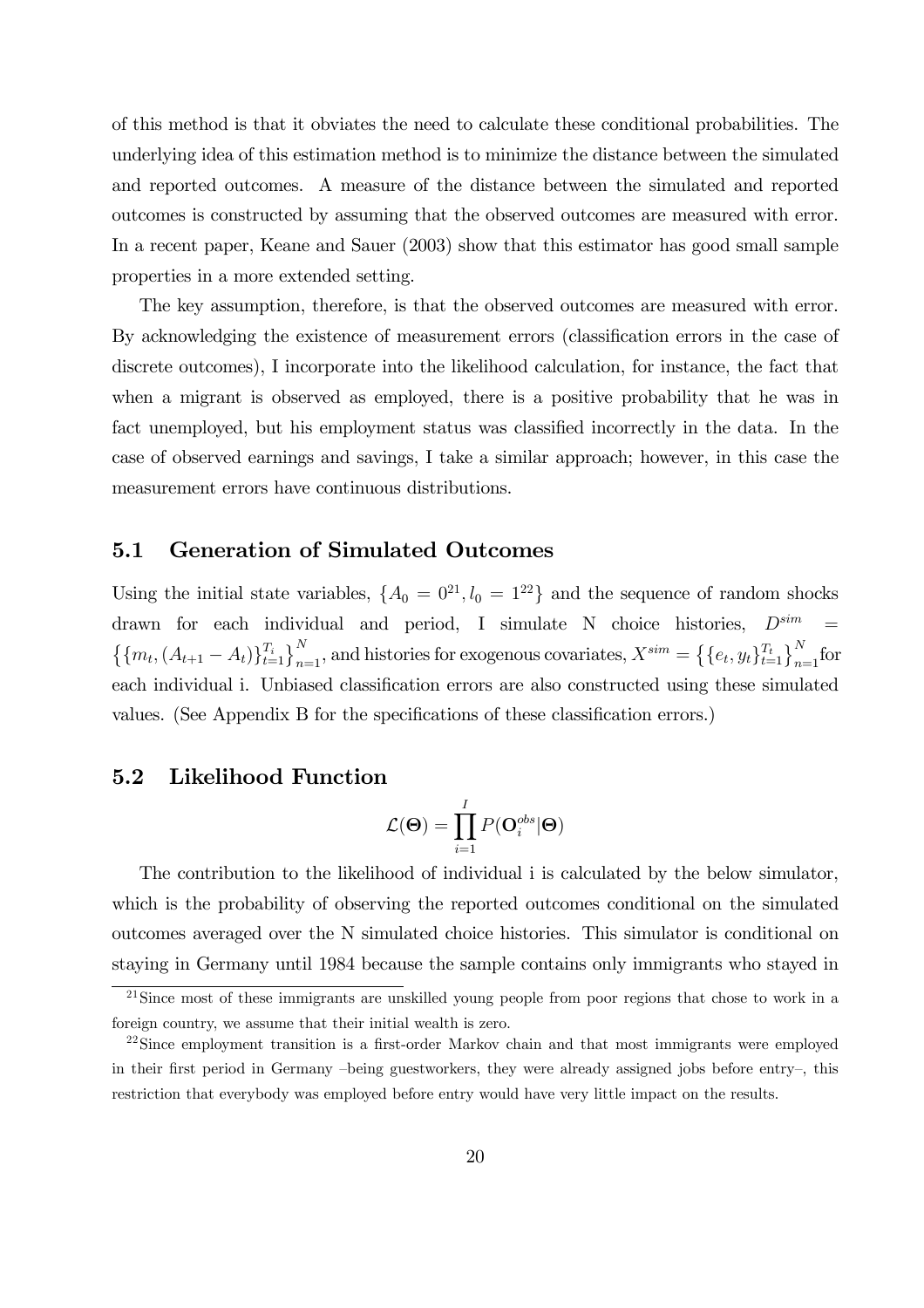of this method is that it obviates the need to calculate these conditional probabilities. The underlying idea of this estimation method is to minimize the distance between the simulated and reported outcomes. A measure of the distance between the simulated and reported outcomes is constructed by assuming that the observed outcomes are measured with error. In a recent paper, Keane and Sauer (2003) show that this estimator has good small sample properties in a more extended setting.

The key assumption, therefore, is that the observed outcomes are measured with error. By acknowledging the existence of measurement errors (classification errors in the case of discrete outcomes), I incorporate into the likelihood calculation, for instance, the fact that when a migrant is observed as employed, there is a positive probability that he was in fact unemployed, but his employment status was classified incorrectly in the data. In the case of observed earnings and savings, I take a similar approach; however, in this case the measurement errors have continuous distributions.

### 5.1 Generation of Simulated Outcomes

Using the initial state variables,  $\{A_0 = 0^{21}, l_0 = 1^{22}\}\$  and the sequence of random shocks drawn for each individual and period, I simulate N choice histories,  $D^{sim}$  $\left\{\{m_t,(A_{t+1}-A_t)\}_{t=1}^{T_i}\right\}_{n=1}^N$ , and histories for exogenous covariates,  $X^{sim} = \left\{\{e_t, y_t\}_{t=1}^{T_t}\right\}_{n=1}^N$  for each individual i. Unbiased classification errors are also constructed using these simulated values. (See Appendix B for the specifications of these classification errors.)

### 5.2 Likelihood Function

$$
\mathcal{L}(\mathbf{\Theta}) = \prod_{i=1}^{I} P(\mathbf{O}^{obs}_{i} | \mathbf{\Theta})
$$

The contribution to the likelihood of individual i is calculated by the below simulator, which is the probability of observing the reported outcomes conditional on the simulated outcomes averaged over the N simulated choice histories. This simulator is conditional on staying in Germany until 1984 because the sample contains only immigrants who stayed in

<sup>21</sup>Since most of these immigrants are unskilled young people from poor regions that chose to work in a foreign country, we assume that their initial wealth is zero.

<sup>&</sup>lt;sup>22</sup>Since employment transition is a first-order Markov chain and that most immigrants were employed in their first period in Germany —being guestworkers, they were already assigned jobs before entry—, this restriction that everybody was employed before entry would have very little impact on the results.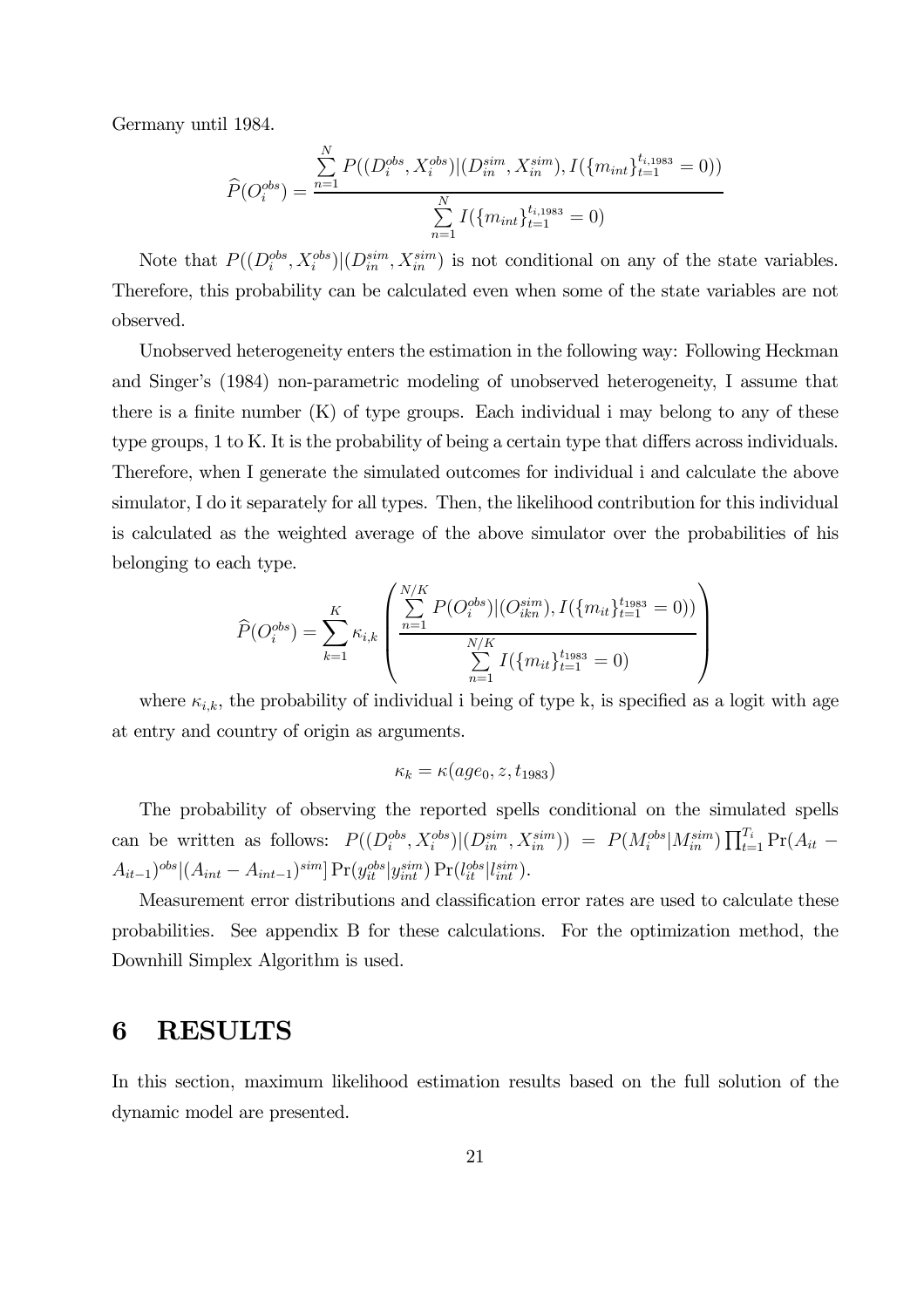Germany until 1984.

$$
\widehat{P}(O_i^{obs}) = \frac{\sum_{n=1}^{N} P((D_i^{obs}, X_i^{obs}) | (D_{in}^{sim}, X_{in}^{sim}), I(\{m_{int}\}_{t=1}^{t_{i,1983}} = 0))}{\sum_{n=1}^{N} I(\{m_{int}\}_{t=1}^{t_{i,1983}} = 0)}
$$

Note that  $P((D_i^{obs}, X_i^{obs})|(D_{in}^{sim}, X_{in}^{sim})$  is not conditional on any of the state variables. Therefore, this probability can be calculated even when some of the state variables are not observed.

Unobserved heterogeneity enters the estimation in the following way: Following Heckman and Singer's (1984) non-parametric modeling of unobserved heterogeneity, I assume that there is a finite number  $(K)$  of type groups. Each individual i may belong to any of these type groups, 1 to K. It is the probability of being a certain type that differs across individuals. Therefore, when I generate the simulated outcomes for individual i and calculate the above simulator, I do it separately for all types. Then, the likelihood contribution for this individual is calculated as the weighted average of the above simulator over the probabilities of his belonging to each type.

$$
\widehat{P}(O_i^{obs}) = \sum_{k=1}^K \kappa_{i,k} \left( \frac{\sum_{n=1}^{N/K} P(O_i^{obs}) | (O_{ikn}^{sim}), I(\{m_{it}\}_{t=1}^{t_{1983}} = 0))}{\sum_{n=1}^{N/K} I(\{m_{it}\}_{t=1}^{t_{1983}} = 0)}
$$

where  $\kappa_{i,k}$ , the probability of individual i being of type k, is specified as a logit with age at entry and country of origin as arguments.

$$
\kappa_k = \kappa(age_0, z, t_{1983})
$$

The probability of observing the reported spells conditional on the simulated spells can be written as follows:  $P((D_i^{obs}, X_i^{obs})|(D_{in}^{sim}, X_{in}^{sim})) = P(M_i^{obs}|M_{in}^{sim})\prod_{t=1}^{T_i}Pr(A_{it} A_{it-1})^{obs} | (A_{int} - A_{int-1})^{sim} ] \Pr(y_{it}^{obs} | y_{int}^{sim}) \Pr(l_{it}^{obs} | l_{int}^{sim}).$ 

Measurement error distributions and classification error rates are used to calculate these probabilities. See appendix B for these calculations. For the optimization method, the Downhill Simplex Algorithm is used.

# 6 RESULTS

In this section, maximum likelihood estimation results based on the full solution of the dynamic model are presented.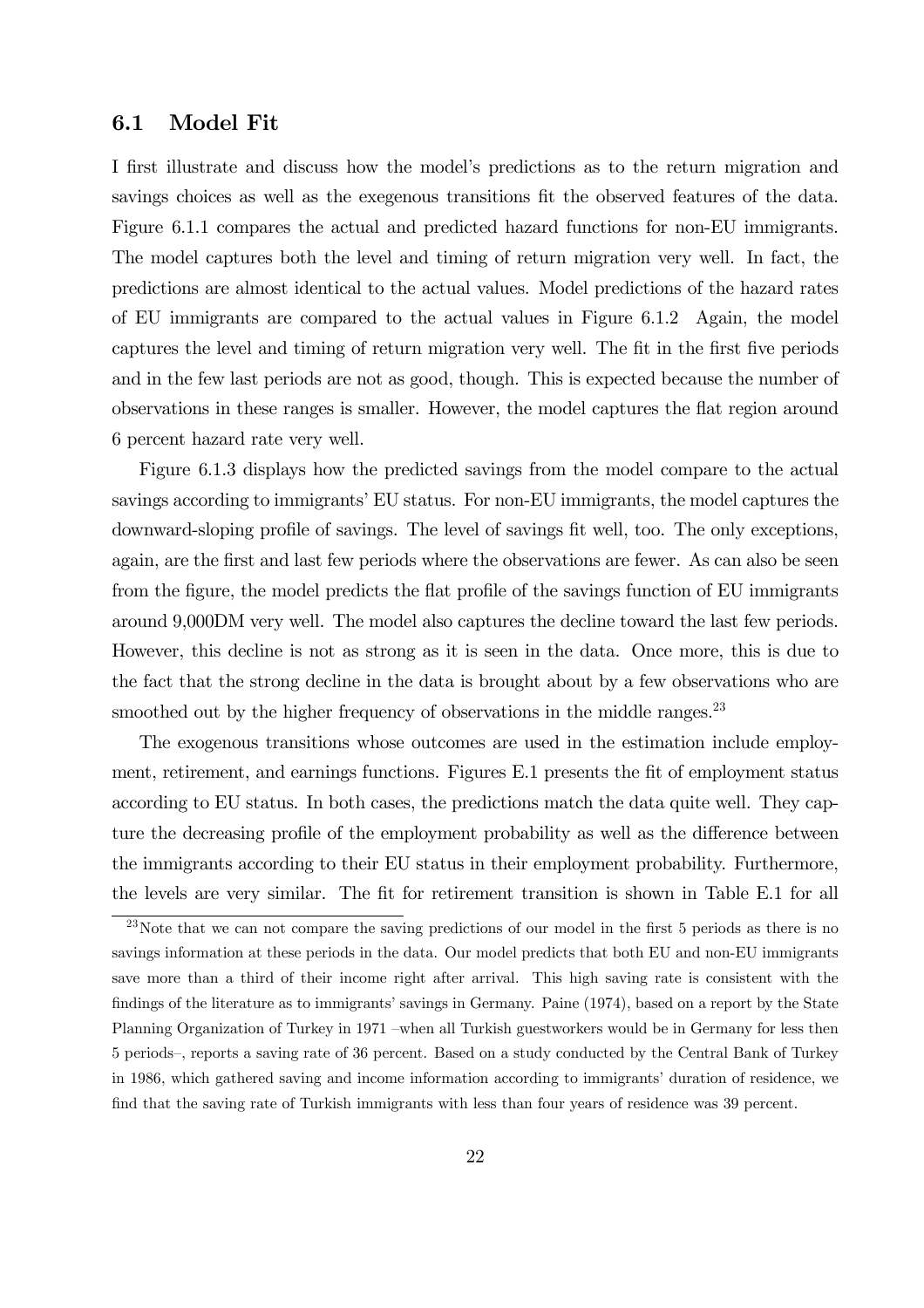### 6.1 Model Fit

I first illustrate and discuss how the model's predictions as to the return migration and savings choices as well as the exegenous transitions fit the observed features of the data. Figure 6.1.1 compares the actual and predicted hazard functions for non-EU immigrants. The model captures both the level and timing of return migration very well. In fact, the predictions are almost identical to the actual values. Model predictions of the hazard rates of EU immigrants are compared to the actual values in Figure 6.1.2 Again, the model captures the level and timing of return migration very well. The fit in the first five periods and in the few last periods are not as good, though. This is expected because the number of observations in these ranges is smaller. However, the model captures the flat region around 6 percent hazard rate very well.

Figure 6.1.3 displays how the predicted savings from the model compare to the actual savings according to immigrants' EU status. For non-EU immigrants, the model captures the downward-sloping profile of savings. The level of savings fit well, too. The only exceptions, again, are the first and last few periods where the observations are fewer. As can also be seen from the figure, the model predicts the flat profile of the savings function of EU immigrants around 9,000DM very well. The model also captures the decline toward the last few periods. However, this decline is not as strong as it is seen in the data. Once more, this is due to the fact that the strong decline in the data is brought about by a few observations who are smoothed out by the higher frequency of observations in the middle ranges.<sup>23</sup>

The exogenous transitions whose outcomes are used in the estimation include employment, retirement, and earnings functions. Figures E.1 presents the fit of employment status according to EU status. In both cases, the predictions match the data quite well. They capture the decreasing profile of the employment probability as well as the difference between the immigrants according to their EU status in their employment probability. Furthermore, the levels are very similar. The fit for retirement transition is shown in Table E.1 for all

<sup>&</sup>lt;sup>23</sup>Note that we can not compare the saving predictions of our model in the first 5 periods as there is no savings information at these periods in the data. Our model predicts that both EU and non-EU immigrants save more than a third of their income right after arrival. This high saving rate is consistent with the findings of the literature as to immigrants' savings in Germany. Paine (1974), based on a report by the State Planning Organization of Turkey in 1971 —when all Turkish guestworkers would be in Germany for less then 5 periods—, reports a saving rate of 36 percent. Based on a study conducted by the Central Bank of Turkey in 1986, which gathered saving and income information according to immigrants' duration of residence, we find that the saving rate of Turkish immigrants with less than four years of residence was 39 percent.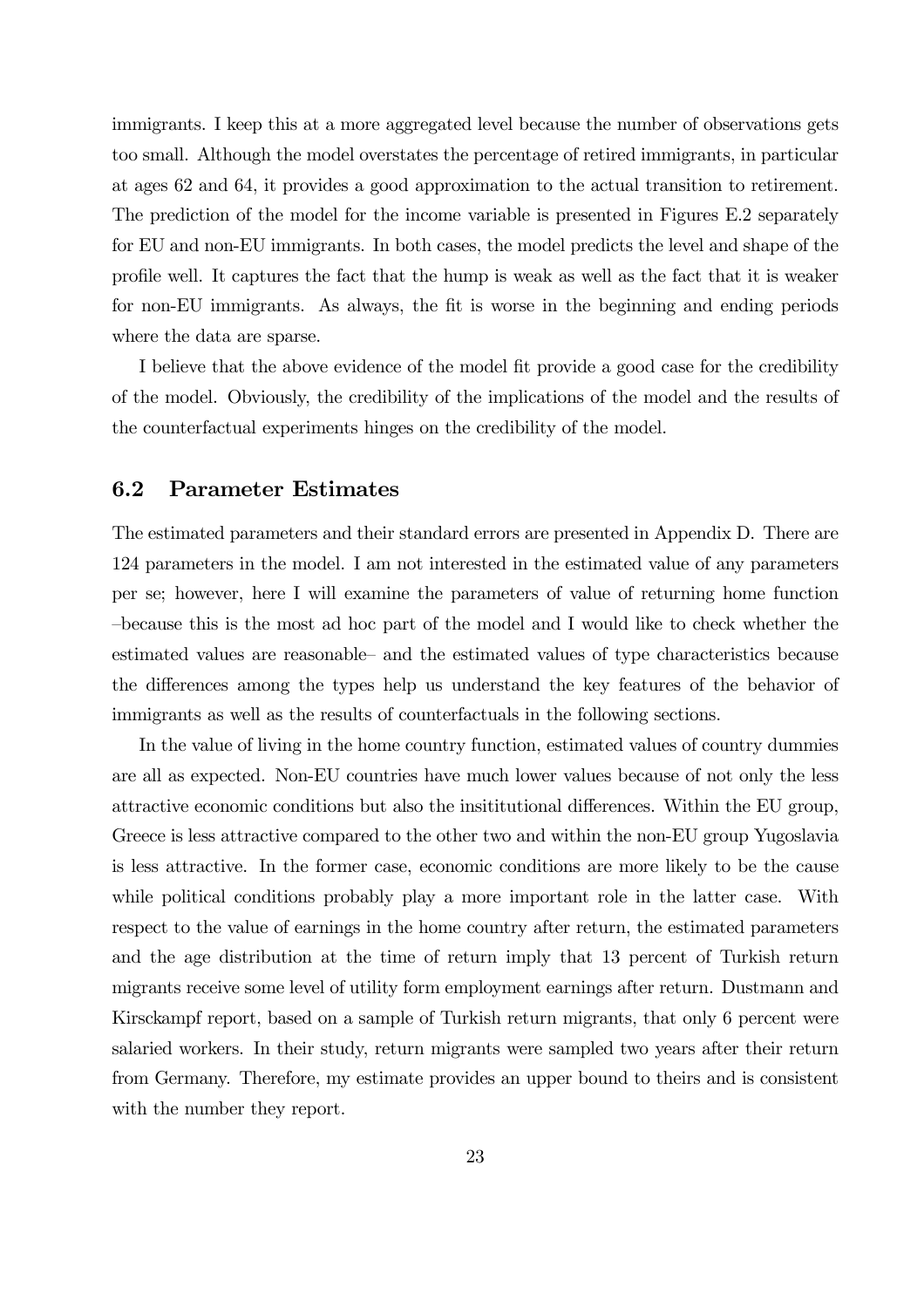immigrants. I keep this at a more aggregated level because the number of observations gets too small. Although the model overstates the percentage of retired immigrants, in particular at ages 62 and 64, it provides a good approximation to the actual transition to retirement. The prediction of the model for the income variable is presented in Figures E.2 separately for EU and non-EU immigrants. In both cases, the model predicts the level and shape of the profile well. It captures the fact that the hump is weak as well as the fact that it is weaker for non-EU immigrants. As always, the fit is worse in the beginning and ending periods where the data are sparse.

I believe that the above evidence of the model fit provide a good case for the credibility of the model. Obviously, the credibility of the implications of the model and the results of the counterfactual experiments hinges on the credibility of the model.

### 6.2 Parameter Estimates

The estimated parameters and their standard errors are presented in Appendix D. There are 124 parameters in the model. I am not interested in the estimated value of any parameters per se; however, here I will examine the parameters of value of returning home function —because this is the most ad hoc part of the model and I would like to check whether the estimated values are reasonable— and the estimated values of type characteristics because the differences among the types help us understand the key features of the behavior of immigrants as well as the results of counterfactuals in the following sections.

In the value of living in the home country function, estimated values of country dummies are all as expected. Non-EU countries have much lower values because of not only the less attractive economic conditions but also the insititutional differences. Within the EU group, Greece is less attractive compared to the other two and within the non-EU group Yugoslavia is less attractive. In the former case, economic conditions are more likely to be the cause while political conditions probably play a more important role in the latter case. With respect to the value of earnings in the home country after return, the estimated parameters and the age distribution at the time of return imply that 13 percent of Turkish return migrants receive some level of utility form employment earnings after return. Dustmann and Kirsckampf report, based on a sample of Turkish return migrants, that only 6 percent were salaried workers. In their study, return migrants were sampled two years after their return from Germany. Therefore, my estimate provides an upper bound to theirs and is consistent with the number they report.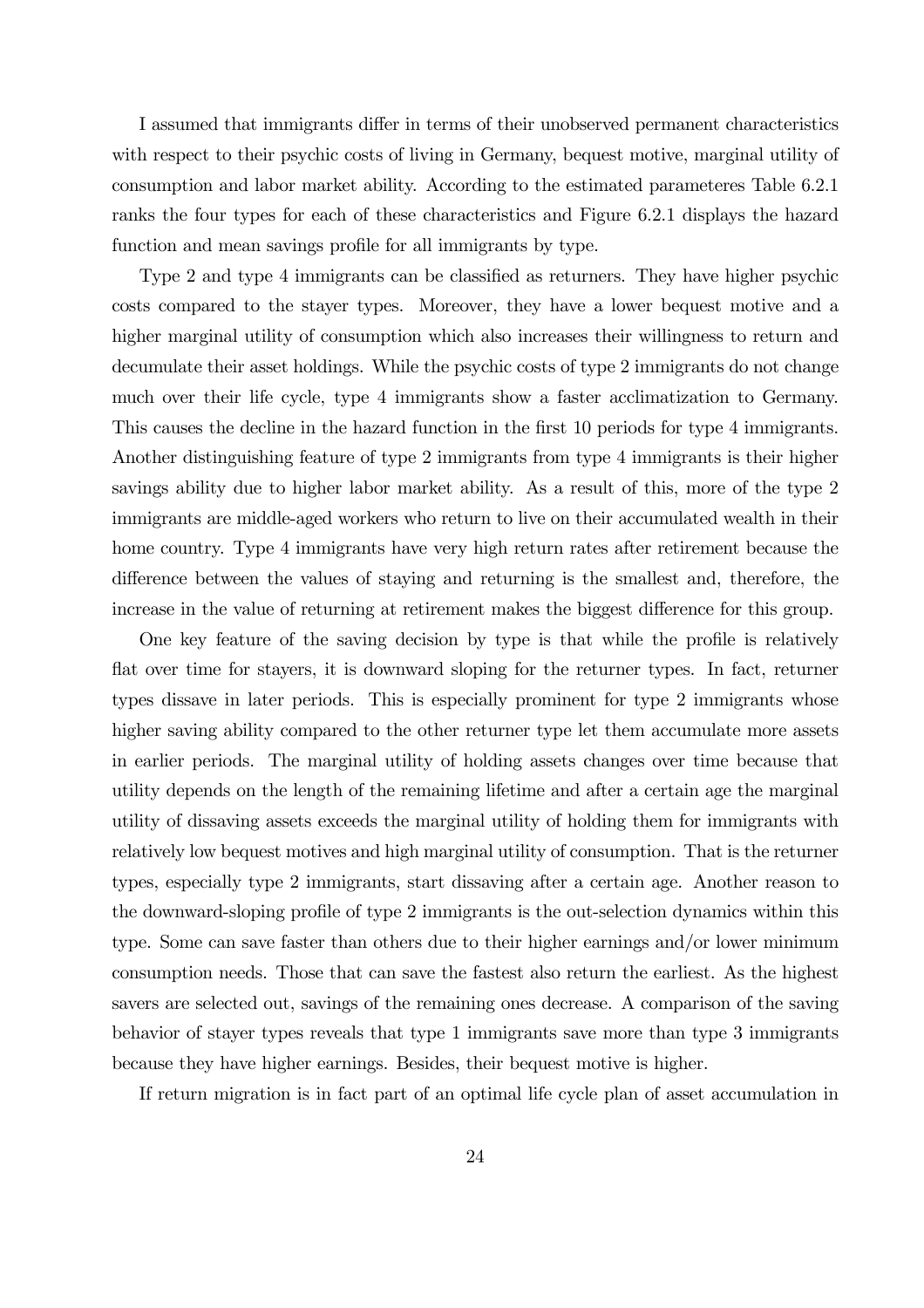I assumed that immigrants differ in terms of their unobserved permanent characteristics with respect to their psychic costs of living in Germany, bequest motive, marginal utility of consumption and labor market ability. According to the estimated parameteres Table 6.2.1 ranks the four types for each of these characteristics and Figure 6.2.1 displays the hazard function and mean savings profile for all immigrants by type.

Type 2 and type 4 immigrants can be classified as returners. They have higher psychic costs compared to the stayer types. Moreover, they have a lower bequest motive and a higher marginal utility of consumption which also increases their willingness to return and decumulate their asset holdings. While the psychic costs of type 2 immigrants do not change much over their life cycle, type 4 immigrants show a faster acclimatization to Germany. This causes the decline in the hazard function in the first 10 periods for type 4 immigrants. Another distinguishing feature of type 2 immigrants from type 4 immigrants is their higher savings ability due to higher labor market ability. As a result of this, more of the type 2 immigrants are middle-aged workers who return to live on their accumulated wealth in their home country. Type 4 immigrants have very high return rates after retirement because the difference between the values of staying and returning is the smallest and, therefore, the increase in the value of returning at retirement makes the biggest difference for this group.

One key feature of the saving decision by type is that while the profile is relatively flat over time for stayers, it is downward sloping for the returner types. In fact, returner types dissave in later periods. This is especially prominent for type 2 immigrants whose higher saving ability compared to the other returner type let them accumulate more assets in earlier periods. The marginal utility of holding assets changes over time because that utility depends on the length of the remaining lifetime and after a certain age the marginal utility of dissaving assets exceeds the marginal utility of holding them for immigrants with relatively low bequest motives and high marginal utility of consumption. That is the returner types, especially type 2 immigrants, start dissaving after a certain age. Another reason to the downward-sloping profile of type 2 immigrants is the out-selection dynamics within this type. Some can save faster than others due to their higher earnings and/or lower minimum consumption needs. Those that can save the fastest also return the earliest. As the highest savers are selected out, savings of the remaining ones decrease. A comparison of the saving behavior of stayer types reveals that type 1 immigrants save more than type 3 immigrants because they have higher earnings. Besides, their bequest motive is higher.

If return migration is in fact part of an optimal life cycle plan of asset accumulation in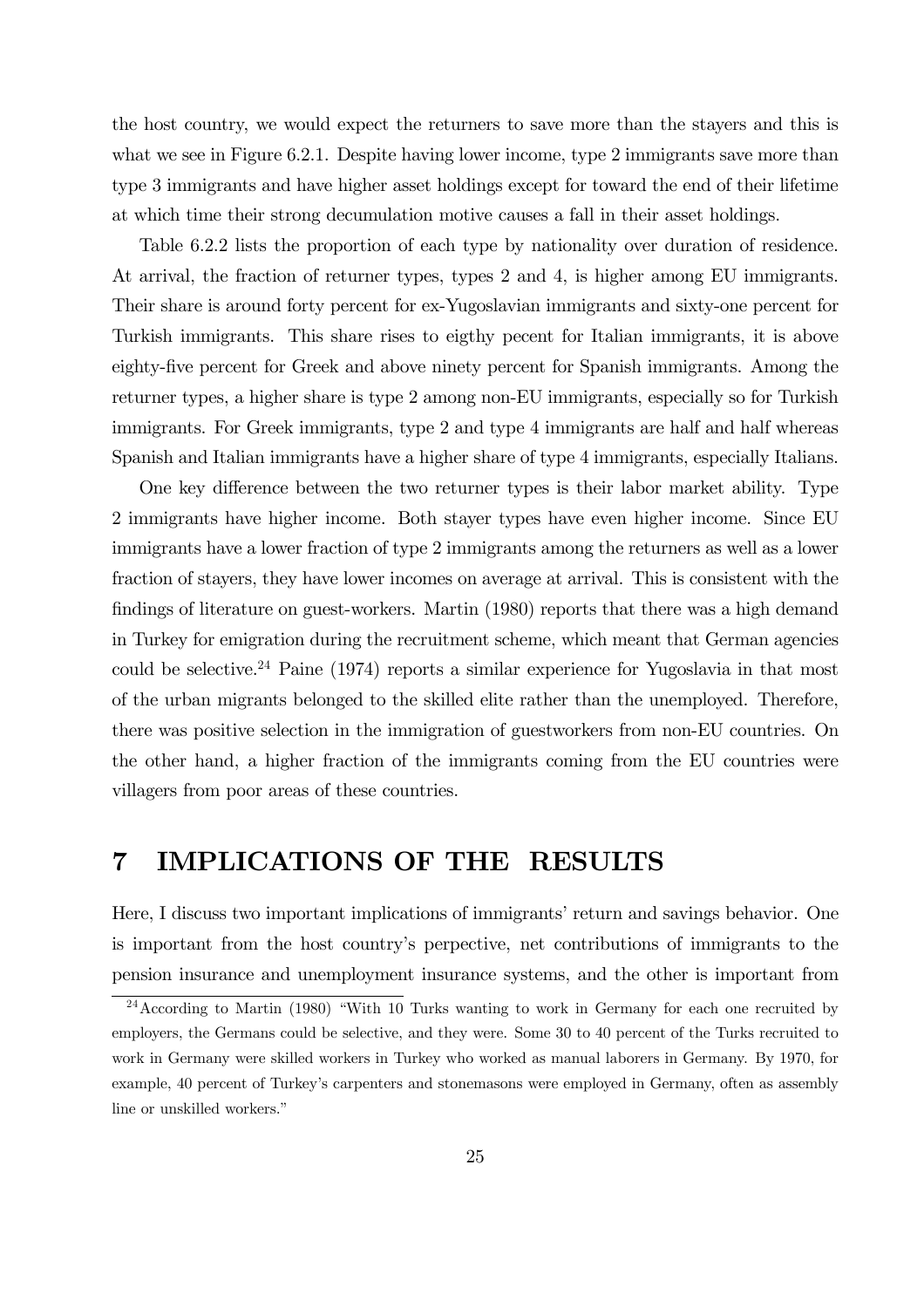the host country, we would expect the returners to save more than the stayers and this is what we see in Figure 6.2.1. Despite having lower income, type 2 immigrants save more than type 3 immigrants and have higher asset holdings except for toward the end of their lifetime at which time their strong decumulation motive causes a fall in their asset holdings.

Table 6.2.2 lists the proportion of each type by nationality over duration of residence. At arrival, the fraction of returner types, types 2 and 4, is higher among EU immigrants. Their share is around forty percent for ex-Yugoslavian immigrants and sixty-one percent for Turkish immigrants. This share rises to eigthy pecent for Italian immigrants, it is above eighty-five percent for Greek and above ninety percent for Spanish immigrants. Among the returner types, a higher share is type 2 among non-EU immigrants, especially so for Turkish immigrants. For Greek immigrants, type 2 and type 4 immigrants are half and half whereas Spanish and Italian immigrants have a higher share of type 4 immigrants, especially Italians.

One key difference between the two returner types is their labor market ability. Type 2 immigrants have higher income. Both stayer types have even higher income. Since EU immigrants have a lower fraction of type 2 immigrants among the returners as well as a lower fraction of stayers, they have lower incomes on average at arrival. This is consistent with the findings of literature on guest-workers. Martin (1980) reports that there was a high demand in Turkey for emigration during the recruitment scheme, which meant that German agencies could be selective.<sup>24</sup> Paine  $(1974)$  reports a similar experience for Yugoslavia in that most of the urban migrants belonged to the skilled elite rather than the unemployed. Therefore, there was positive selection in the immigration of guestworkers from non-EU countries. On the other hand, a higher fraction of the immigrants coming from the EU countries were villagers from poor areas of these countries.

# 7 IMPLICATIONS OF THE RESULTS

Here, I discuss two important implications of immigrants' return and savings behavior. One is important from the host country's perpective, net contributions of immigrants to the pension insurance and unemployment insurance systems, and the other is important from

 $24$ According to Martin (1980) "With 10 Turks wanting to work in Germany for each one recruited by employers, the Germans could be selective, and they were. Some 30 to 40 percent of the Turks recruited to work in Germany were skilled workers in Turkey who worked as manual laborers in Germany. By 1970, for example, 40 percent of Turkey's carpenters and stonemasons were employed in Germany, often as assembly line or unskilled workers."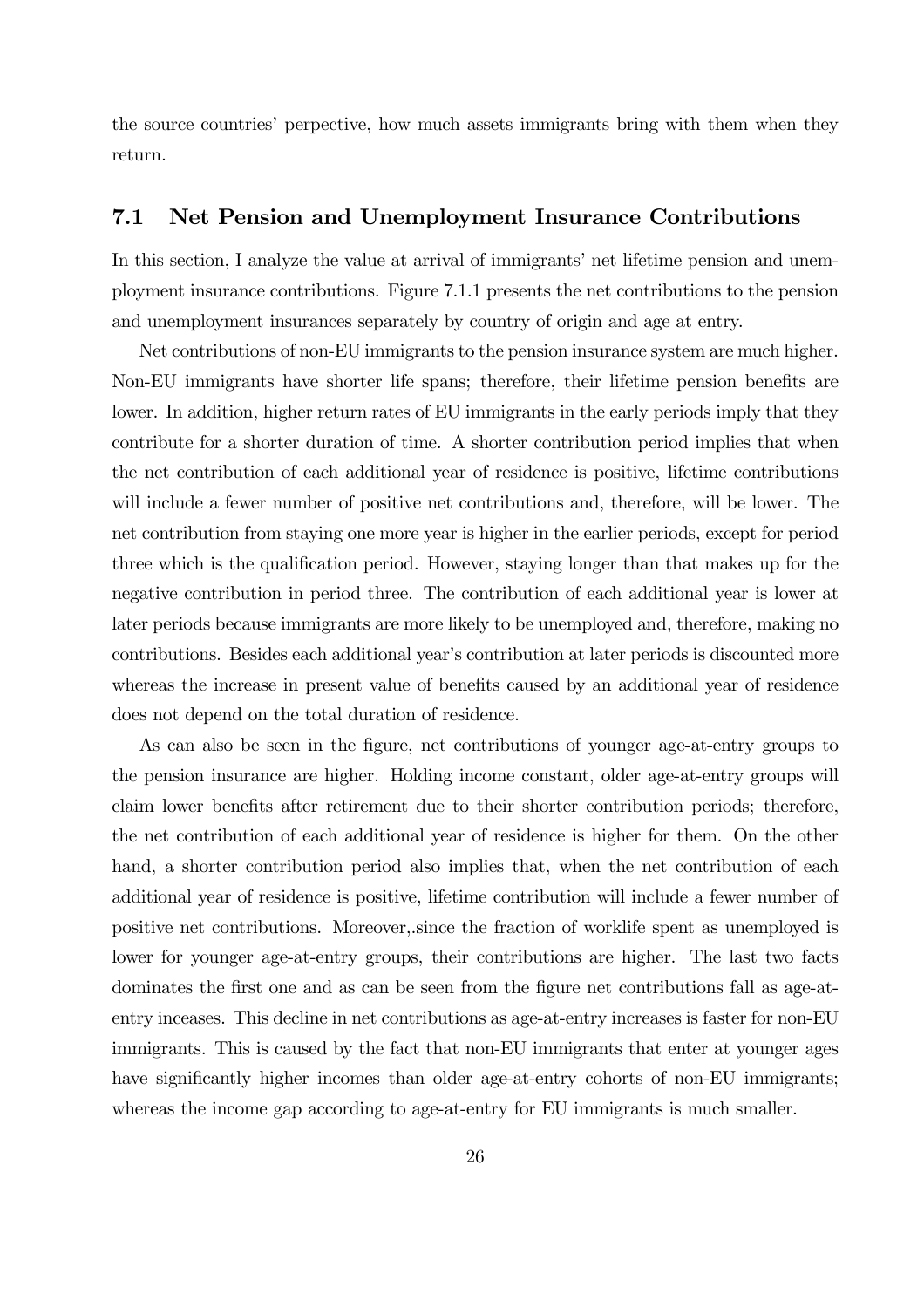the source countries' perpective, how much assets immigrants bring with them when they return.

### 7.1 Net Pension and Unemployment Insurance Contributions

In this section, I analyze the value at arrival of immigrants' net lifetime pension and unemployment insurance contributions. Figure 7.1.1 presents the net contributions to the pension and unemployment insurances separately by country of origin and age at entry.

Net contributions of non-EU immigrants to the pension insurance system are much higher. Non-EU immigrants have shorter life spans; therefore, their lifetime pension benefits are lower. In addition, higher return rates of EU immigrants in the early periods imply that they contribute for a shorter duration of time. A shorter contribution period implies that when the net contribution of each additional year of residence is positive, lifetime contributions will include a fewer number of positive net contributions and, therefore, will be lower. The net contribution from staying one more year is higher in the earlier periods, except for period three which is the qualification period. However, staying longer than that makes up for the negative contribution in period three. The contribution of each additional year is lower at later periods because immigrants are more likely to be unemployed and, therefore, making no contributions. Besides each additional year's contribution at later periods is discounted more whereas the increase in present value of benefits caused by an additional year of residence does not depend on the total duration of residence.

As can also be seen in the figure, net contributions of younger age-at-entry groups to the pension insurance are higher. Holding income constant, older age-at-entry groups will claim lower benefits after retirement due to their shorter contribution periods; therefore, the net contribution of each additional year of residence is higher for them. On the other hand, a shorter contribution period also implies that, when the net contribution of each additional year of residence is positive, lifetime contribution will include a fewer number of positive net contributions. Moreover,.since the fraction of worklife spent as unemployed is lower for younger age-at-entry groups, their contributions are higher. The last two facts dominates the first one and as can be seen from the figure net contributions fall as age-atentry inceases. This decline in net contributions as age-at-entry increases is faster for non-EU immigrants. This is caused by the fact that non-EU immigrants that enter at younger ages have significantly higher incomes than older age-at-entry cohorts of non-EU immigrants; whereas the income gap according to age-at-entry for EU immigrants is much smaller.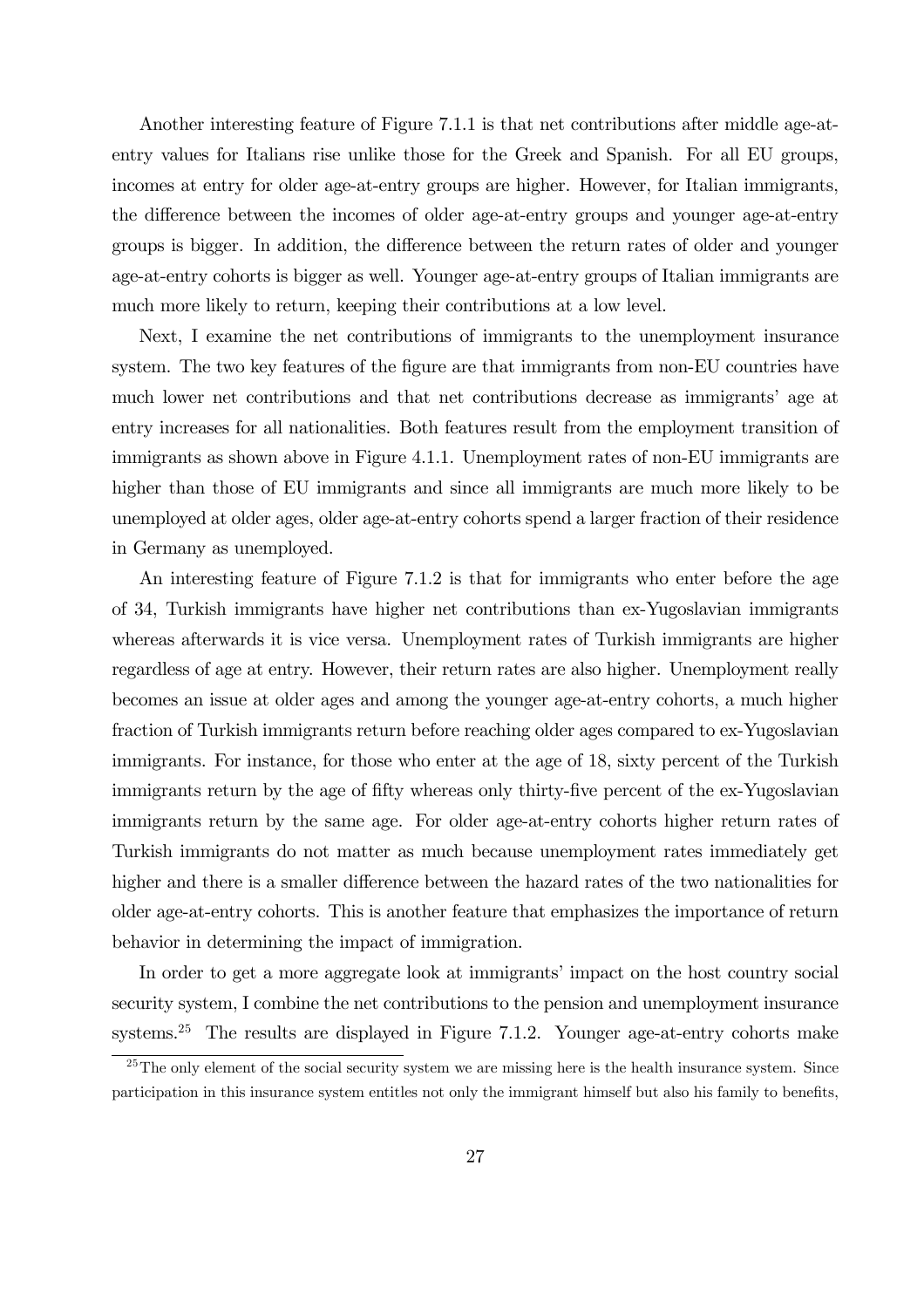Another interesting feature of Figure 7.1.1 is that net contributions after middle age-atentry values for Italians rise unlike those for the Greek and Spanish. For all EU groups, incomes at entry for older age-at-entry groups are higher. However, for Italian immigrants, the difference between the incomes of older age-at-entry groups and younger age-at-entry groups is bigger. In addition, the difference between the return rates of older and younger age-at-entry cohorts is bigger as well. Younger age-at-entry groups of Italian immigrants are much more likely to return, keeping their contributions at a low level.

Next, I examine the net contributions of immigrants to the unemployment insurance system. The two key features of the figure are that immigrants from non-EU countries have much lower net contributions and that net contributions decrease as immigrants' age at entry increases for all nationalities. Both features result from the employment transition of immigrants as shown above in Figure 4.1.1. Unemployment rates of non-EU immigrants are higher than those of EU immigrants and since all immigrants are much more likely to be unemployed at older ages, older age-at-entry cohorts spend a larger fraction of their residence in Germany as unemployed.

An interesting feature of Figure 7.1.2 is that for immigrants who enter before the age of 34, Turkish immigrants have higher net contributions than ex-Yugoslavian immigrants whereas afterwards it is vice versa. Unemployment rates of Turkish immigrants are higher regardless of age at entry. However, their return rates are also higher. Unemployment really becomes an issue at older ages and among the younger age-at-entry cohorts, a much higher fraction of Turkish immigrants return before reaching older ages compared to ex-Yugoslavian immigrants. For instance, for those who enter at the age of 18, sixty percent of the Turkish immigrants return by the age of fifty whereas only thirty-five percent of the ex-Yugoslavian immigrants return by the same age. For older age-at-entry cohorts higher return rates of Turkish immigrants do not matter as much because unemployment rates immediately get higher and there is a smaller difference between the hazard rates of the two nationalities for older age-at-entry cohorts. This is another feature that emphasizes the importance of return behavior in determining the impact of immigration.

In order to get a more aggregate look at immigrants' impact on the host country social security system, I combine the net contributions to the pension and unemployment insurance systems.<sup>25</sup> The results are displayed in Figure 7.1.2. Younger age-at-entry cohorts make

 $25$ The only element of the social security system we are missing here is the health insurance system. Since participation in this insurance system entitles not only the immigrant himself but also his family to benefits,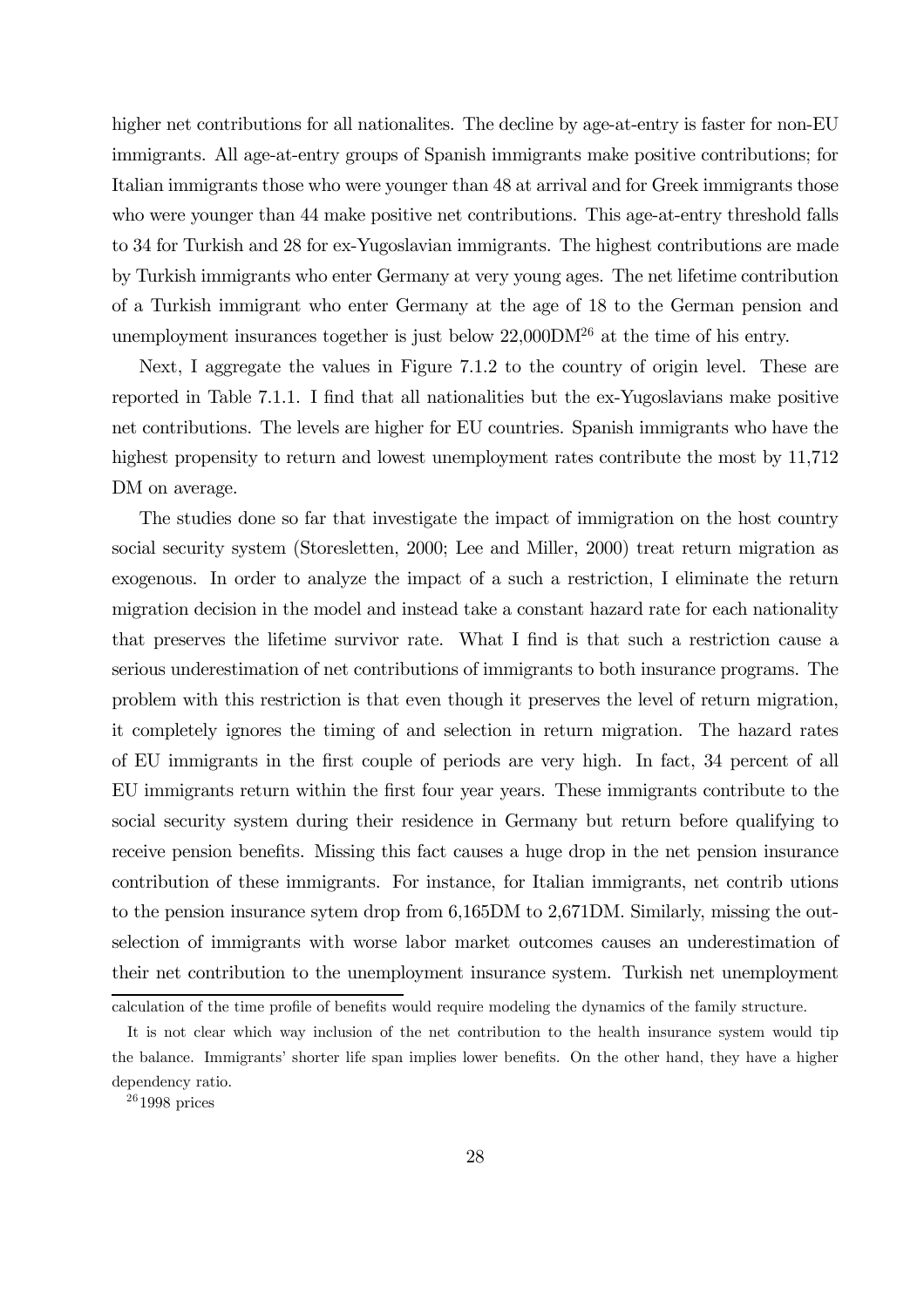higher net contributions for all nationalites. The decline by age-at-entry is faster for non-EU immigrants. All age-at-entry groups of Spanish immigrants make positive contributions; for Italian immigrants those who were younger than 48 at arrival and for Greek immigrants those who were younger than 44 make positive net contributions. This age-at-entry threshold falls to 34 for Turkish and 28 for ex-Yugoslavian immigrants. The highest contributions are made by Turkish immigrants who enter Germany at very young ages. The net lifetime contribution of a Turkish immigrant who enter Germany at the age of 18 to the German pension and unemployment insurances together is just below  $22,000\text{DM}^{26}$  at the time of his entry.

Next, I aggregate the values in Figure 7.1.2 to the country of origin level. These are reported in Table 7.1.1. I find that all nationalities but the ex-Yugoslavians make positive net contributions. The levels are higher for EU countries. Spanish immigrants who have the highest propensity to return and lowest unemployment rates contribute the most by 11,712 DM on average.

The studies done so far that investigate the impact of immigration on the host country social security system (Storesletten, 2000; Lee and Miller, 2000) treat return migration as exogenous. In order to analyze the impact of a such a restriction, I eliminate the return migration decision in the model and instead take a constant hazard rate for each nationality that preserves the lifetime survivor rate. What I find is that such a restriction cause a serious underestimation of net contributions of immigrants to both insurance programs. The problem with this restriction is that even though it preserves the level of return migration, it completely ignores the timing of and selection in return migration. The hazard rates of EU immigrants in the first couple of periods are very high. In fact, 34 percent of all EU immigrants return within the first four year years. These immigrants contribute to the social security system during their residence in Germany but return before qualifying to receive pension benefits. Missing this fact causes a huge drop in the net pension insurance contribution of these immigrants. For instance, for Italian immigrants, net contrib utions to the pension insurance sytem drop from 6,165DM to 2,671DM. Similarly, missing the outselection of immigrants with worse labor market outcomes causes an underestimation of their net contribution to the unemployment insurance system. Turkish net unemployment

calculation of the time profile of benefits would require modeling the dynamics of the family structure.

It is not clear which way inclusion of the net contribution to the health insurance system would tip the balance. Immigrants' shorter life span implies lower benefits. On the other hand, they have a higher dependency ratio.

<sup>26</sup> 1998 prices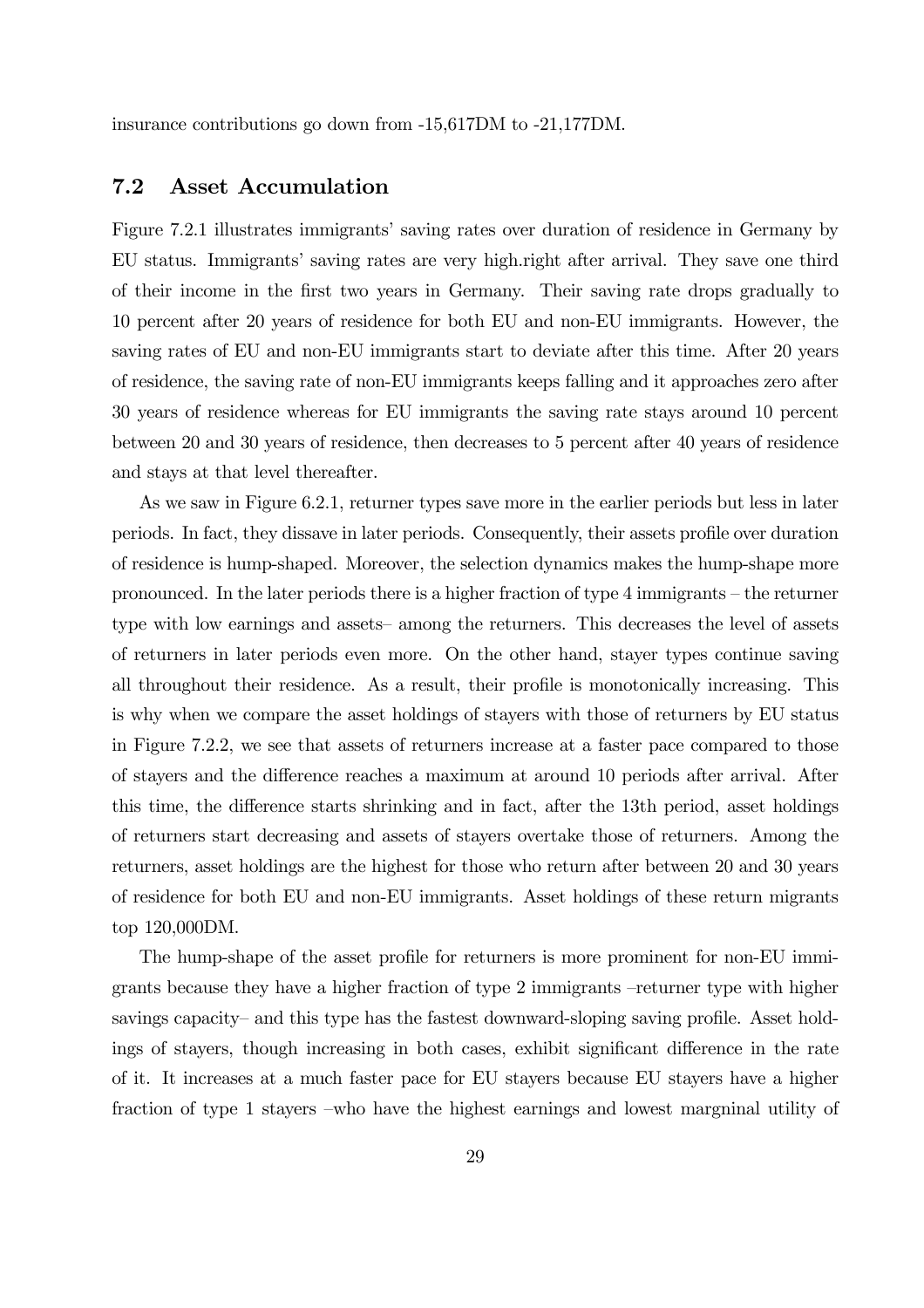insurance contributions go down from -15,617DM to -21,177DM.

### 7.2 Asset Accumulation

Figure 7.2.1 illustrates immigrants' saving rates over duration of residence in Germany by EU status. Immigrants' saving rates are very high.right after arrival. They save one third of their income in the first two years in Germany. Their saving rate drops gradually to 10 percent after 20 years of residence for both EU and non-EU immigrants. However, the saving rates of EU and non-EU immigrants start to deviate after this time. After 20 years of residence, the saving rate of non-EU immigrants keeps falling and it approaches zero after 30 years of residence whereas for EU immigrants the saving rate stays around 10 percent between 20 and 30 years of residence, then decreases to 5 percent after 40 years of residence and stays at that level thereafter.

As we saw in Figure 6.2.1, returner types save more in the earlier periods but less in later periods. In fact, they dissave in later periods. Consequently, their assets profile over duration of residence is hump-shaped. Moreover, the selection dynamics makes the hump-shape more pronounced. In the later periods there is a higher fraction of type 4 immigrants — the returner type with low earnings and assets— among the returners. This decreases the level of assets of returners in later periods even more. On the other hand, stayer types continue saving all throughout their residence. As a result, their profile is monotonically increasing. This is why when we compare the asset holdings of stayers with those of returners by EU status in Figure 7.2.2, we see that assets of returners increase at a faster pace compared to those of stayers and the difference reaches a maximum at around 10 periods after arrival. After this time, the difference starts shrinking and in fact, after the 13th period, asset holdings of returners start decreasing and assets of stayers overtake those of returners. Among the returners, asset holdings are the highest for those who return after between 20 and 30 years of residence for both EU and non-EU immigrants. Asset holdings of these return migrants top 120,000DM.

The hump-shape of the asset profile for returners is more prominent for non-EU immigrants because they have a higher fraction of type 2 immigrants —returner type with higher savings capacity— and this type has the fastest downward-sloping saving profile. Asset holdings of stayers, though increasing in both cases, exhibit significant difference in the rate of it. It increases at a much faster pace for EU stayers because EU stayers have a higher fraction of type 1 stayers —who have the highest earnings and lowest margninal utility of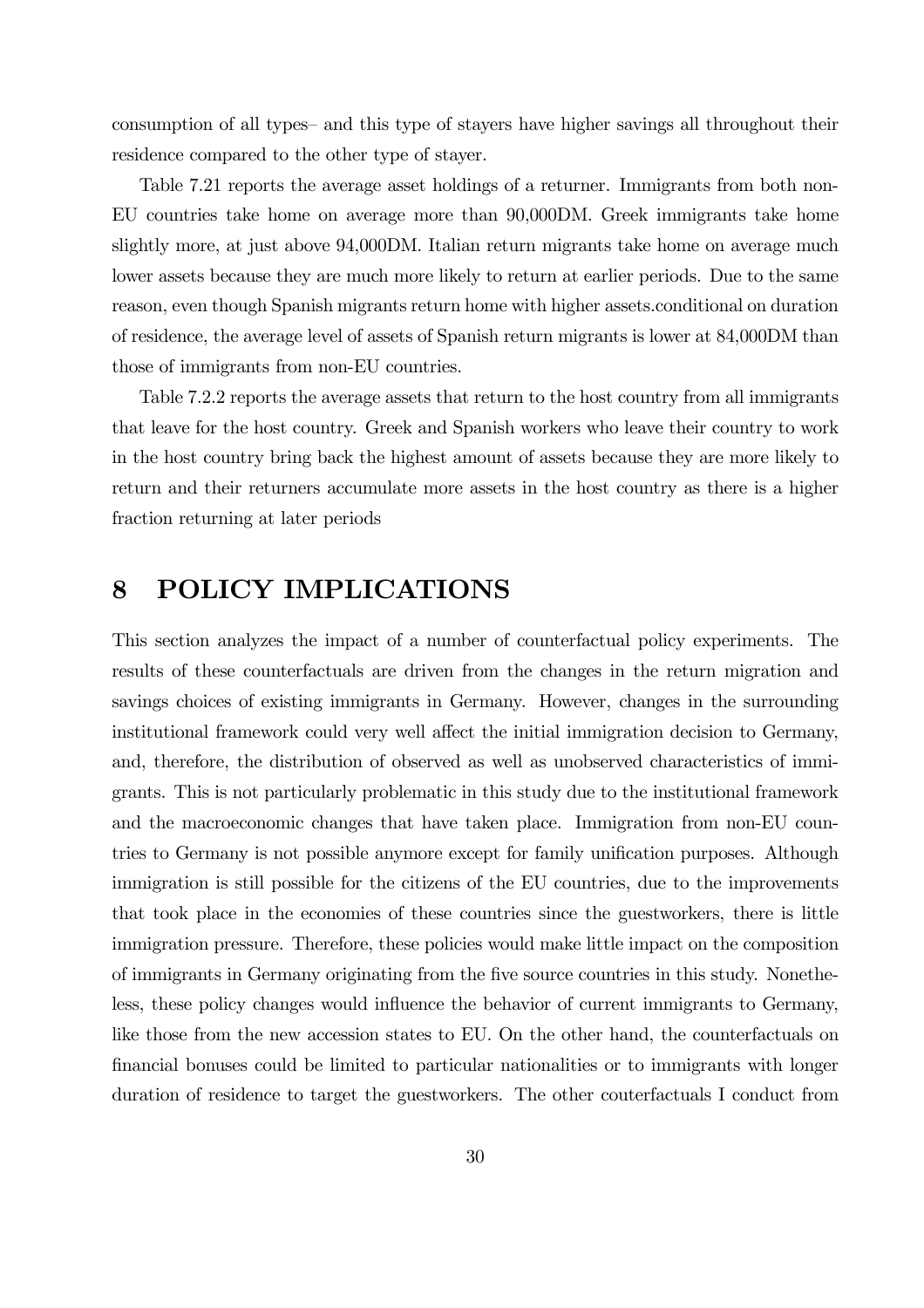consumption of all types— and this type of stayers have higher savings all throughout their residence compared to the other type of stayer.

Table 7.21 reports the average asset holdings of a returner. Immigrants from both non-EU countries take home on average more than 90,000DM. Greek immigrants take home slightly more, at just above 94,000DM. Italian return migrants take home on average much lower assets because they are much more likely to return at earlier periods. Due to the same reason, even though Spanish migrants return home with higher assets.conditional on duration of residence, the average level of assets of Spanish return migrants is lower at 84,000DM than those of immigrants from non-EU countries.

Table 7.2.2 reports the average assets that return to the host country from all immigrants that leave for the host country. Greek and Spanish workers who leave their country to work in the host country bring back the highest amount of assets because they are more likely to return and their returners accumulate more assets in the host country as there is a higher fraction returning at later periods

# 8 POLICY IMPLICATIONS

This section analyzes the impact of a number of counterfactual policy experiments. The results of these counterfactuals are driven from the changes in the return migration and savings choices of existing immigrants in Germany. However, changes in the surrounding institutional framework could very well affect the initial immigration decision to Germany, and, therefore, the distribution of observed as well as unobserved characteristics of immigrants. This is not particularly problematic in this study due to the institutional framework and the macroeconomic changes that have taken place. Immigration from non-EU countries to Germany is not possible anymore except for family unification purposes. Although immigration is still possible for the citizens of the EU countries, due to the improvements that took place in the economies of these countries since the guestworkers, there is little immigration pressure. Therefore, these policies would make little impact on the composition of immigrants in Germany originating from the five source countries in this study. Nonetheless, these policy changes would influence the behavior of current immigrants to Germany, like those from the new accession states to EU. On the other hand, the counterfactuals on financial bonuses could be limited to particular nationalities or to immigrants with longer duration of residence to target the guestworkers. The other couterfactuals I conduct from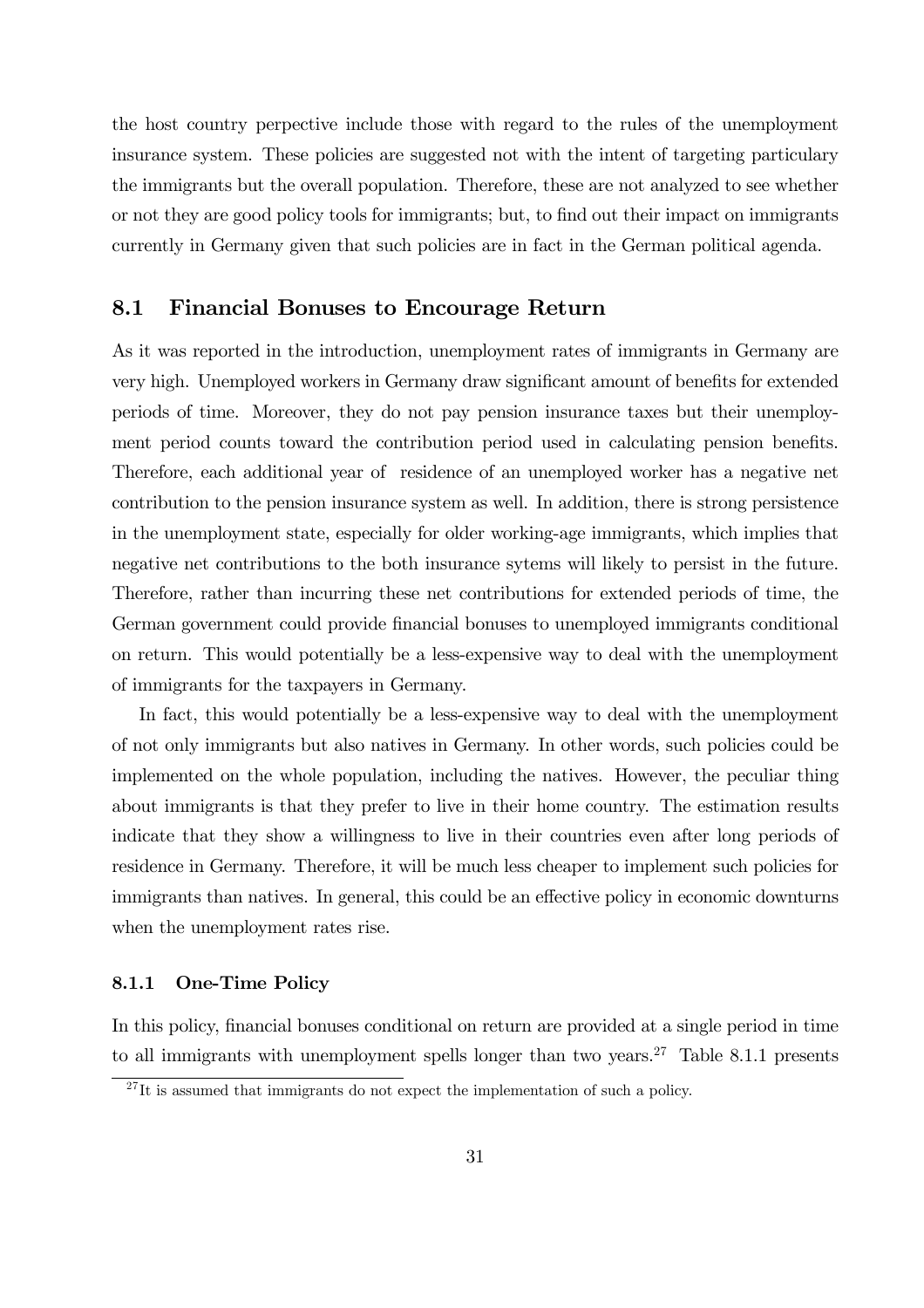the host country perpective include those with regard to the rules of the unemployment insurance system. These policies are suggested not with the intent of targeting particulary the immigrants but the overall population. Therefore, these are not analyzed to see whether or not they are good policy tools for immigrants; but, to find out their impact on immigrants currently in Germany given that such policies are in fact in the German political agenda.

### 8.1 Financial Bonuses to Encourage Return

As it was reported in the introduction, unemployment rates of immigrants in Germany are very high. Unemployed workers in Germany draw significant amount of benefits for extended periods of time. Moreover, they do not pay pension insurance taxes but their unemployment period counts toward the contribution period used in calculating pension benefits. Therefore, each additional year of residence of an unemployed worker has a negative net contribution to the pension insurance system as well. In addition, there is strong persistence in the unemployment state, especially for older working-age immigrants, which implies that negative net contributions to the both insurance sytems will likely to persist in the future. Therefore, rather than incurring these net contributions for extended periods of time, the German government could provide financial bonuses to unemployed immigrants conditional on return. This would potentially be a less-expensive way to deal with the unemployment of immigrants for the taxpayers in Germany.

In fact, this would potentially be a less-expensive way to deal with the unemployment of not only immigrants but also natives in Germany. In other words, such policies could be implemented on the whole population, including the natives. However, the peculiar thing about immigrants is that they prefer to live in their home country. The estimation results indicate that they show a willingness to live in their countries even after long periods of residence in Germany. Therefore, it will be much less cheaper to implement such policies for immigrants than natives. In general, this could be an effective policy in economic downturns when the unemployment rates rise.

### 8.1.1 One-Time Policy

In this policy, financial bonuses conditional on return are provided at a single period in time to all immigrants with unemployment spells longer than two years.<sup>27</sup> Table 8.1.1 presents

 $^{27}$ It is assumed that immigrants do not expect the implementation of such a policy.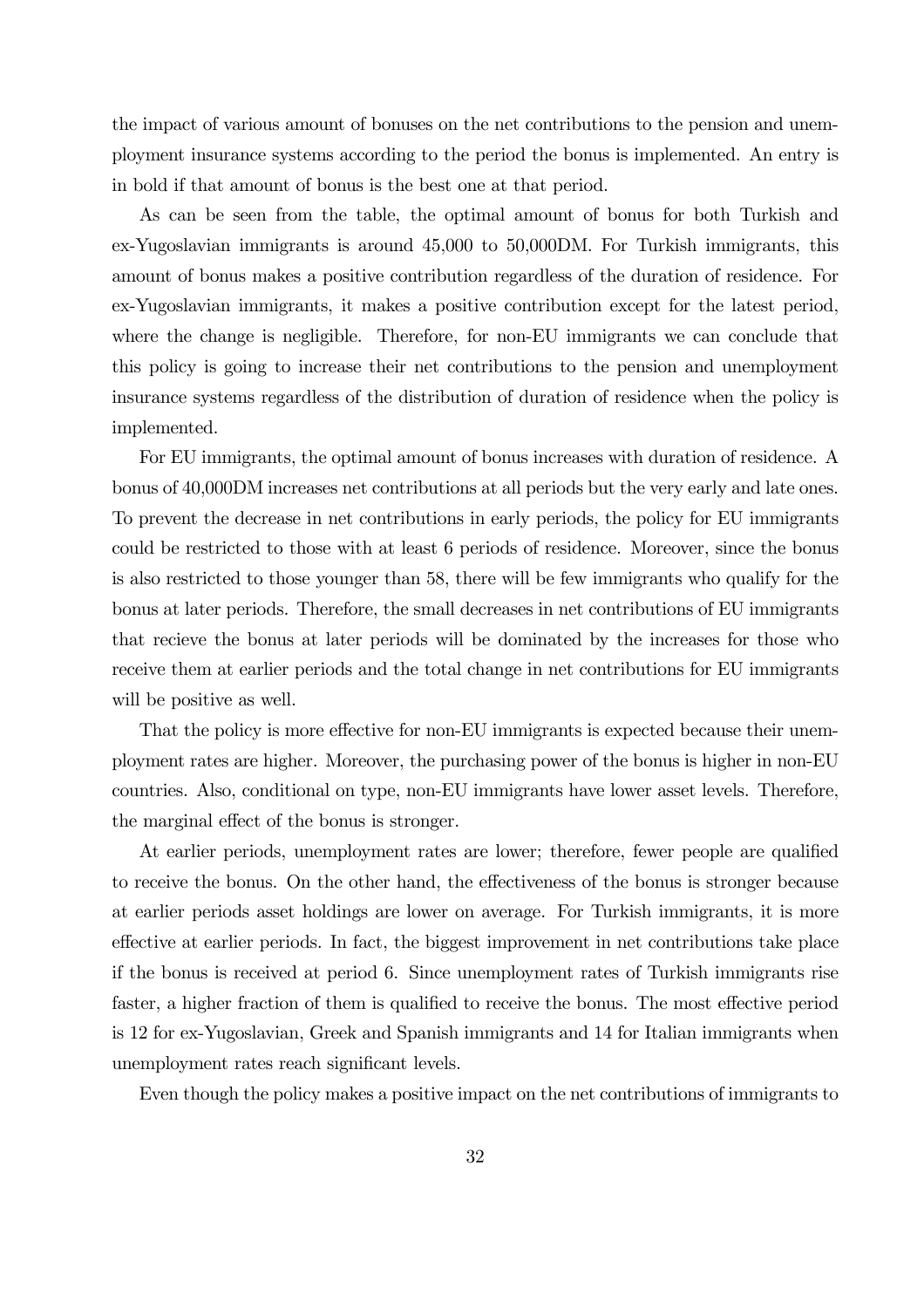the impact of various amount of bonuses on the net contributions to the pension and unemployment insurance systems according to the period the bonus is implemented. An entry is in bold if that amount of bonus is the best one at that period.

As can be seen from the table, the optimal amount of bonus for both Turkish and ex-Yugoslavian immigrants is around 45,000 to 50,000DM. For Turkish immigrants, this amount of bonus makes a positive contribution regardless of the duration of residence. For ex-Yugoslavian immigrants, it makes a positive contribution except for the latest period, where the change is negligible. Therefore, for non-EU immigrants we can conclude that this policy is going to increase their net contributions to the pension and unemployment insurance systems regardless of the distribution of duration of residence when the policy is implemented.

For EU immigrants, the optimal amount of bonus increases with duration of residence. A bonus of 40,000DM increases net contributions at all periods but the very early and late ones. To prevent the decrease in net contributions in early periods, the policy for EU immigrants could be restricted to those with at least 6 periods of residence. Moreover, since the bonus is also restricted to those younger than 58, there will be few immigrants who qualify for the bonus at later periods. Therefore, the small decreases in net contributions of EU immigrants that recieve the bonus at later periods will be dominated by the increases for those who receive them at earlier periods and the total change in net contributions for EU immigrants will be positive as well.

That the policy is more effective for non-EU immigrants is expected because their unemployment rates are higher. Moreover, the purchasing power of the bonus is higher in non-EU countries. Also, conditional on type, non-EU immigrants have lower asset levels. Therefore, the marginal effect of the bonus is stronger.

At earlier periods, unemployment rates are lower; therefore, fewer people are qualified to receive the bonus. On the other hand, the effectiveness of the bonus is stronger because at earlier periods asset holdings are lower on average. For Turkish immigrants, it is more effective at earlier periods. In fact, the biggest improvement in net contributions take place if the bonus is received at period 6. Since unemployment rates of Turkish immigrants rise faster, a higher fraction of them is qualified to receive the bonus. The most effective period is 12 for ex-Yugoslavian, Greek and Spanish immigrants and 14 for Italian immigrants when unemployment rates reach significant levels.

Even though the policy makes a positive impact on the net contributions of immigrants to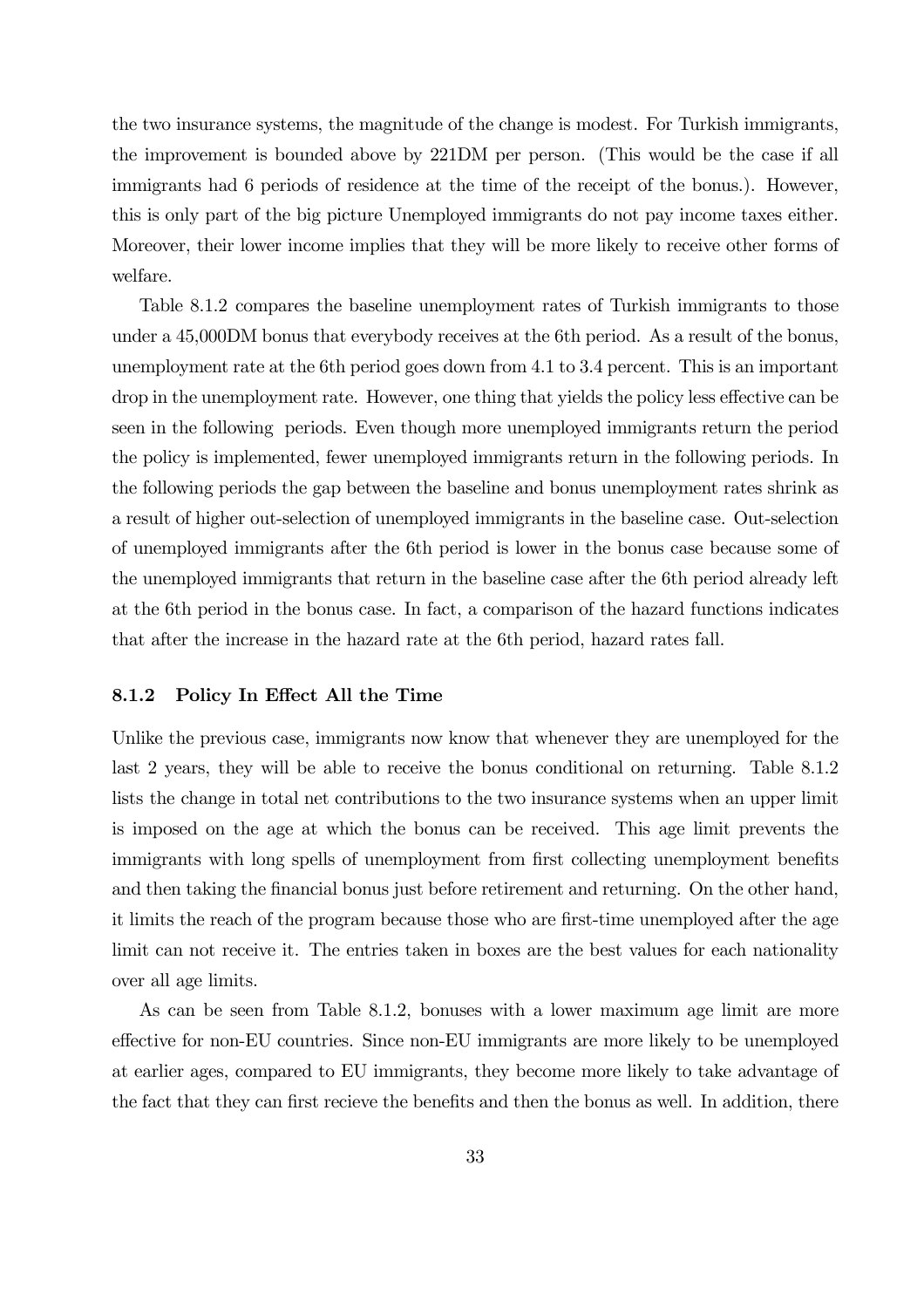the two insurance systems, the magnitude of the change is modest. For Turkish immigrants, the improvement is bounded above by 221DM per person. (This would be the case if all immigrants had 6 periods of residence at the time of the receipt of the bonus.). However, this is only part of the big picture Unemployed immigrants do not pay income taxes either. Moreover, their lower income implies that they will be more likely to receive other forms of welfare.

Table 8.1.2 compares the baseline unemployment rates of Turkish immigrants to those under a 45,000DM bonus that everybody receives at the 6th period. As a result of the bonus, unemployment rate at the 6th period goes down from 4.1 to 3.4 percent. This is an important drop in the unemployment rate. However, one thing that yields the policy less effective can be seen in the following periods. Even though more unemployed immigrants return the period the policy is implemented, fewer unemployed immigrants return in the following periods. In the following periods the gap between the baseline and bonus unemployment rates shrink as a result of higher out-selection of unemployed immigrants in the baseline case. Out-selection of unemployed immigrants after the 6th period is lower in the bonus case because some of the unemployed immigrants that return in the baseline case after the 6th period already left at the 6th period in the bonus case. In fact, a comparison of the hazard functions indicates that after the increase in the hazard rate at the 6th period, hazard rates fall.

### 8.1.2 Policy In Effect All the Time

Unlike the previous case, immigrants now know that whenever they are unemployed for the last 2 years, they will be able to receive the bonus conditional on returning. Table 8.1.2 lists the change in total net contributions to the two insurance systems when an upper limit is imposed on the age at which the bonus can be received. This age limit prevents the immigrants with long spells of unemployment from first collecting unemployment benefits and then taking the financial bonus just before retirement and returning. On the other hand, it limits the reach of the program because those who are first-time unemployed after the age limit can not receive it. The entries taken in boxes are the best values for each nationality over all age limits.

As can be seen from Table 8.1.2, bonuses with a lower maximum age limit are more effective for non-EU countries. Since non-EU immigrants are more likely to be unemployed at earlier ages, compared to EU immigrants, they become more likely to take advantage of the fact that they can first recieve the benefits and then the bonus as well. In addition, there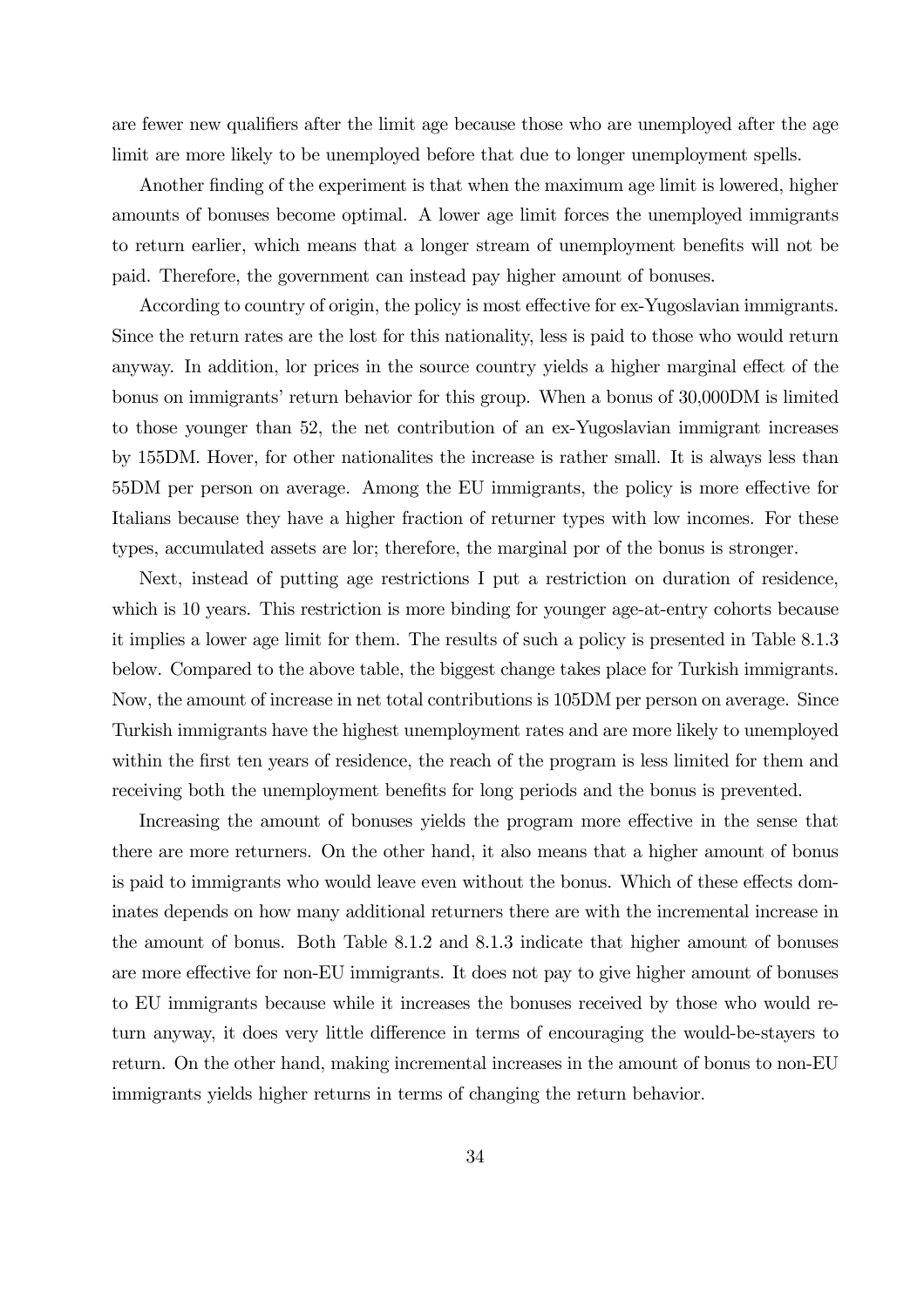are fewer new qualifiers after the limit age because those who are unemployed after the age limit are more likely to be unemployed before that due to longer unemployment spells.

Another finding of the experiment is that when the maximum age limit is lowered, higher amounts of bonuses become optimal. A lower age limit forces the unemployed immigrants to return earlier, which means that a longer stream of unemployment benefits will not be paid. Therefore, the government can instead pay higher amount of bonuses.

According to country of origin, the policy is most effective for ex-Yugoslavian immigrants. Since the return rates are the lost for this nationality, less is paid to those who would return anyway. In addition, lor prices in the source country yields a higher marginal effect of the bonus on immigrants' return behavior for this group. When a bonus of 30,000DM is limited to those younger than 52, the net contribution of an ex-Yugoslavian immigrant increases by 155DM. Hover, for other nationalites the increase is rather small. It is always less than 55DM per person on average. Among the EU immigrants, the policy is more effective for Italians because they have a higher fraction of returner types with low incomes. For these types, accumulated assets are lor; therefore, the marginal por of the bonus is stronger.

Next, instead of putting age restrictions I put a restriction on duration of residence, which is 10 years. This restriction is more binding for younger age-at-entry cohorts because it implies a lower age limit for them. The results of such a policy is presented in Table 8.1.3 below. Compared to the above table, the biggest change takes place for Turkish immigrants. Now, the amount of increase in net total contributions is 105DM per person on average. Since Turkish immigrants have the highest unemployment rates and are more likely to unemployed within the first ten years of residence, the reach of the program is less limited for them and receiving both the unemployment benefits for long periods and the bonus is prevented.

Increasing the amount of bonuses yields the program more effective in the sense that there are more returners. On the other hand, it also means that a higher amount of bonus is paid to immigrants who would leave even without the bonus. Which of these effects dominates depends on how many additional returners there are with the incremental increase in the amount of bonus. Both Table 8.1.2 and 8.1.3 indicate that higher amount of bonuses are more effective for non-EU immigrants. It does not pay to give higher amount of bonuses to EU immigrants because while it increases the bonuses received by those who would return anyway, it does very little difference in terms of encouraging the would-be-stayers to return. On the other hand, making incremental increases in the amount of bonus to non-EU immigrants yields higher returns in terms of changing the return behavior.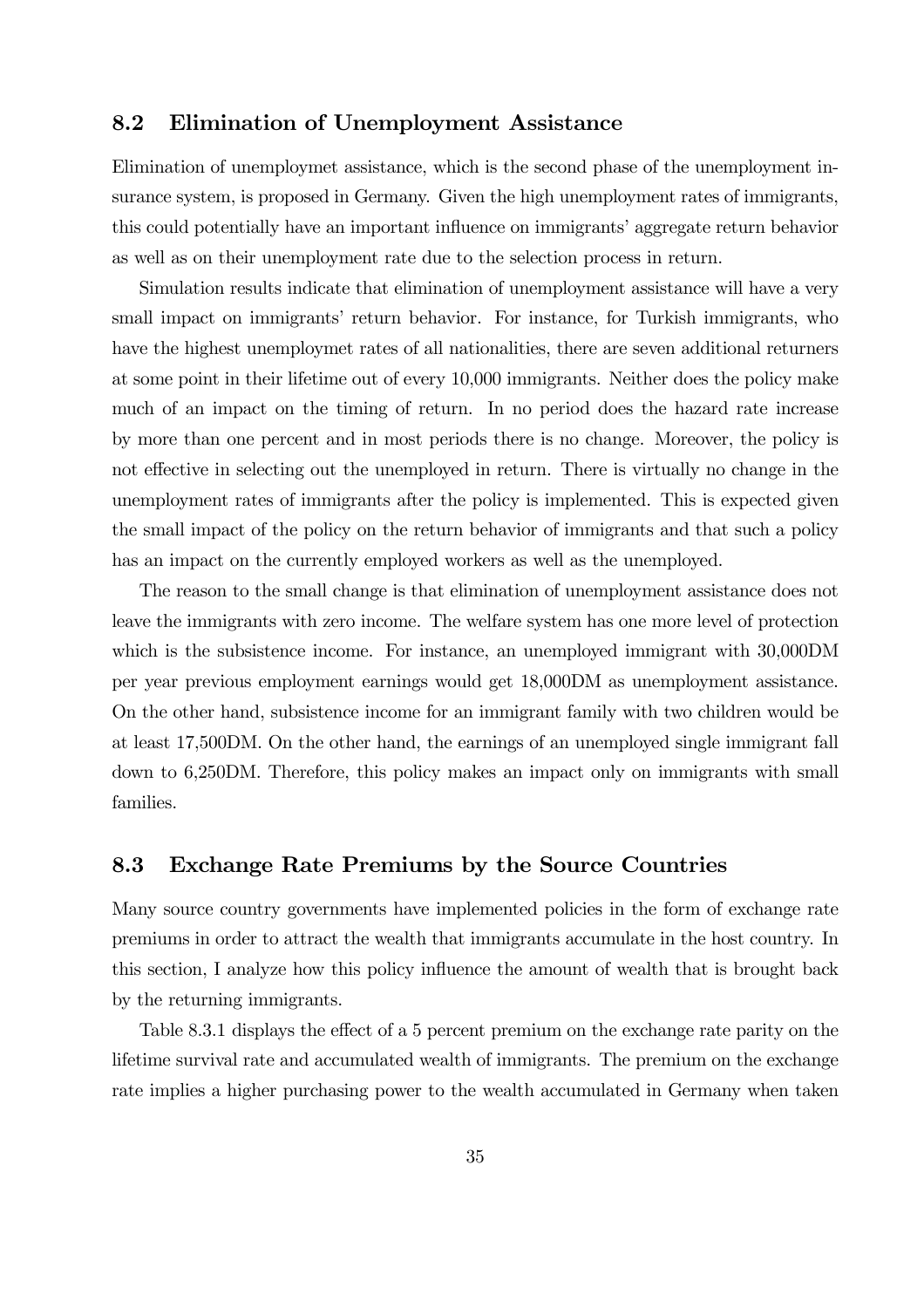### 8.2 Elimination of Unemployment Assistance

Elimination of unemploymet assistance, which is the second phase of the unemployment insurance system, is proposed in Germany. Given the high unemployment rates of immigrants, this could potentially have an important influence on immigrants' aggregate return behavior as well as on their unemployment rate due to the selection process in return.

Simulation results indicate that elimination of unemployment assistance will have a very small impact on immigrants' return behavior. For instance, for Turkish immigrants, who have the highest unemploymet rates of all nationalities, there are seven additional returners at some point in their lifetime out of every 10,000 immigrants. Neither does the policy make much of an impact on the timing of return. In no period does the hazard rate increase by more than one percent and in most periods there is no change. Moreover, the policy is not effective in selecting out the unemployed in return. There is virtually no change in the unemployment rates of immigrants after the policy is implemented. This is expected given the small impact of the policy on the return behavior of immigrants and that such a policy has an impact on the currently employed workers as well as the unemployed.

The reason to the small change is that elimination of unemployment assistance does not leave the immigrants with zero income. The welfare system has one more level of protection which is the subsistence income. For instance, an unemployed immigrant with 30,000DM per year previous employment earnings would get 18,000DM as unemployment assistance. On the other hand, subsistence income for an immigrant family with two children would be at least 17,500DM. On the other hand, the earnings of an unemployed single immigrant fall down to 6,250DM. Therefore, this policy makes an impact only on immigrants with small families.

### 8.3 Exchange Rate Premiums by the Source Countries

Many source country governments have implemented policies in the form of exchange rate premiums in order to attract the wealth that immigrants accumulate in the host country. In this section, I analyze how this policy influence the amount of wealth that is brought back by the returning immigrants.

Table 8.3.1 displays the effect of a 5 percent premium on the exchange rate parity on the lifetime survival rate and accumulated wealth of immigrants. The premium on the exchange rate implies a higher purchasing power to the wealth accumulated in Germany when taken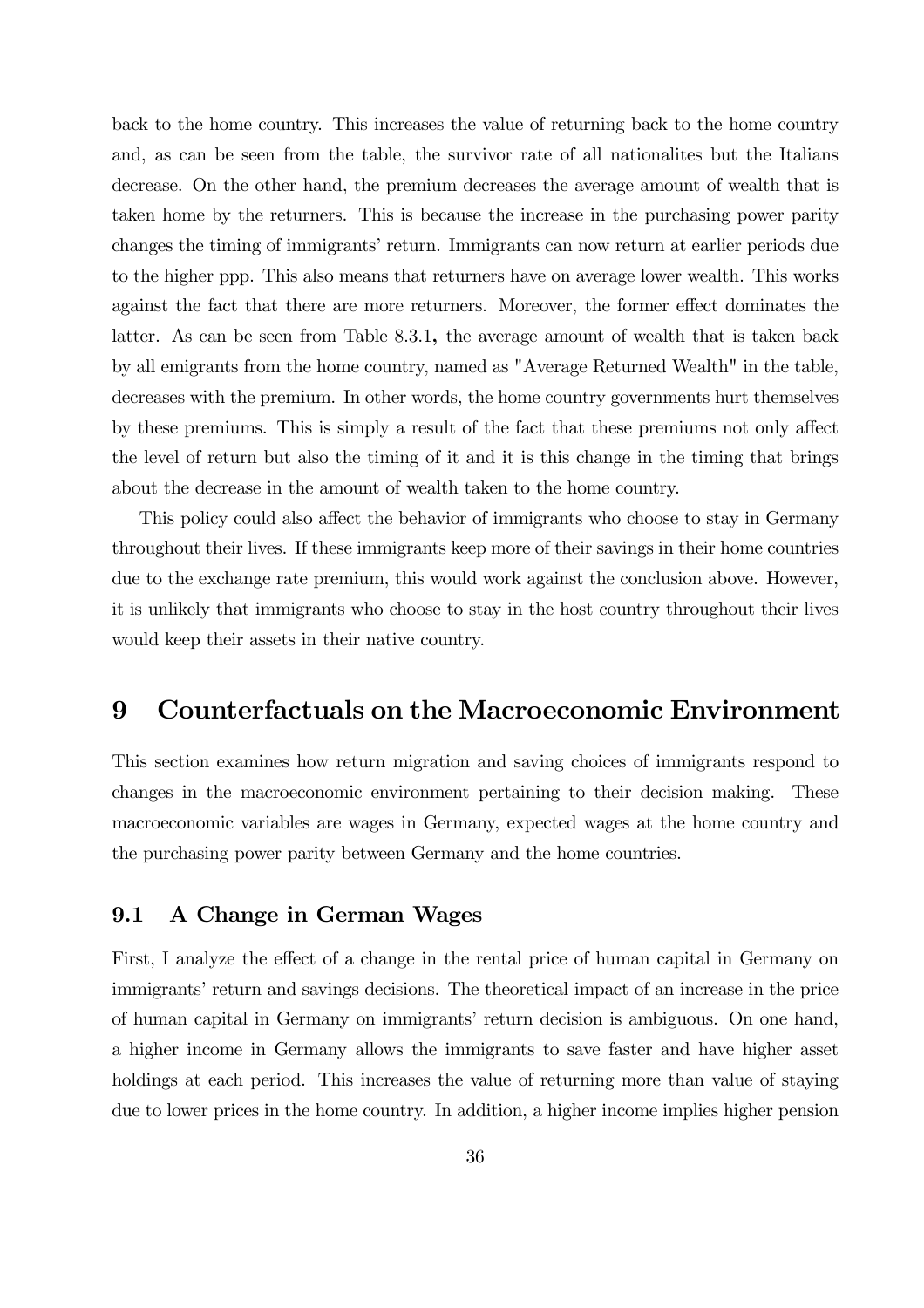back to the home country. This increases the value of returning back to the home country and, as can be seen from the table, the survivor rate of all nationalites but the Italians decrease. On the other hand, the premium decreases the average amount of wealth that is taken home by the returners. This is because the increase in the purchasing power parity changes the timing of immigrants' return. Immigrants can now return at earlier periods due to the higher ppp. This also means that returners have on average lower wealth. This works against the fact that there are more returners. Moreover, the former effect dominates the latter. As can be seen from Table 8.3.1, the average amount of wealth that is taken back by all emigrants from the home country, named as "Average Returned Wealth" in the table, decreases with the premium. In other words, the home country governments hurt themselves by these premiums. This is simply a result of the fact that these premiums not only affect the level of return but also the timing of it and it is this change in the timing that brings about the decrease in the amount of wealth taken to the home country.

This policy could also affect the behavior of immigrants who choose to stay in Germany throughout their lives. If these immigrants keep more of their savings in their home countries due to the exchange rate premium, this would work against the conclusion above. However, it is unlikely that immigrants who choose to stay in the host country throughout their lives would keep their assets in their native country.

## 9 Counterfactuals on the Macroeconomic Environment

This section examines how return migration and saving choices of immigrants respond to changes in the macroeconomic environment pertaining to their decision making. These macroeconomic variables are wages in Germany, expected wages at the home country and the purchasing power parity between Germany and the home countries.

### 9.1 A Change in German Wages

First, I analyze the effect of a change in the rental price of human capital in Germany on immigrants' return and savings decisions. The theoretical impact of an increase in the price of human capital in Germany on immigrants' return decision is ambiguous. On one hand, a higher income in Germany allows the immigrants to save faster and have higher asset holdings at each period. This increases the value of returning more than value of staying due to lower prices in the home country. In addition, a higher income implies higher pension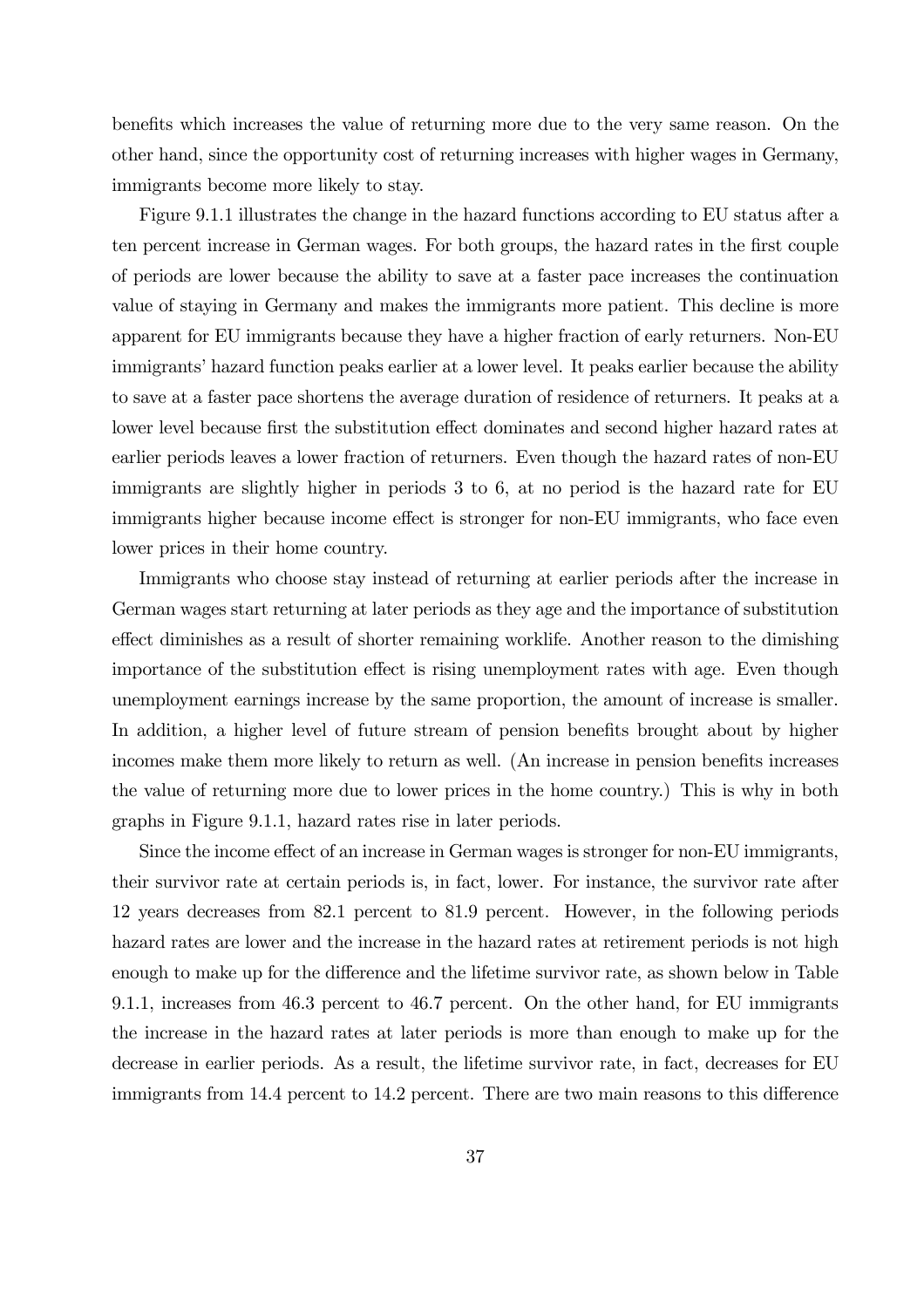benefits which increases the value of returning more due to the very same reason. On the other hand, since the opportunity cost of returning increases with higher wages in Germany, immigrants become more likely to stay.

Figure 9.1.1 illustrates the change in the hazard functions according to EU status after a ten percent increase in German wages. For both groups, the hazard rates in the first couple of periods are lower because the ability to save at a faster pace increases the continuation value of staying in Germany and makes the immigrants more patient. This decline is more apparent for EU immigrants because they have a higher fraction of early returners. Non-EU immigrants' hazard function peaks earlier at a lower level. It peaks earlier because the ability to save at a faster pace shortens the average duration of residence of returners. It peaks at a lower level because first the substitution effect dominates and second higher hazard rates at earlier periods leaves a lower fraction of returners. Even though the hazard rates of non-EU immigrants are slightly higher in periods 3 to 6, at no period is the hazard rate for EU immigrants higher because income effect is stronger for non-EU immigrants, who face even lower prices in their home country.

Immigrants who choose stay instead of returning at earlier periods after the increase in German wages start returning at later periods as they age and the importance of substitution effect diminishes as a result of shorter remaining worklife. Another reason to the dimishing importance of the substitution effect is rising unemployment rates with age. Even though unemployment earnings increase by the same proportion, the amount of increase is smaller. In addition, a higher level of future stream of pension benefits brought about by higher incomes make them more likely to return as well. (An increase in pension benefits increases the value of returning more due to lower prices in the home country.) This is why in both graphs in Figure 9.1.1, hazard rates rise in later periods.

Since the income effect of an increase in German wages is stronger for non-EU immigrants, their survivor rate at certain periods is, in fact, lower. For instance, the survivor rate after 12 years decreases from 82.1 percent to 81.9 percent. However, in the following periods hazard rates are lower and the increase in the hazard rates at retirement periods is not high enough to make up for the difference and the lifetime survivor rate, as shown below in Table 9.1.1, increases from 46.3 percent to 46.7 percent. On the other hand, for EU immigrants the increase in the hazard rates at later periods is more than enough to make up for the decrease in earlier periods. As a result, the lifetime survivor rate, in fact, decreases for EU immigrants from 14.4 percent to 14.2 percent. There are two main reasons to this difference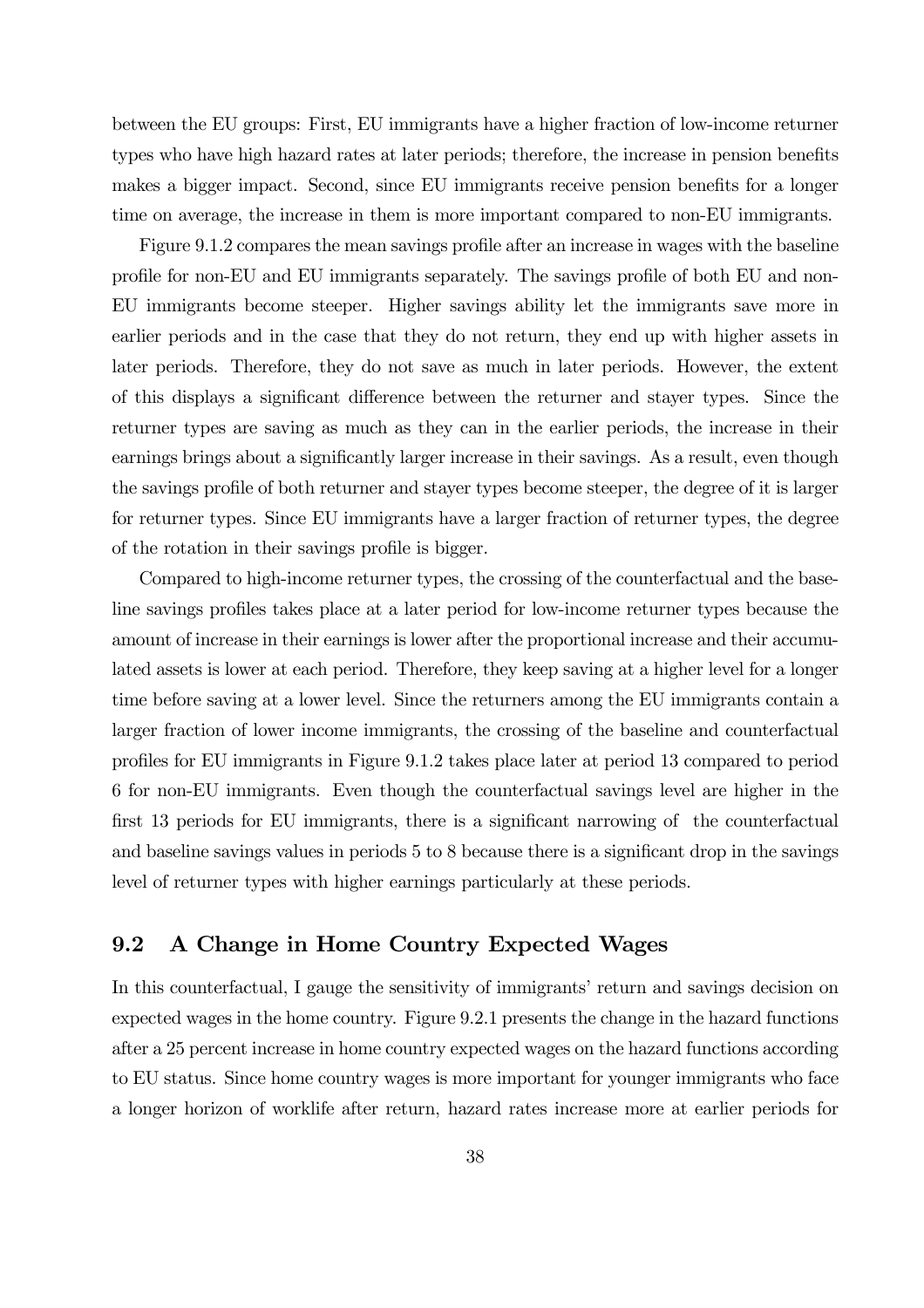between the EU groups: First, EU immigrants have a higher fraction of low-income returner types who have high hazard rates at later periods; therefore, the increase in pension benefits makes a bigger impact. Second, since EU immigrants receive pension benefits for a longer time on average, the increase in them is more important compared to non-EU immigrants.

Figure 9.1.2 compares the mean savings profile after an increase in wages with the baseline profile for non-EU and EU immigrants separately. The savings profile of both EU and non-EU immigrants become steeper. Higher savings ability let the immigrants save more in earlier periods and in the case that they do not return, they end up with higher assets in later periods. Therefore, they do not save as much in later periods. However, the extent of this displays a significant difference between the returner and stayer types. Since the returner types are saving as much as they can in the earlier periods, the increase in their earnings brings about a significantly larger increase in their savings. As a result, even though the savings profile of both returner and stayer types become steeper, the degree of it is larger for returner types. Since EU immigrants have a larger fraction of returner types, the degree of the rotation in their savings profile is bigger.

Compared to high-income returner types, the crossing of the counterfactual and the baseline savings profiles takes place at a later period for low-income returner types because the amount of increase in their earnings is lower after the proportional increase and their accumulated assets is lower at each period. Therefore, they keep saving at a higher level for a longer time before saving at a lower level. Since the returners among the EU immigrants contain a larger fraction of lower income immigrants, the crossing of the baseline and counterfactual profiles for EU immigrants in Figure 9.1.2 takes place later at period 13 compared to period 6 for non-EU immigrants. Even though the counterfactual savings level are higher in the first 13 periods for EU immigrants, there is a significant narrowing of the counterfactual and baseline savings values in periods 5 to 8 because there is a significant drop in the savings level of returner types with higher earnings particularly at these periods.

### 9.2 A Change in Home Country Expected Wages

In this counterfactual, I gauge the sensitivity of immigrants' return and savings decision on expected wages in the home country. Figure 9.2.1 presents the change in the hazard functions after a 25 percent increase in home country expected wages on the hazard functions according to EU status. Since home country wages is more important for younger immigrants who face a longer horizon of worklife after return, hazard rates increase more at earlier periods for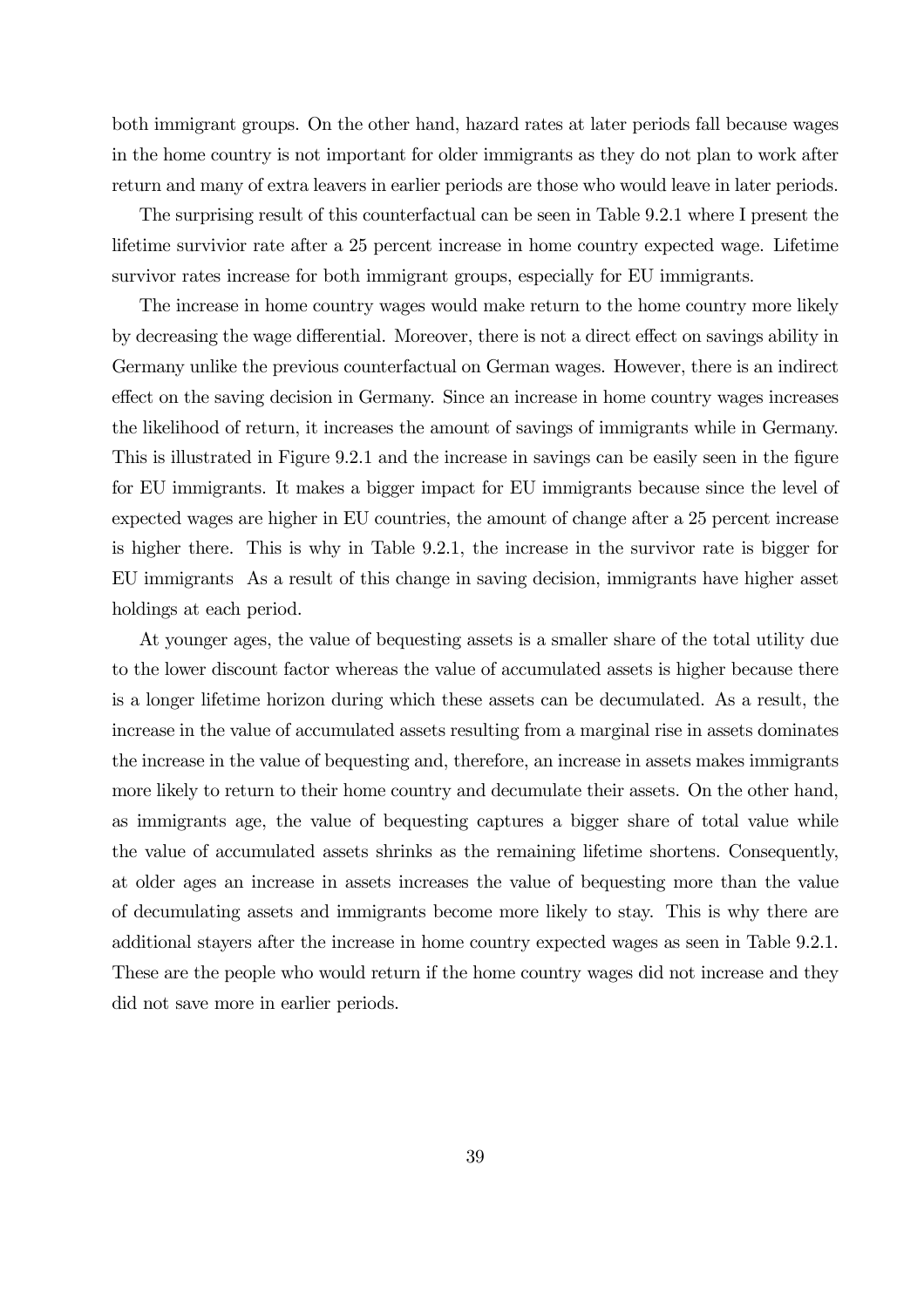both immigrant groups. On the other hand, hazard rates at later periods fall because wages in the home country is not important for older immigrants as they do not plan to work after return and many of extra leavers in earlier periods are those who would leave in later periods.

The surprising result of this counterfactual can be seen in Table 9.2.1 where I present the lifetime survivior rate after a 25 percent increase in home country expected wage. Lifetime survivor rates increase for both immigrant groups, especially for EU immigrants.

The increase in home country wages would make return to the home country more likely by decreasing the wage differential. Moreover, there is not a direct effect on savings ability in Germany unlike the previous counterfactual on German wages. However, there is an indirect effect on the saving decision in Germany. Since an increase in home country wages increases the likelihood of return, it increases the amount of savings of immigrants while in Germany. This is illustrated in Figure 9.2.1 and the increase in savings can be easily seen in the figure for EU immigrants. It makes a bigger impact for EU immigrants because since the level of expected wages are higher in EU countries, the amount of change after a 25 percent increase is higher there. This is why in Table 9.2.1, the increase in the survivor rate is bigger for EU immigrants As a result of this change in saving decision, immigrants have higher asset holdings at each period.

At younger ages, the value of bequesting assets is a smaller share of the total utility due to the lower discount factor whereas the value of accumulated assets is higher because there is a longer lifetime horizon during which these assets can be decumulated. As a result, the increase in the value of accumulated assets resulting from a marginal rise in assets dominates the increase in the value of bequesting and, therefore, an increase in assets makes immigrants more likely to return to their home country and decumulate their assets. On the other hand, as immigrants age, the value of bequesting captures a bigger share of total value while the value of accumulated assets shrinks as the remaining lifetime shortens. Consequently, at older ages an increase in assets increases the value of bequesting more than the value of decumulating assets and immigrants become more likely to stay. This is why there are additional stayers after the increase in home country expected wages as seen in Table 9.2.1. These are the people who would return if the home country wages did not increase and they did not save more in earlier periods.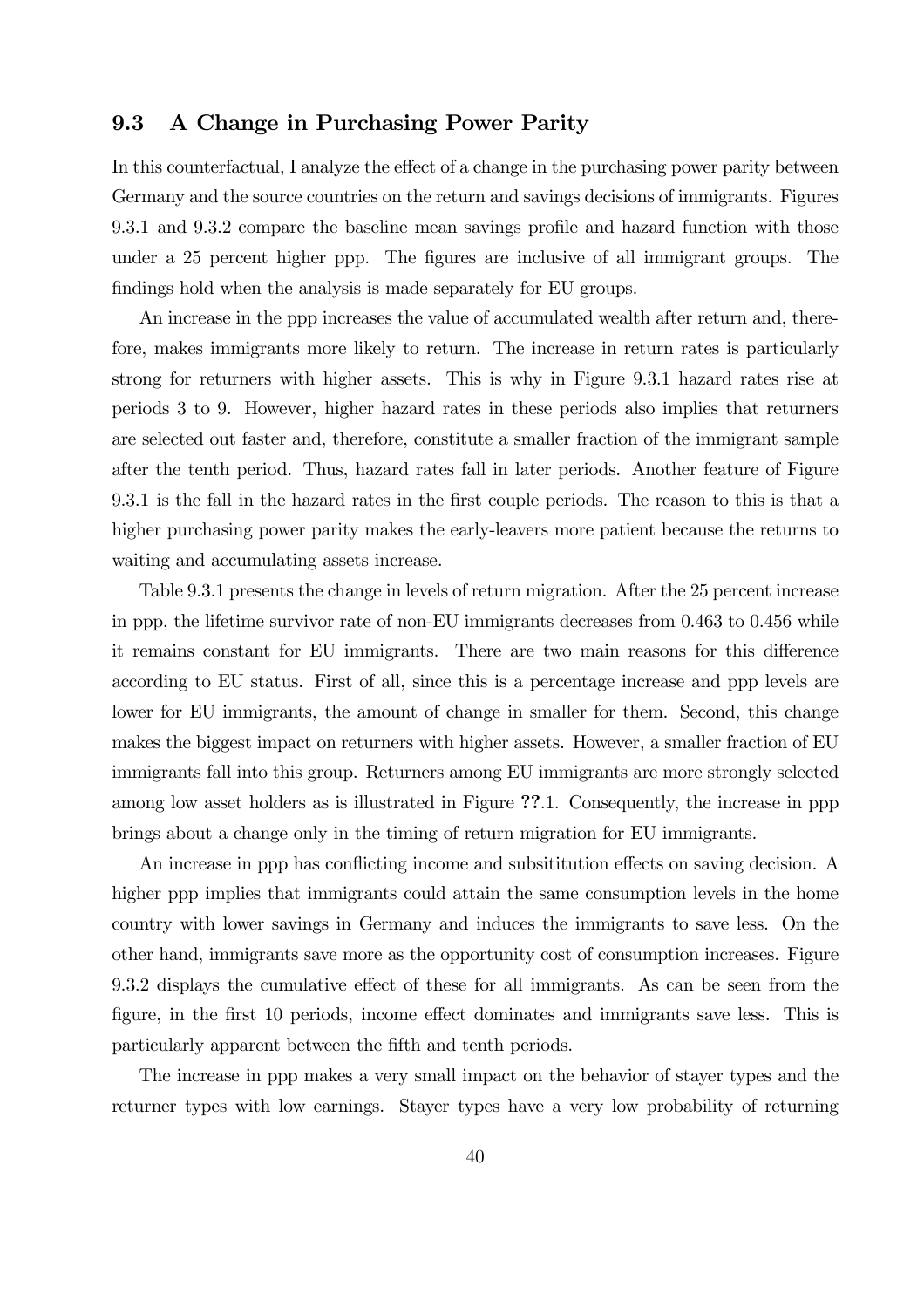### 9.3 A Change in Purchasing Power Parity

In this counterfactual, I analyze the effect of a change in the purchasing power parity between Germany and the source countries on the return and savings decisions of immigrants. Figures 9.3.1 and 9.3.2 compare the baseline mean savings profile and hazard function with those under a 25 percent higher ppp. The figures are inclusive of all immigrant groups. The findings hold when the analysis is made separately for EU groups.

An increase in the ppp increases the value of accumulated wealth after return and, therefore, makes immigrants more likely to return. The increase in return rates is particularly strong for returners with higher assets. This is why in Figure 9.3.1 hazard rates rise at periods 3 to 9. However, higher hazard rates in these periods also implies that returners are selected out faster and, therefore, constitute a smaller fraction of the immigrant sample after the tenth period. Thus, hazard rates fall in later periods. Another feature of Figure 9.3.1 is the fall in the hazard rates in the first couple periods. The reason to this is that a higher purchasing power parity makes the early-leavers more patient because the returns to waiting and accumulating assets increase.

Table 9.3.1 presents the change in levels of return migration. After the 25 percent increase in ppp, the lifetime survivor rate of non-EU immigrants decreases from 0.463 to 0.456 while it remains constant for EU immigrants. There are two main reasons for this difference according to EU status. First of all, since this is a percentage increase and ppp levels are lower for EU immigrants, the amount of change in smaller for them. Second, this change makes the biggest impact on returners with higher assets. However, a smaller fraction of EU immigrants fall into this group. Returners among EU immigrants are more strongly selected among low asset holders as is illustrated in Figure ??.1. Consequently, the increase in ppp brings about a change only in the timing of return migration for EU immigrants.

An increase in ppp has conflicting income and subsititution effects on saving decision. A higher ppp implies that immigrants could attain the same consumption levels in the home country with lower savings in Germany and induces the immigrants to save less. On the other hand, immigrants save more as the opportunity cost of consumption increases. Figure 9.3.2 displays the cumulative effect of these for all immigrants. As can be seen from the figure, in the first 10 periods, income effect dominates and immigrants save less. This is particularly apparent between the fifth and tenth periods.

The increase in ppp makes a very small impact on the behavior of stayer types and the returner types with low earnings. Stayer types have a very low probability of returning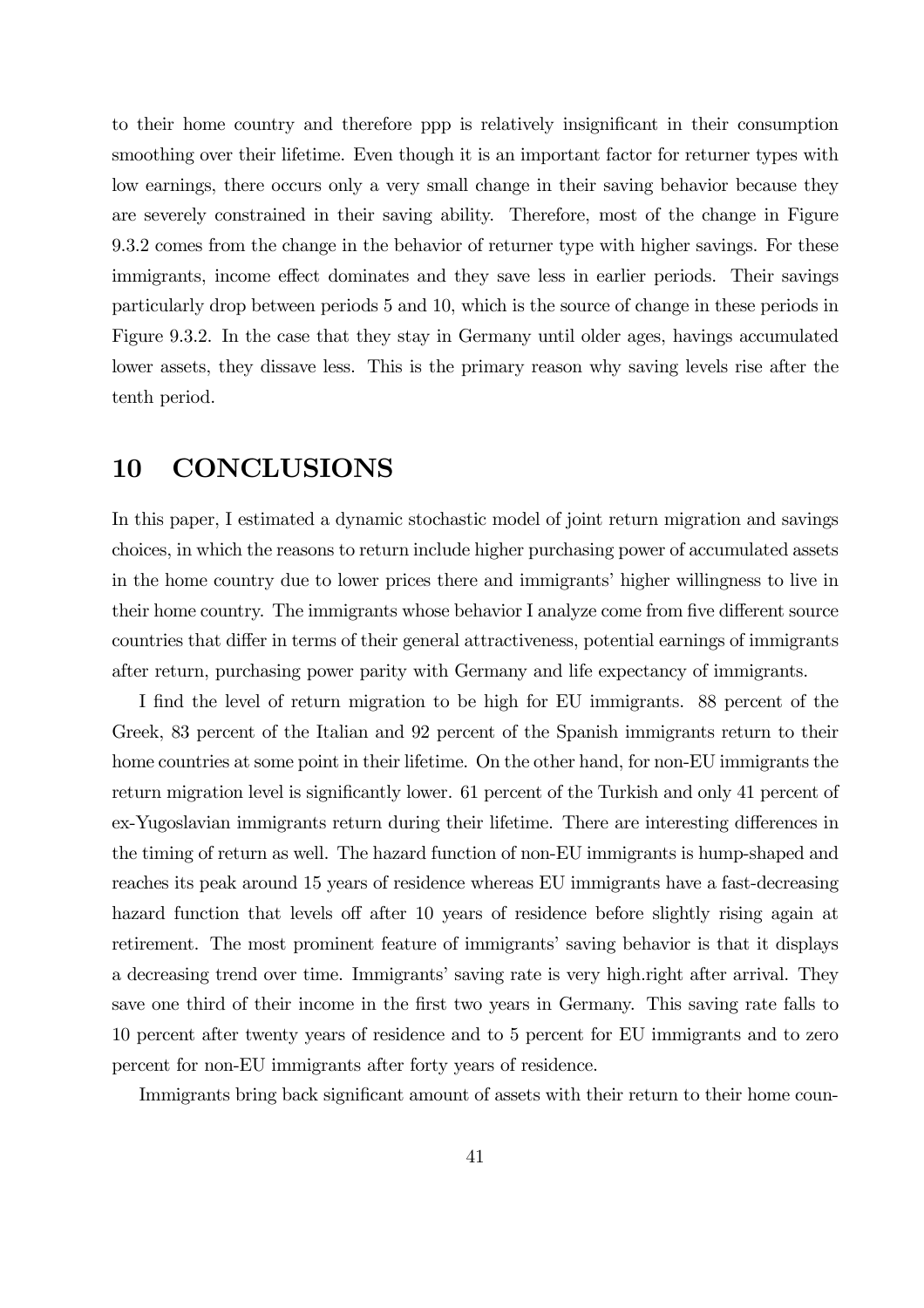to their home country and therefore ppp is relatively insignificant in their consumption smoothing over their lifetime. Even though it is an important factor for returner types with low earnings, there occurs only a very small change in their saving behavior because they are severely constrained in their saving ability. Therefore, most of the change in Figure 9.3.2 comes from the change in the behavior of returner type with higher savings. For these immigrants, income effect dominates and they save less in earlier periods. Their savings particularly drop between periods 5 and 10, which is the source of change in these periods in Figure 9.3.2. In the case that they stay in Germany until older ages, havings accumulated lower assets, they dissave less. This is the primary reason why saving levels rise after the tenth period.

# 10 CONCLUSIONS

In this paper, I estimated a dynamic stochastic model of joint return migration and savings choices, in which the reasons to return include higher purchasing power of accumulated assets in the home country due to lower prices there and immigrants' higher willingness to live in their home country. The immigrants whose behavior I analyze come from five different source countries that differ in terms of their general attractiveness, potential earnings of immigrants after return, purchasing power parity with Germany and life expectancy of immigrants.

I find the level of return migration to be high for EU immigrants. 88 percent of the Greek, 83 percent of the Italian and 92 percent of the Spanish immigrants return to their home countries at some point in their lifetime. On the other hand, for non-EU immigrants the return migration level is significantly lower. 61 percent of the Turkish and only 41 percent of ex-Yugoslavian immigrants return during their lifetime. There are interesting differences in the timing of return as well. The hazard function of non-EU immigrants is hump-shaped and reaches its peak around 15 years of residence whereas EU immigrants have a fast-decreasing hazard function that levels off after 10 years of residence before slightly rising again at retirement. The most prominent feature of immigrants' saving behavior is that it displays a decreasing trend over time. Immigrants' saving rate is very high.right after arrival. They save one third of their income in the first two years in Germany. This saving rate falls to 10 percent after twenty years of residence and to 5 percent for EU immigrants and to zero percent for non-EU immigrants after forty years of residence.

Immigrants bring back significant amount of assets with their return to their home coun-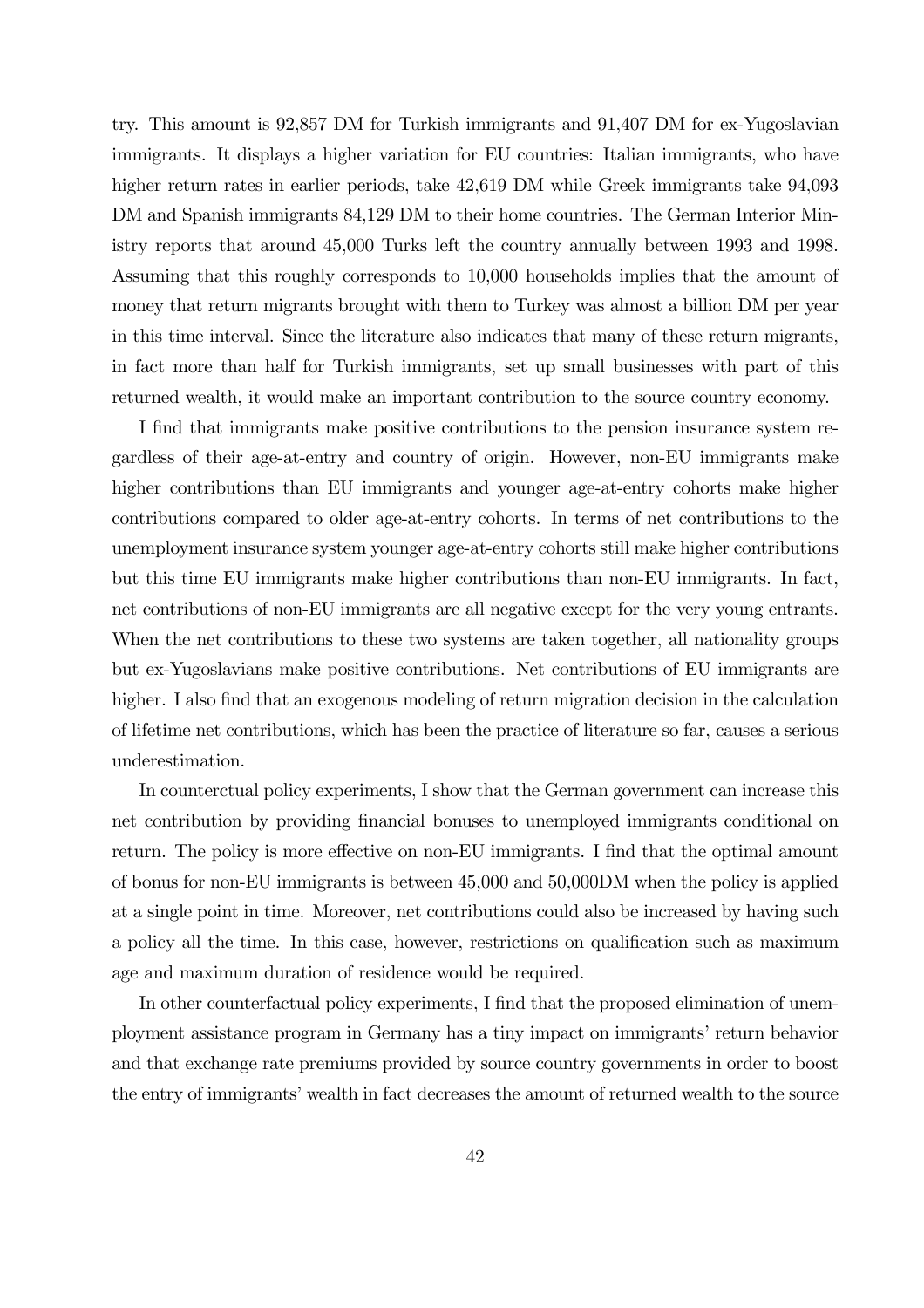try. This amount is 92,857 DM for Turkish immigrants and 91,407 DM for ex-Yugoslavian immigrants. It displays a higher variation for EU countries: Italian immigrants, who have higher return rates in earlier periods, take 42,619 DM while Greek immigrants take 94,093 DM and Spanish immigrants 84,129 DM to their home countries. The German Interior Ministry reports that around 45,000 Turks left the country annually between 1993 and 1998. Assuming that this roughly corresponds to 10,000 households implies that the amount of money that return migrants brought with them to Turkey was almost a billion DM per year in this time interval. Since the literature also indicates that many of these return migrants, in fact more than half for Turkish immigrants, set up small businesses with part of this returned wealth, it would make an important contribution to the source country economy.

I find that immigrants make positive contributions to the pension insurance system regardless of their age-at-entry and country of origin. However, non-EU immigrants make higher contributions than EU immigrants and younger age-at-entry cohorts make higher contributions compared to older age-at-entry cohorts. In terms of net contributions to the unemployment insurance system younger age-at-entry cohorts still make higher contributions but this time EU immigrants make higher contributions than non-EU immigrants. In fact, net contributions of non-EU immigrants are all negative except for the very young entrants. When the net contributions to these two systems are taken together, all nationality groups but ex-Yugoslavians make positive contributions. Net contributions of EU immigrants are higher. I also find that an exogenous modeling of return migration decision in the calculation of lifetime net contributions, which has been the practice of literature so far, causes a serious underestimation.

In counterctual policy experiments, I show that the German government can increase this net contribution by providing financial bonuses to unemployed immigrants conditional on return. The policy is more effective on non-EU immigrants. I find that the optimal amount of bonus for non-EU immigrants is between 45,000 and 50,000DM when the policy is applied at a single point in time. Moreover, net contributions could also be increased by having such a policy all the time. In this case, however, restrictions on qualification such as maximum age and maximum duration of residence would be required.

In other counterfactual policy experiments, I find that the proposed elimination of unemployment assistance program in Germany has a tiny impact on immigrants' return behavior and that exchange rate premiums provided by source country governments in order to boost the entry of immigrants' wealth in fact decreases the amount of returned wealth to the source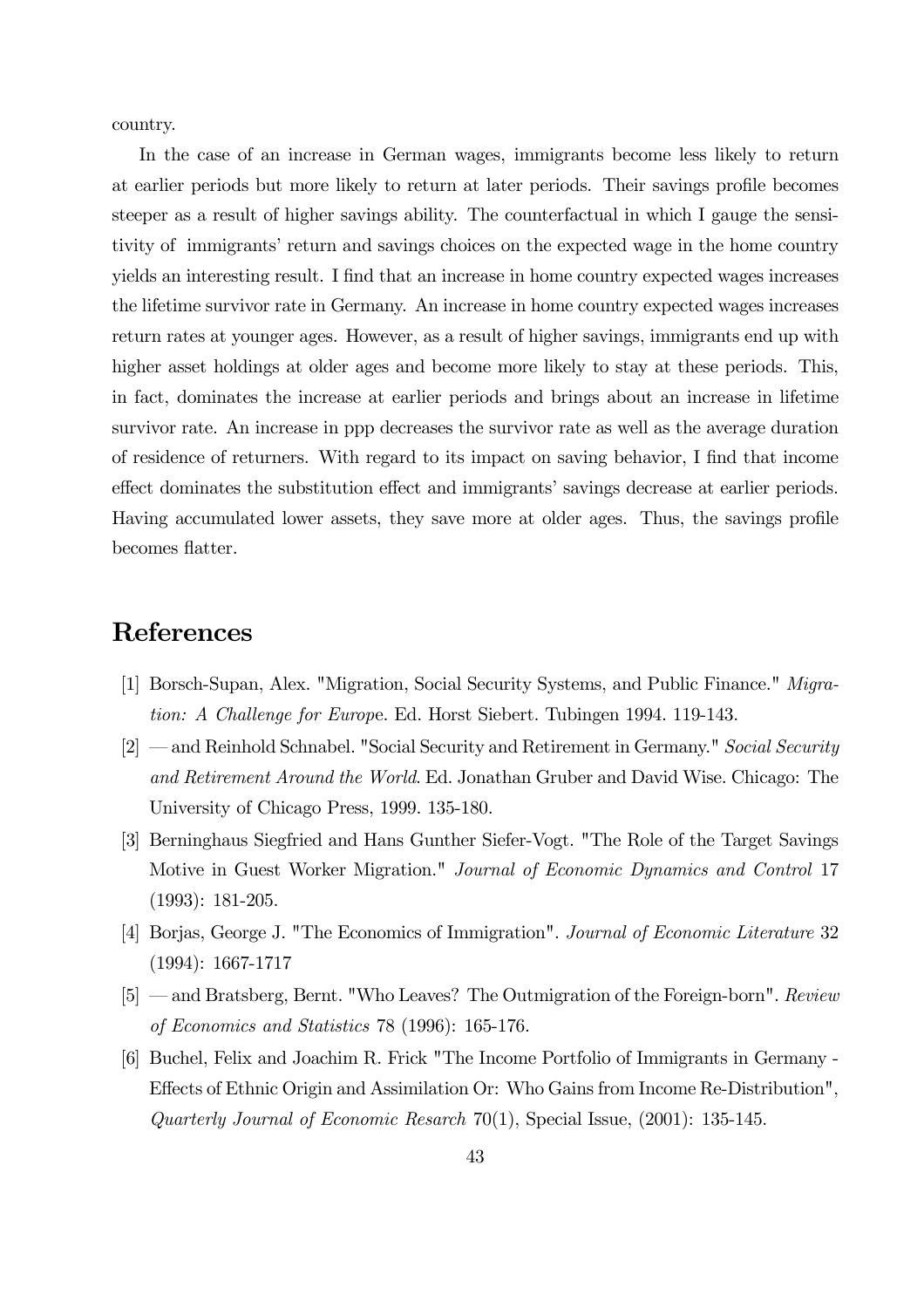country.

In the case of an increase in German wages, immigrants become less likely to return at earlier periods but more likely to return at later periods. Their savings profile becomes steeper as a result of higher savings ability. The counterfactual in which I gauge the sensitivity of immigrants' return and savings choices on the expected wage in the home country yields an interesting result. I find that an increase in home country expected wages increases the lifetime survivor rate in Germany. An increase in home country expected wages increases return rates at younger ages. However, as a result of higher savings, immigrants end up with higher asset holdings at older ages and become more likely to stay at these periods. This, in fact, dominates the increase at earlier periods and brings about an increase in lifetime survivor rate. An increase in ppp decreases the survivor rate as well as the average duration of residence of returners. With regard to its impact on saving behavior, I find that income effect dominates the substitution effect and immigrants' savings decrease at earlier periods. Having accumulated lower assets, they save more at older ages. Thus, the savings profile becomes flatter.

# References

- [1] Borsch-Supan, Alex. "Migration, Social Security Systems, and Public Finance." Migration: A Challenge for Europe. Ed. Horst Siebert. Tubingen 1994. 119-143.
- [2] and Reinhold Schnabel. "Social Security and Retirement in Germany." Social Security and Retirement Around the World. Ed. Jonathan Gruber and David Wise. Chicago: The University of Chicago Press, 1999. 135-180.
- [3] Berninghaus Siegfried and Hans Gunther Siefer-Vogt. "The Role of the Target Savings Motive in Guest Worker Migration." Journal of Economic Dynamics and Control 17 (1993): 181-205.
- [4] Borjas, George J. "The Economics of Immigration". Journal of Economic Literature 32 (1994): 1667-1717
- [5] and Bratsberg, Bernt. "Who Leaves? The Outmigration of the Foreign-born". Review of Economics and Statistics 78 (1996): 165-176.
- [6] Buchel, Felix and Joachim R. Frick "The Income Portfolio of Immigrants in Germany Effects of Ethnic Origin and Assimilation Or: Who Gains from Income Re-Distribution", Quarterly Journal of Economic Resarch 70(1), Special Issue,  $(2001)$ : 135-145.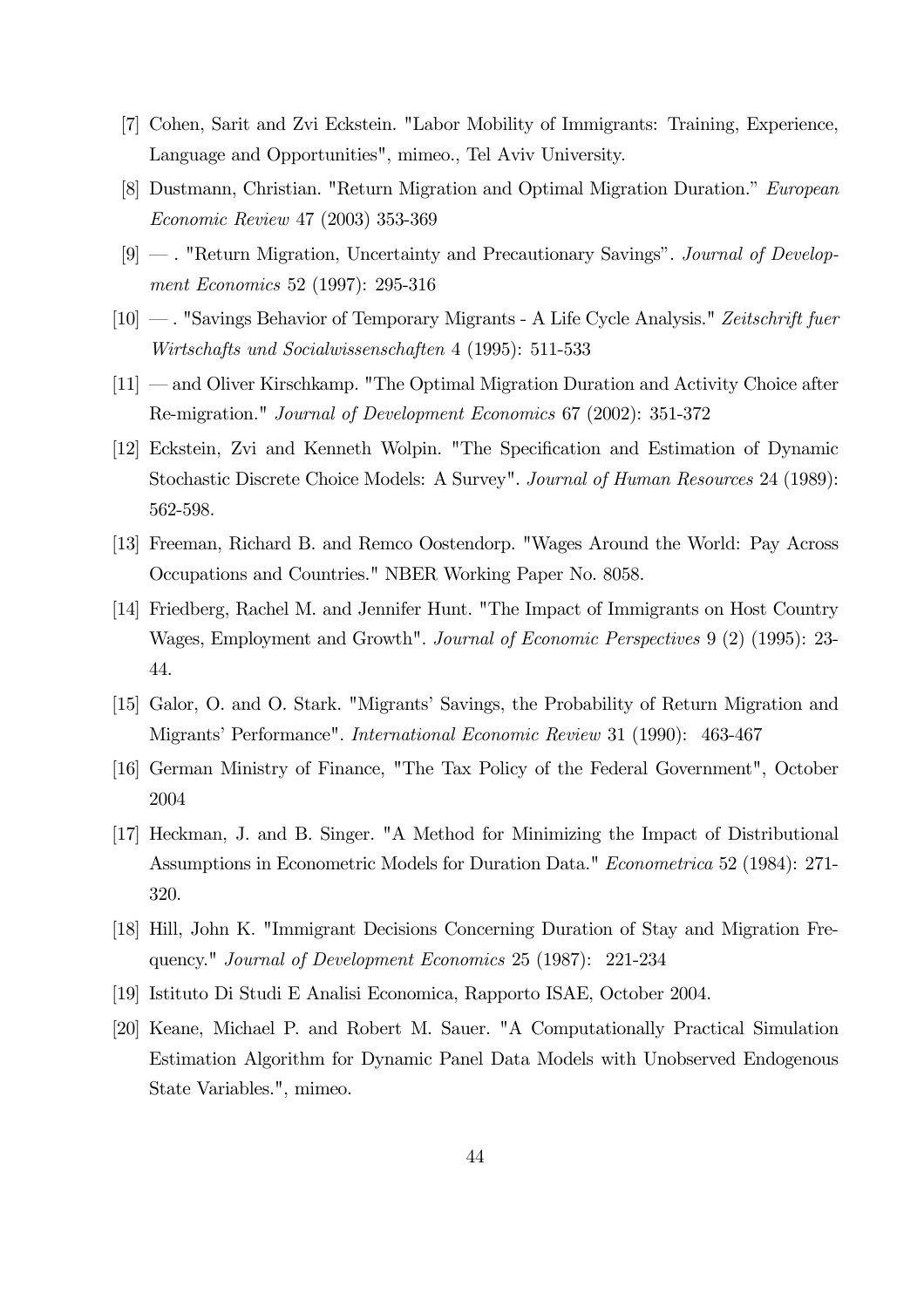- [7] Cohen, Sarit and Zvi Eckstein. "Labor Mobility of Immigrants: Training, Experience, Language and Opportunities", mimeo., Tel Aviv University.
- [8] Dustmann, Christian. "Return Migration and Optimal Migration Duration." European Economic Review 47 (2003) 353-369
- [9] . "Return Migration, Uncertainty and Precautionary Savings". Journal of Development Economics 52 (1997): 295-316
- [10] . "Savings Behavior of Temporary Migrants A Life Cycle Analysis." Zeitschrift fuer Wirtschafts und Socialwissenschaften 4 (1995): 511-533
- [11] and Oliver Kirschkamp. "The Optimal Migration Duration and Activity Choice after Re-migration." Journal of Development Economics 67 (2002): 351-372
- [12] Eckstein, Zvi and Kenneth Wolpin. "The Specification and Estimation of Dynamic Stochastic Discrete Choice Models: A Survey". Journal of Human Resources 24 (1989): 562-598.
- [13] Freeman, Richard B. and Remco Oostendorp. "Wages Around the World: Pay Across Occupations and Countries." NBER Working Paper No. 8058.
- [14] Friedberg, Rachel M. and Jennifer Hunt. "The Impact of Immigrants on Host Country Wages, Employment and Growth". Journal of Economic Perspectives 9 (2) (1995): 23- 44.
- [15] Galor, O. and O. Stark. "Migrants' Savings, the Probability of Return Migration and Migrants' Performance". International Economic Review 31 (1990): 463-467
- [16] German Ministry of Finance, "The Tax Policy of the Federal Government", October 2004
- [17] Heckman, J. and B. Singer. "A Method for Minimizing the Impact of Distributional Assumptions in Econometric Models for Duration Data." Econometrica 52 (1984): 271- 320.
- [18] Hill, John K. "Immigrant Decisions Concerning Duration of Stay and Migration Frequency." Journal of Development Economics 25 (1987): 221-234
- [19] Istituto Di Studi E Analisi Economica, Rapporto ISAE, October 2004.
- [20] Keane, Michael P. and Robert M. Sauer. "A Computationally Practical Simulation Estimation Algorithm for Dynamic Panel Data Models with Unobserved Endogenous State Variables.", mimeo.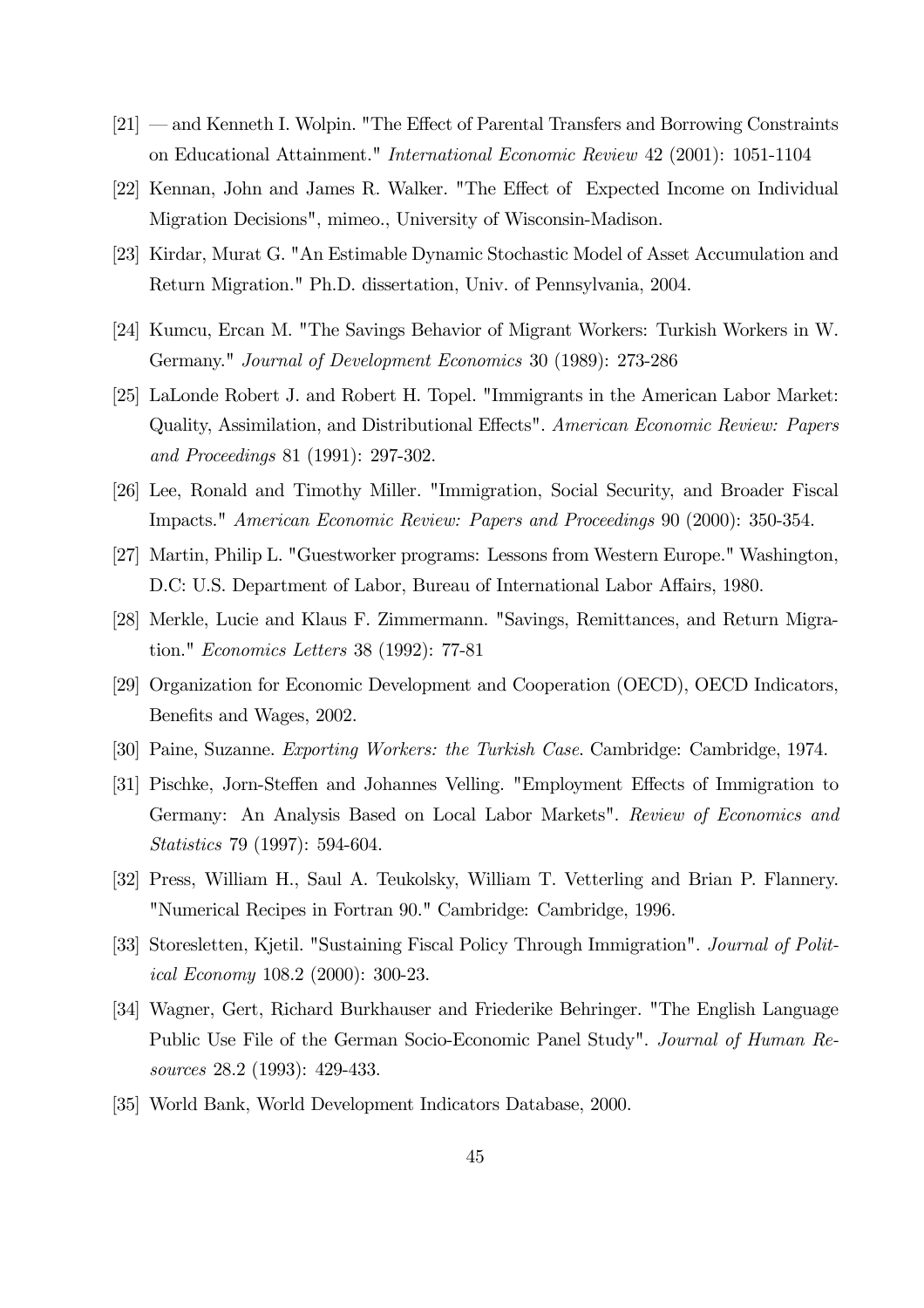- [21] and Kenneth I. Wolpin. "The Effect of Parental Transfers and Borrowing Constraints on Educational Attainment." International Economic Review 42 (2001): 1051-1104
- [22] Kennan, John and James R. Walker. "The Effect of Expected Income on Individual Migration Decisions", mimeo., University of Wisconsin-Madison.
- [23] Kirdar, Murat G. "An Estimable Dynamic Stochastic Model of Asset Accumulation and Return Migration." Ph.D. dissertation, Univ. of Pennsylvania, 2004.
- [24] Kumcu, Ercan M. "The Savings Behavior of Migrant Workers: Turkish Workers in W. Germany." Journal of Development Economics 30 (1989): 273-286
- [25] LaLonde Robert J. and Robert H. Topel. "Immigrants in the American Labor Market: Quality, Assimilation, and Distributional Effects". American Economic Review: Papers and Proceedings 81 (1991): 297-302.
- [26] Lee, Ronald and Timothy Miller. "Immigration, Social Security, and Broader Fiscal Impacts." American Economic Review: Papers and Proceedings 90 (2000): 350-354.
- [27] Martin, Philip L. "Guestworker programs: Lessons from Western Europe." Washington, D.C: U.S. Department of Labor, Bureau of International Labor Affairs, 1980.
- [28] Merkle, Lucie and Klaus F. Zimmermann. "Savings, Remittances, and Return Migration." Economics Letters 38 (1992): 77-81
- [29] Organization for Economic Development and Cooperation (OECD), OECD Indicators, Benefits and Wages, 2002.
- [30] Paine, Suzanne. Exporting Workers: the Turkish Case. Cambridge: Cambridge, 1974.
- [31] Pischke, Jorn-Steffen and Johannes Velling. "Employment Effects of Immigration to Germany: An Analysis Based on Local Labor Markets". Review of Economics and Statistics 79 (1997): 594-604.
- [32] Press, William H., Saul A. Teukolsky, William T. Vetterling and Brian P. Flannery. "Numerical Recipes in Fortran 90." Cambridge: Cambridge, 1996.
- [33] Storesletten, Kjetil. "Sustaining Fiscal Policy Through Immigration". *Journal of Polit*ical Economy 108.2 (2000): 300-23.
- [34] Wagner, Gert, Richard Burkhauser and Friederike Behringer. "The English Language Public Use File of the German Socio-Economic Panel Study". Journal of Human Resources 28.2 (1993): 429-433.
- [35] World Bank, World Development Indicators Database, 2000.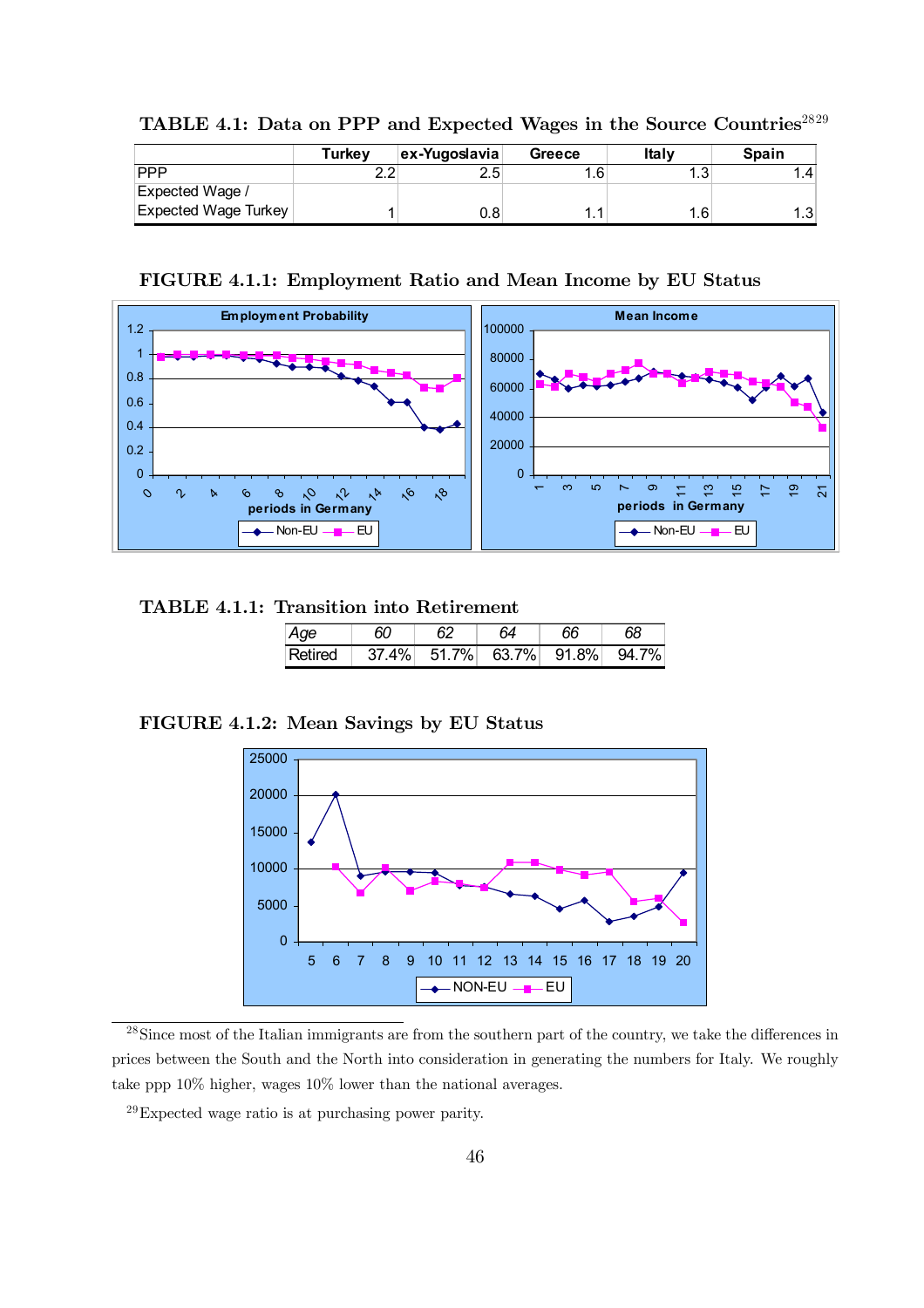|                             | Turkev | ex-Yugoslavia | Greece | Italv     | <b>Spain</b>    |
|-----------------------------|--------|---------------|--------|-----------|-----------------|
| <b>PPP</b>                  | າ າ    | 2.5           | 1.6    | 10<br>، ب | $\overline{.4}$ |
| Expected Wage /             |        |               |        |           |                 |
| <b>Expected Wage Turkey</b> |        | 0.8           |        | ⊹6،       | 1 ว<br>ں. ا     |

TABLE 4.1: Data on PPP and Expected Wages in the Source Countries<sup>2829</sup>

FIGURE 4.1.1: Employment Ratio and Mean Income by EU Status



### TABLE 4.1.1: Transition into Retirement

| Age     |       | 64 | 66                | 68    |
|---------|-------|----|-------------------|-------|
| Retired | 37.4% |    | 51.7% 63.7% 91.8% | 94.7% |

FIGURE 4.1.2: Mean Savings by EU Status



<sup>&</sup>lt;sup>28</sup>Since most of the Italian immigrants are from the southern part of the country, we take the differences in prices between the South and the North into consideration in generating the numbers for Italy. We roughly take ppp 10% higher, wages 10% lower than the national averages.

29Expected wage ratio is at purchasing power parity.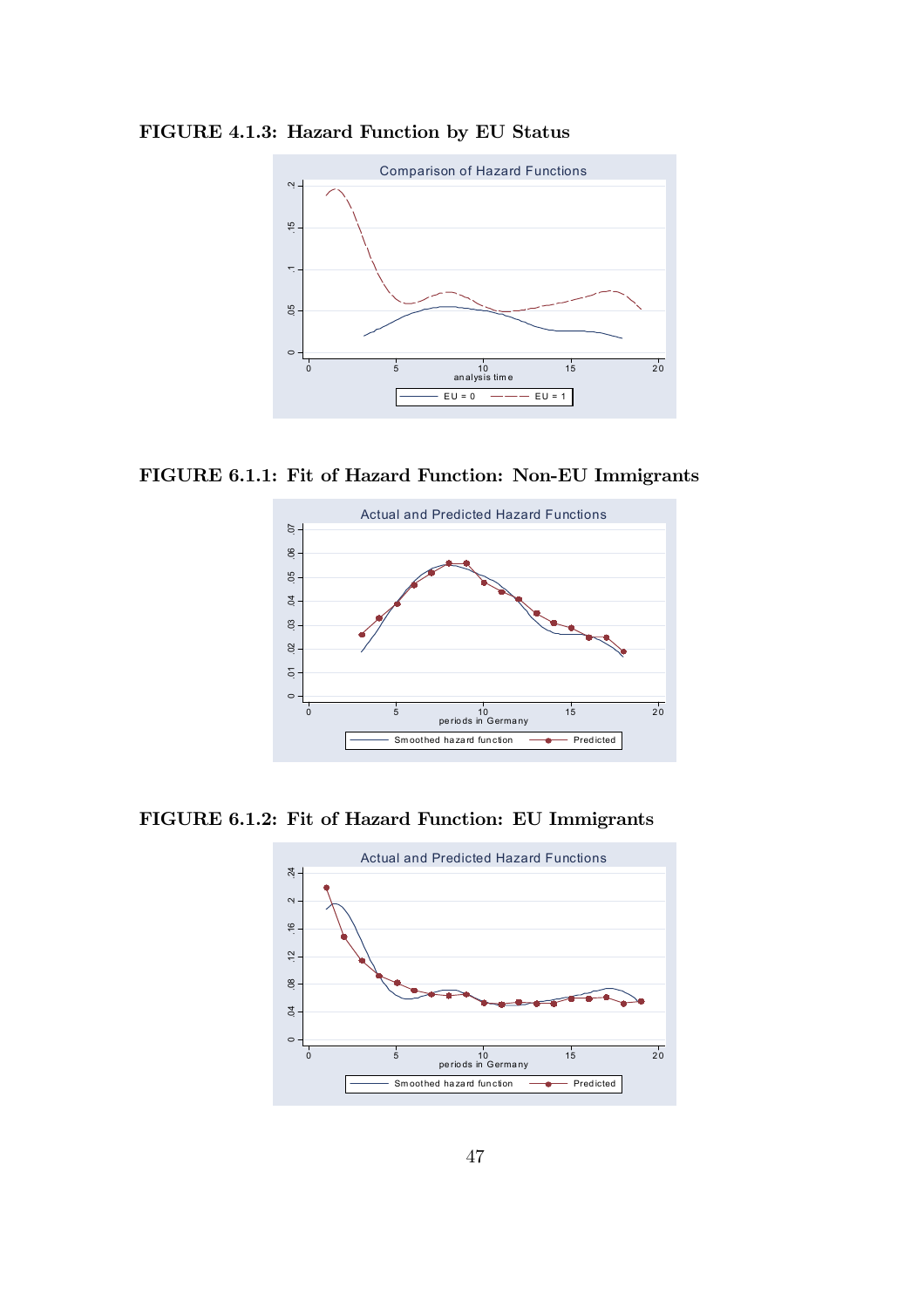

FIGURE 4.1.3: Hazard Function by EU Status

FIGURE 6.1.1: Fit of Hazard Function: Non-EU Immigrants



FIGURE 6.1.2: Fit of Hazard Function: EU Immigrants

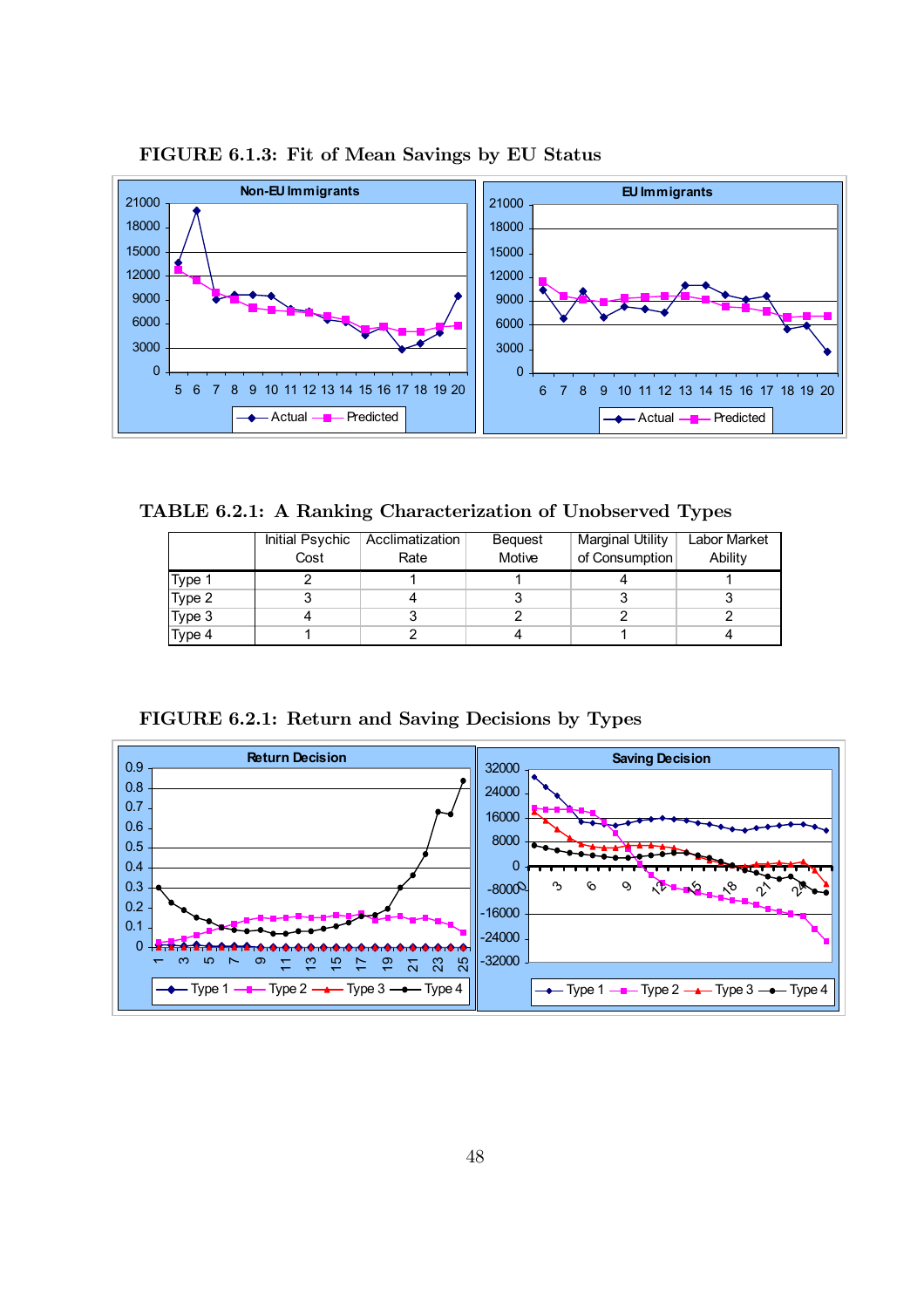

FIGURE 6.1.3: Fit of Mean Savings by EU Status

TABLE 6.2.1: A Ranking Characterization of Unobserved Types

|                  | Initial Psychic | Acclimatization | Bequest | Marginal Utility | Labor Market |
|------------------|-----------------|-----------------|---------|------------------|--------------|
|                  | Cost            | Rate            | Motive  | of Consumption   | Ability      |
| Type 1           |                 |                 |         |                  |              |
| $T$ ype 2        |                 |                 |         |                  |              |
| Type 3<br>Type 4 |                 |                 |         |                  |              |
|                  |                 |                 |         |                  |              |



FIGURE 6.2.1: Return and Saving Decisions by Types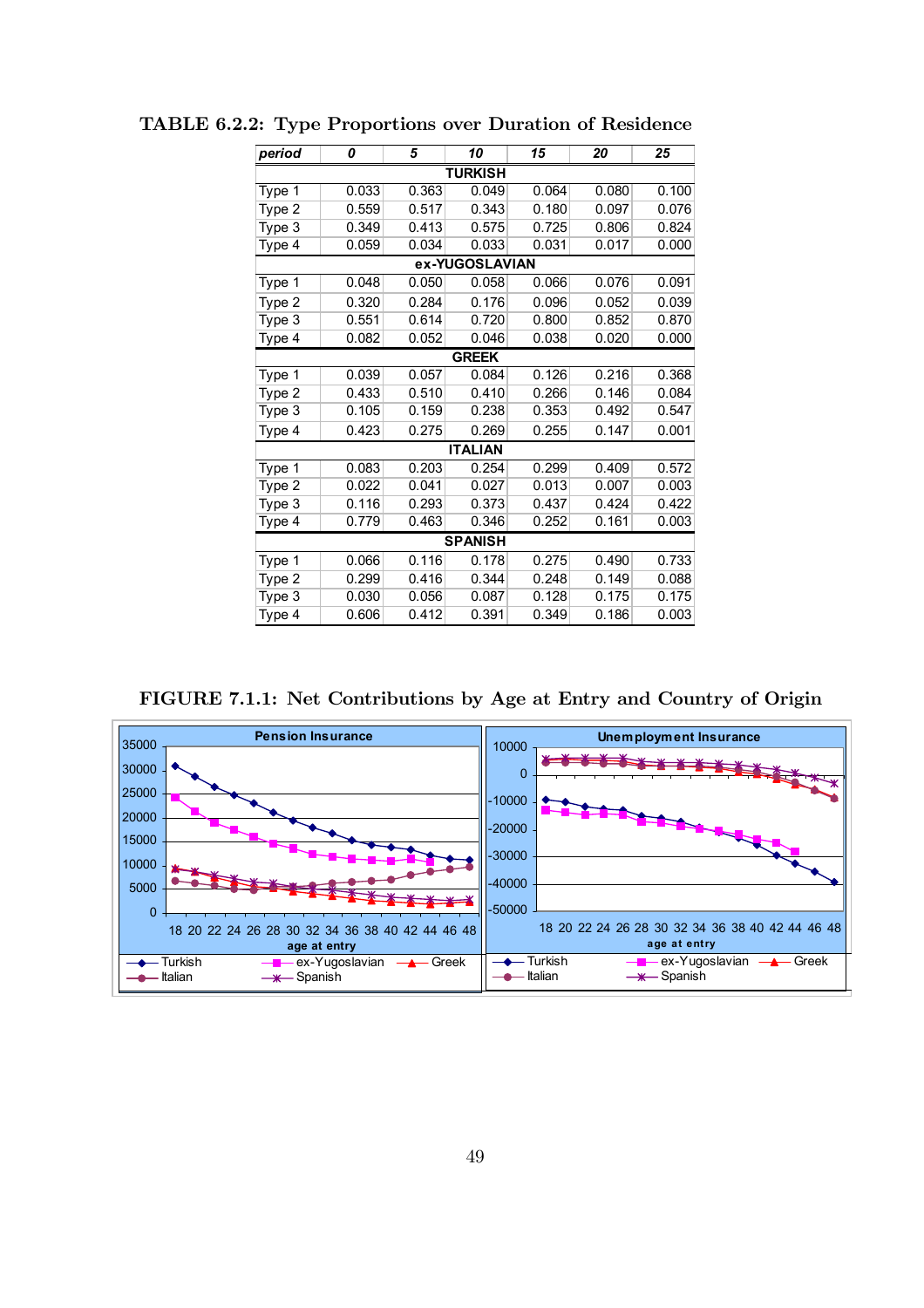| period | 0              | 5     | 10             | 15    | 20    | 25    |  |  |  |  |  |
|--------|----------------|-------|----------------|-------|-------|-------|--|--|--|--|--|
|        | <b>TURKISH</b> |       |                |       |       |       |  |  |  |  |  |
| Type 1 | 0.033          | 0.363 | 0.049          | 0.064 | 0.080 | 0.100 |  |  |  |  |  |
| Type 2 | 0.559          | 0.517 | 0.343          | 0.180 | 0.097 | 0.076 |  |  |  |  |  |
| Type 3 | 0.349          | 0.413 | 0.575          | 0.725 | 0.806 | 0.824 |  |  |  |  |  |
| Type 4 | 0.059          | 0.034 | 0.033          | 0.031 | 0.017 | 0.000 |  |  |  |  |  |
|        |                |       | ex-YUGOSLAVIAN |       |       |       |  |  |  |  |  |
| Type 1 | 0.048          | 0.050 | 0.058          | 0.066 | 0.076 | 0.091 |  |  |  |  |  |
| Type 2 | 0.320          | 0.284 | 0.176          | 0.096 | 0.052 | 0.039 |  |  |  |  |  |
| Type 3 | 0.551          | 0.614 | 0.720          | 0.800 | 0.852 | 0.870 |  |  |  |  |  |
| Type 4 | 0.082          | 0.052 | 0.046          | 0.038 | 0.020 | 0.000 |  |  |  |  |  |
|        | <b>GREEK</b>   |       |                |       |       |       |  |  |  |  |  |
| Type 1 | 0.039          | 0.057 | 0.084          | 0.126 | 0.216 | 0.368 |  |  |  |  |  |
| Type 2 | 0.433          | 0.510 | 0.410          | 0.266 | 0.146 | 0.084 |  |  |  |  |  |
| Type 3 | 0.105          | 0.159 | 0.238          | 0.353 | 0.492 | 0.547 |  |  |  |  |  |
| Type 4 | 0.423          | 0.275 | 0.269          | 0.255 | 0.147 | 0.001 |  |  |  |  |  |
|        |                |       | <b>ITALIAN</b> |       |       |       |  |  |  |  |  |
| Type 1 | 0.083          | 0.203 | 0.254          | 0.299 | 0.409 | 0.572 |  |  |  |  |  |
| Type 2 | 0.022          | 0.041 | 0.027          | 0.013 | 0.007 | 0.003 |  |  |  |  |  |
| Type 3 | 0.116          | 0.293 | 0.373          | 0.437 | 0.424 | 0.422 |  |  |  |  |  |
| Type 4 | 0.779          | 0.463 | 0.346          | 0.252 | 0.161 | 0.003 |  |  |  |  |  |
|        |                |       | <b>SPANISH</b> |       |       |       |  |  |  |  |  |
| Type 1 | 0.066          | 0.116 | 0.178          | 0.275 | 0.490 | 0.733 |  |  |  |  |  |
| Type 2 | 0.299          | 0.416 | 0.344          | 0.248 | 0.149 | 0.088 |  |  |  |  |  |
| Type 3 | 0.030          | 0.056 | 0.087          | 0.128 | 0.175 | 0.175 |  |  |  |  |  |
| Type 4 | 0.606          | 0.412 | 0.391          | 0.349 | 0.186 | 0.003 |  |  |  |  |  |

TABLE 6.2.2: Type Proportions over Duration of Residence

FIGURE 7.1.1: Net Contributions by Age at Entry and Country of Origin

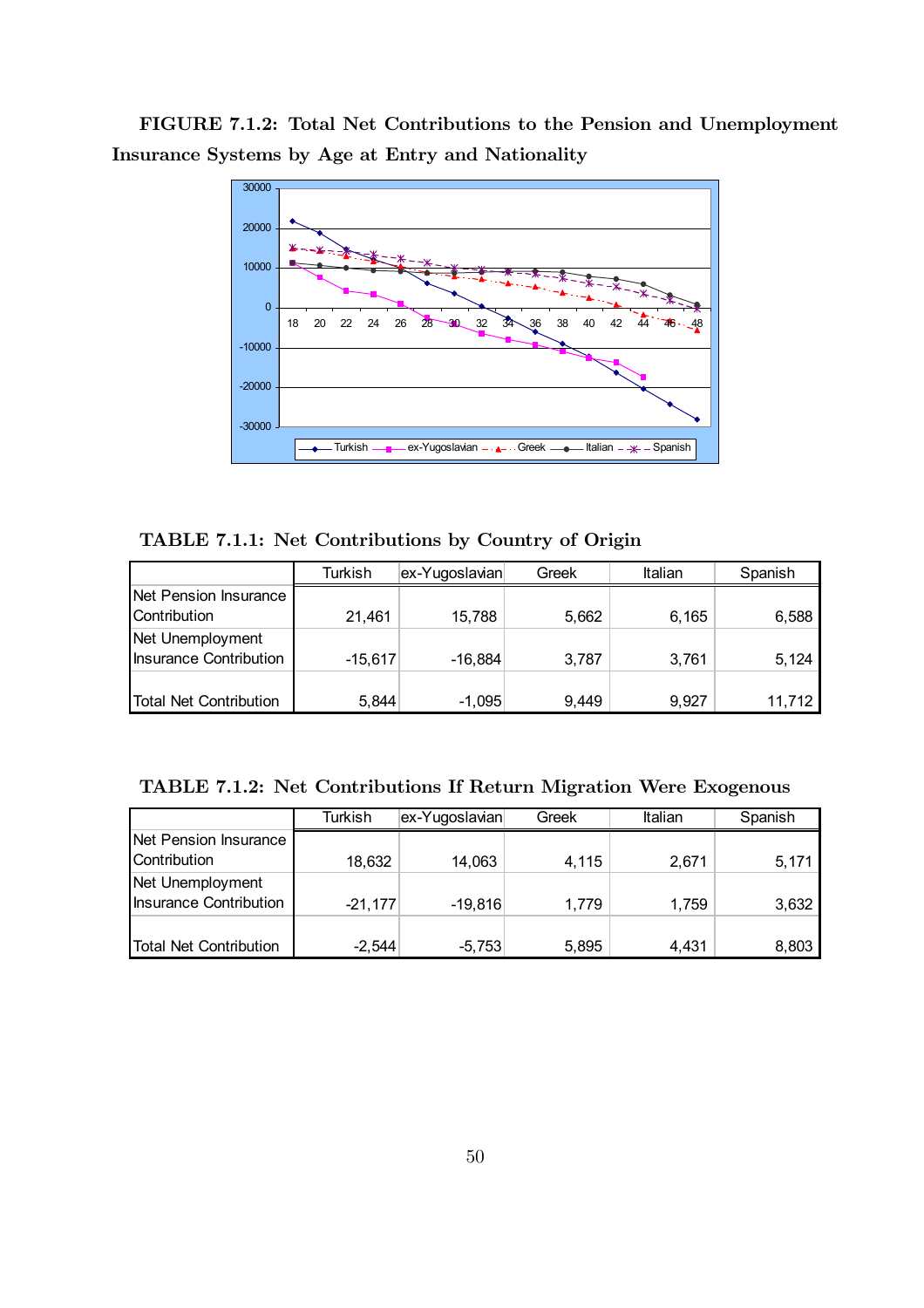FIGURE 7.1.2: Total Net Contributions to the Pension and Unemployment Insurance Systems by Age at Entry and Nationality



TABLE 7.1.1: Net Contributions by Country of Origin

|                               | Turkish   | ex-Yugoslavian | Greek | Italian | Spanish |
|-------------------------------|-----------|----------------|-------|---------|---------|
| Net Pension Insurance         |           |                |       |         |         |
| Contribution                  | 21,461    | 15,788         | 5,662 | 6,165   | 6,588   |
| Net Unemployment              |           |                |       |         |         |
| <b>Insurance Contribution</b> | $-15,617$ | $-16,884$      | 3,787 | 3,761   | 5,124   |
|                               |           |                |       |         |         |
| <b>Total Net Contribution</b> | 5,844     | $-1,095$       | 9.449 | 9,927   | 11,712  |

| TABLE 7.1.2: Net Contributions If Return Migration Were Exogenous |  |  |
|-------------------------------------------------------------------|--|--|
|-------------------------------------------------------------------|--|--|

|                               | Turkish   | ex-Yugoslavian | Greek | Italian | Spanish |
|-------------------------------|-----------|----------------|-------|---------|---------|
| Net Pension Insurance         |           |                |       |         |         |
| Contribution                  | 18,632    | 14,063         | 4,115 | 2.671   | 5,171   |
| Net Unemployment              |           |                |       |         |         |
| <b>Insurance Contribution</b> | $-21,177$ | $-19,816$      | 1.779 | 1,759   | 3,632   |
|                               |           |                |       |         |         |
| Total Net Contribution        | $-2.544$  | $-5,753$       | 5,895 | 4.431   | 8,803   |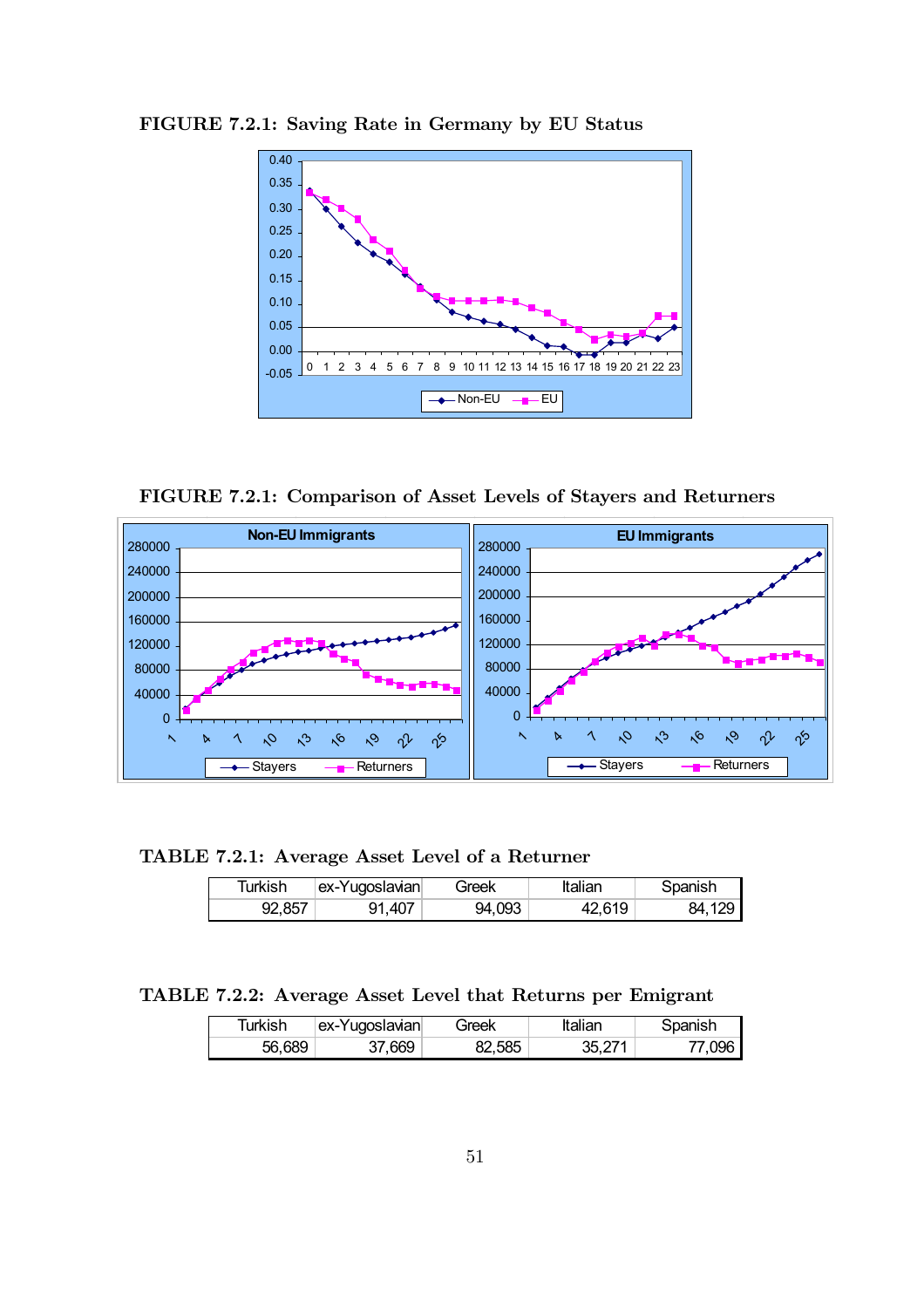

FIGURE 7.2.1: Saving Rate in Germany by EU Status

FIGURE 7.2.1: Comparison of Asset Levels of Stayers and Returners



TABLE 7.2.1: Average Asset Level of a Returner

| Turkish | ex-Yugoslavian | Greek  | Italian | Spanish |
|---------|----------------|--------|---------|---------|
| 92,857  | 91,407         | 94,093 | 42,619  | 84.129  |

TABLE 7.2.2: Average Asset Level that Returns per Emigrant

| Turkish | ex-Yugoslavian | Greek  | Italian | Spanish |
|---------|----------------|--------|---------|---------|
| 56.689  | 37.669         | 82,585 | 35,271  | 77.096  |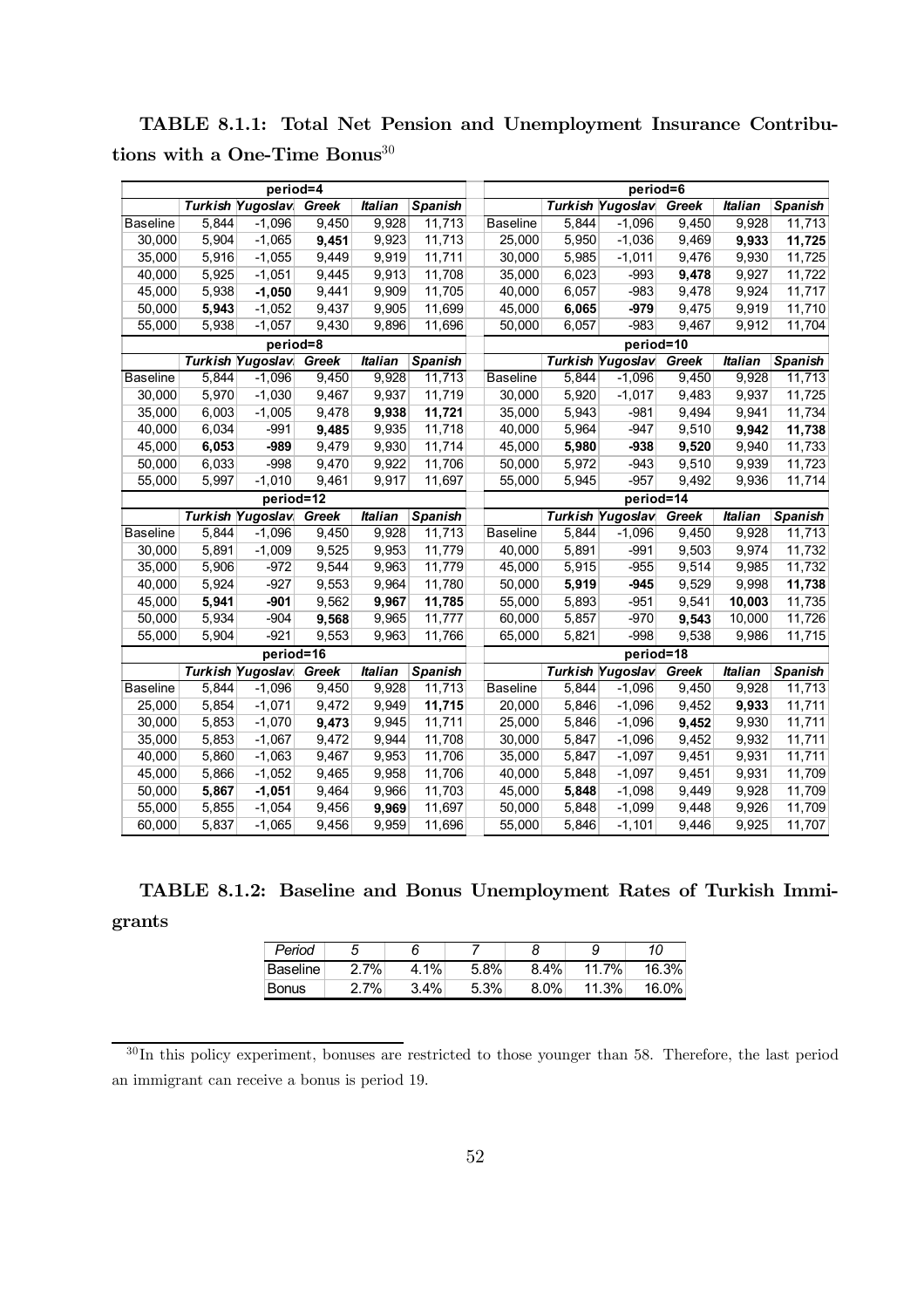|                  |                | period=4                |                |                |                  |                  |                | period=6                |                |                |                  |
|------------------|----------------|-------------------------|----------------|----------------|------------------|------------------|----------------|-------------------------|----------------|----------------|------------------|
|                  |                | <b>Turkish Yugoslav</b> | Greek          | <b>Italian</b> | Spanish          |                  |                | <b>Turkish Yugoslav</b> | Greek          | <b>Italian</b> | Spanish          |
| <b>Baseline</b>  | 5,844          | $-1,096$                | 9,450          | 9,928          | 11,713           | <b>Baseline</b>  | 5,844          | $-1,096$                | 9,450          | 9,928          | 11,713           |
| 30,000           | 5,904          | $-1,065$                | 9,451          | 9,923          | 11,713           | 25,000           | 5,950          | $-1,036$                | 9,469          | 9,933          | 11,725           |
| 35,000           | 5,916          | $-1,055$                | 9,449          | 9,919          | 11,711           | 30,000           | 5,985          | $-1,011$                | 9,476          | 9,930          | 11,725           |
| 40,000           | 5,925          | $-1,051$                | 9,445          | 9,913          | 11,708           | 35,000           | 6,023          | $-993$                  | 9,478          | 9,927          | 11,722           |
| 45,000           | 5,938          | $-1,050$                | 9,441          | 9,909          | 11,705           | 40,000           | 6,057          | $-983$                  | 9,478          | 9,924          | 11,717           |
| 50,000           | 5,943          | $-1,052$                | 9,437          | 9,905          | 11,699           | 45,000           | 6,065          | $-979$                  | 9,475          | 9,919          | 11,710           |
| 55,000           | 5,938          | $-1,057$                | 9,430          | 9,896          | 11,696           | 50,000           | 6,057          | $-983$                  | 9,467          | 9,912          | 11,704           |
|                  |                | period=8                |                |                |                  |                  |                | period=10               |                |                |                  |
|                  |                | <b>Turkish Yugoslav</b> | Greek          | <b>Italian</b> | Spanish          |                  |                | <b>Turkish Yugoslav</b> | Greek          | <b>Italian</b> | Spanish          |
| <b>Baseline</b>  | 5,844          | $-1,096$                | 9,450          | 9,928          | 11,713           | <b>Baseline</b>  | 5,844          | $-1,096$                | 9,450          | 9,928          | 11,713           |
| 30,000           | 5,970          | $-1,030$                | 9,467          | 9,937          | 11,719           | 30,000           | 5,920          | $-1,017$                | 9,483          | 9,937          | 11,725           |
| 35,000           | 6,003          | $-1,005$                | 9,478          | 9,938          | 11,721           | 35,000           | 5,943          | $-981$                  | 9,494          | 9,941          | 11,734           |
| 40,000           | 6,034          | $-991$                  | 9,485          | 9,935          | 11,718           | 40,000           | 5,964          | $-947$                  | 9,510          | 9,942          | 11,738           |
| 45,000           | 6,053          | $-989$                  | 9,479          | 9,930          | 11,714           | 45,000           | 5,980          | $-938$                  | 9,520          | 9,940          | 11,733           |
| 50,000           | 6,033          | $-998$                  | 9,470          | 9,922          | 11,706           | 50,000           | 5,972          | $-943$                  | 9,510          | 9,939          | 11,723           |
| 55,000           | 5,997          | $-1,010$                | 9,461          | 9,917          | 11,697           | 55,000           | 5,945          | $-957$                  | 9,492          | 9,936          | 11,714           |
|                  |                | period=12               |                |                |                  |                  |                | period=14               |                |                |                  |
|                  |                |                         |                |                |                  |                  |                |                         |                |                |                  |
|                  | <b>Turkish</b> | Yugoslav                | Greek          | <b>Italian</b> | <b>Spanish</b>   |                  |                | <b>Turkish Yugoslav</b> | Greek          | <b>Italian</b> | Spanish          |
| <b>Baseline</b>  | 5,844          | $-1,096$                | 9,450          | 9,928          | 11,713           | <b>Baseline</b>  | 5,844          | $-1,096$                | 9,450          | 9,928          | 11,713           |
| 30,000           | 5,891          | $-1,009$                | 9,525          | 9,953          | 11,779           | 40,000           | 5,891          | $-991$                  | 9,503          | 9,974          | 11,732           |
| 35,000           | 5,906          | $-972$                  | 9,544          | 9,963          | 11,779           | 45,000           | 5,915          | $-955$                  | 9,514          | 9,985          | 11,732           |
| 40,000           | 5,924          | $-927$                  | 9,553          | 9,964          | 11,780           | 50,000           | 5,919          | $-945$                  | 9,529          | 9,998          | 11,738           |
| 45,000           | 5,941          | $-901$                  | 9,562          | 9,967          | 11,785           | 55,000           | 5,893          | $-951$                  | 9,541          | 10,003         | 11,735           |
| 50,000           | 5,934          | $-904$                  | 9,568          | 9,965          | 11,777           | 60,000           | 5,857          | $-970$                  | 9,543          | 10,000         | 11,726           |
| 55,000           | 5,904          | $-921$                  | 9,553          | 9,963          | 11,766           | 65,000           | 5,821          | $-998$                  | 9,538          | 9,986          | 11,715           |
|                  |                | period=16               |                |                |                  |                  |                | period=18               |                |                |                  |
|                  |                | <b>Turkish Yugoslav</b> | Greek          | <b>Italian</b> | Spanish          |                  |                | <b>Turkish Yugoslav</b> | Greek          | <b>Italian</b> | Spanish          |
| <b>Baseline</b>  | 5,844          | $-1,096$                | 9,450          | 9,928          | 11,713           | <b>Baseline</b>  | 5,844          | $-1,096$                | 9,450          | 9,928          | 11,713           |
| 25,000           | 5,854          | $-1,071$                | 9,472          | 9,949          | 11,715           | 20,000           | 5,846          | $-1,096$                | 9,452          | 9,933          | 11,711           |
| 30,000           | 5,853          | $-1,070$                | 9,473          | 9,945          | 11,711           | 25,000           | 5,846          | $-1,096$                | 9,452          | 9,930          | 11,711           |
| 35,000           | 5,853          | $-1,067$                | 9,472          | 9,944          | 11,708           | 30,000           | 5,847          | $-1,096$                | 9,452          | 9,932          | 11,711           |
| 40,000           | 5,860          | $-1,063$                | 9,467          | 9,953          | 11,706           | 35,000           | 5,847          | $-1,097$                | 9,451          | 9,931          | 11,711           |
| 45,000           | 5,866          | $-1,052$                | 9,465          | 9,958          | 11,706           | 40,000           | 5,848          | $-1,097$                | 9,451          | 9,931          | 11,709           |
| 50,000           | 5,867          | $-1,051$                | 9,464          | 9,966          | 11,703           | 45,000           | 5,848          | $-1,098$                | 9,449          | 9,928          | 11,709           |
| 55,000<br>60,000 | 5,855<br>5,837 | $-1,054$<br>$-1,065$    | 9,456<br>9,456 | 9,969<br>9,959 | 11,697<br>11,696 | 50,000<br>55,000 | 5,848<br>5,846 | $-1,099$<br>$-1,101$    | 9,448<br>9,446 | 9,926<br>9,925 | 11,709<br>11,707 |

|                                     |  | TABLE 8.1.1: Total Net Pension and Unemployment Insurance Contribu- |  |
|-------------------------------------|--|---------------------------------------------------------------------|--|
| tions with a One-Time Bonus $^{30}$ |  |                                                                     |  |

TABLE 8.1.2: Baseline and Bonus Unemployment Rates of Turkish Immigrants

| Period   |         |         |         |         | g     | 10       |
|----------|---------|---------|---------|---------|-------|----------|
| Baseline | $2.7\%$ | 4.1%    | 5.8%    | $8.4\%$ | 11.7% | 16.3%    |
| Bonus    | $2.7\%$ | $3.4\%$ | $5.3\%$ | 8.0%    | 11.3% | $16.0\%$ |

<sup>&</sup>lt;sup>30</sup>In this policy experiment, bonuses are restricted to those younger than 58. Therefore, the last period an immigrant can receive a bonus is period 19.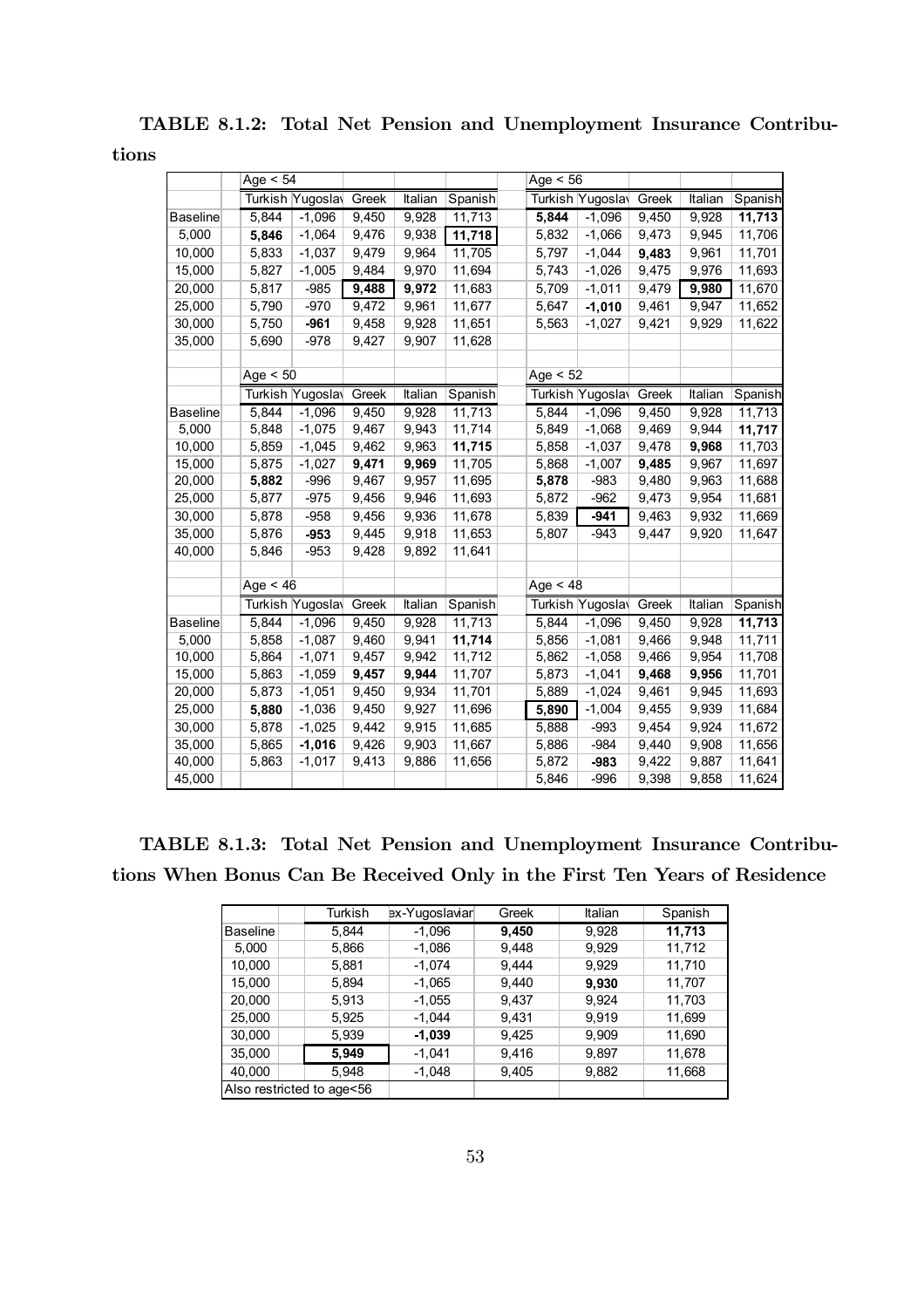TABLE 8.1.2: Total Net Pension and Unemployment Insurance Contribu-

tions

|                 | Age $< 54$ |                  |       |         |         | Age $<$ 56 |                  |       |         |         |
|-----------------|------------|------------------|-------|---------|---------|------------|------------------|-------|---------|---------|
|                 |            | Turkish Yugoslay | Greek | Italian | Spanish |            | Turkish Yugoslay | Greek | Italian | Spanish |
| <b>Baseline</b> | 5,844      | $-1,096$         | 9,450 | 9,928   | 11,713  | 5,844      | $-1,096$         | 9,450 | 9,928   | 11,713  |
| 5,000           | 5,846      | $-1,064$         | 9,476 | 9,938   | 11,718  | 5,832      | $-1,066$         | 9,473 | 9,945   | 11,706  |
| 10,000          | 5,833      | $-1,037$         | 9,479 | 9,964   | 11,705  | 5,797      | $-1,044$         | 9,483 | 9,961   | 11,701  |
| 15,000          | 5,827      | $-1,005$         | 9,484 | 9,970   | 11,694  | 5,743      | $-1,026$         | 9,475 | 9,976   | 11,693  |
| 20,000          | 5,817      | $-985$           | 9,488 | 9,972   | 11,683  | 5,709      | $-1,011$         | 9,479 | 9,980   | 11,670  |
| 25,000          | 5,790      | $-970$           | 9,472 | 9,961   | 11,677  | 5,647      | $-1,010$         | 9,461 | 9,947   | 11,652  |
| 30,000          | 5,750      | $-961$           | 9,458 | 9,928   | 11,651  | 5,563      | $-1,027$         | 9,421 | 9,929   | 11,622  |
| 35,000          | 5,690      | $-978$           | 9,427 | 9,907   | 11,628  |            |                  |       |         |         |
|                 |            |                  |       |         |         |            |                  |       |         |         |
|                 | Age $< 50$ |                  |       |         |         | Age $< 52$ |                  |       |         |         |
|                 |            | Turkish Yugoslay | Greek | Italian | Spanish |            | Turkish Yugoslay | Greek | Italian | Spanish |
| <b>Baseline</b> | 5,844      | $-1,096$         | 9,450 | 9,928   | 11,713  | 5,844      | $-1,096$         | 9,450 | 9,928   | 11,713  |
| 5,000           | 5,848      | $-1,075$         | 9,467 | 9,943   | 11,714  | 5,849      | $-1,068$         | 9,469 | 9,944   | 11,717  |
| 10,000          | 5,859      | $-1,045$         | 9,462 | 9,963   | 11,715  | 5,858      | $-1,037$         | 9,478 | 9,968   | 11,703  |
| 15,000          | 5,875      | $-1,027$         | 9,471 | 9,969   | 11,705  | 5,868      | $-1,007$         | 9,485 | 9,967   | 11,697  |
| 20,000          | 5,882      | $-996$           | 9,467 | 9,957   | 11,695  | 5,878      | $-983$           | 9,480 | 9,963   | 11,688  |
| 25,000          | 5,877      | $-975$           | 9,456 | 9,946   | 11,693  | 5,872      | $-962$           | 9,473 | 9,954   | 11,681  |
| 30,000          | 5,878      | -958             | 9,456 | 9,936   | 11,678  | 5,839      | $-941$           | 9,463 | 9,932   | 11,669  |
| 35,000          | 5,876      | $-953$           | 9,445 | 9,918   | 11,653  | 5,807      | $-943$           | 9,447 | 9,920   | 11,647  |
| 40,000          | 5,846      | $-953$           | 9,428 | 9,892   | 11,641  |            |                  |       |         |         |
|                 |            |                  |       |         |         |            |                  |       |         |         |
|                 | Age $< 46$ |                  |       |         |         | Age $<$ 48 |                  |       |         |         |
|                 |            | Turkish Yugosla  | Greek | Italian | Spanish |            | Turkish Yugosla  | Greek | Italian | Spanish |
| <b>Baseline</b> | 5,844      | $-1,096$         | 9,450 | 9,928   | 11,713  | 5,844      | $-1,096$         | 9,450 | 9,928   | 11,713  |
| 5,000           | 5,858      | $-1,087$         | 9,460 | 9,941   | 11,714  | 5,856      | $-1,081$         | 9,466 | 9,948   | 11,711  |
| 10,000          | 5,864      | $-1,071$         | 9,457 | 9,942   | 11,712  | 5,862      | $-1,058$         | 9,466 | 9,954   | 11,708  |
| 15,000          | 5,863      | $-1,059$         | 9,457 | 9,944   | 11,707  | 5,873      | $-1,041$         | 9,468 | 9,956   | 11,701  |
| 20,000          | 5,873      | $-1,051$         | 9,450 | 9,934   | 11,701  | 5,889      | $-1,024$         | 9,461 | 9,945   | 11,693  |
| 25,000          | 5,880      | $-1,036$         | 9,450 | 9,927   | 11,696  | 5,890      | $-1,004$         | 9,455 | 9,939   | 11,684  |
| 30,000          | 5,878      | $-1,025$         | 9,442 | 9,915   | 11,685  | 5,888      | $-993$           | 9,454 | 9,924   | 11,672  |
| 35,000          | 5,865      | $-1,016$         | 9,426 | 9,903   | 11,667  | 5,886      | $-984$           | 9,440 | 9,908   | 11,656  |
| 40,000          | 5,863      | $-1,017$         | 9,413 | 9,886   | 11,656  | 5,872      | -983             | 9,422 | 9,887   | 11,641  |
| 45,000          |            |                  |       |         |         | 5,846      | $-996$           | 9,398 | 9,858   | 11,624  |

TABLE 8.1.3: Total Net Pension and Unemployment Insurance Contributions When Bonus Can Be Received Only in the First Ten Years of Residence

|                           | Turkish | ex-Yugoslaviar | Greek | Italian | Spanish |
|---------------------------|---------|----------------|-------|---------|---------|
| <b>Baseline</b>           | 5.844   | $-1,096$       | 9,450 | 9,928   | 11,713  |
| 5,000                     | 5,866   | $-1,086$       | 9,448 | 9,929   | 11,712  |
| 10,000                    | 5,881   | $-1,074$       | 9,444 | 9,929   | 11,710  |
| 15,000                    | 5,894   | $-1,065$       | 9,440 | 9,930   | 11,707  |
| 20,000                    | 5.913   | $-1,055$       | 9,437 | 9.924   | 11,703  |
| 25,000                    | 5,925   | $-1,044$       | 9,431 | 9,919   | 11,699  |
| 30.000                    | 5,939   | $-1,039$       | 9,425 | 9,909   | 11,690  |
| 35.000                    | 5,949   | $-1,041$       | 9,416 | 9,897   | 11,678  |
| 40,000                    | 5.948   | $-1,048$       | 9,405 | 9,882   | 11,668  |
| Also restricted to age<56 |         |                |       |         |         |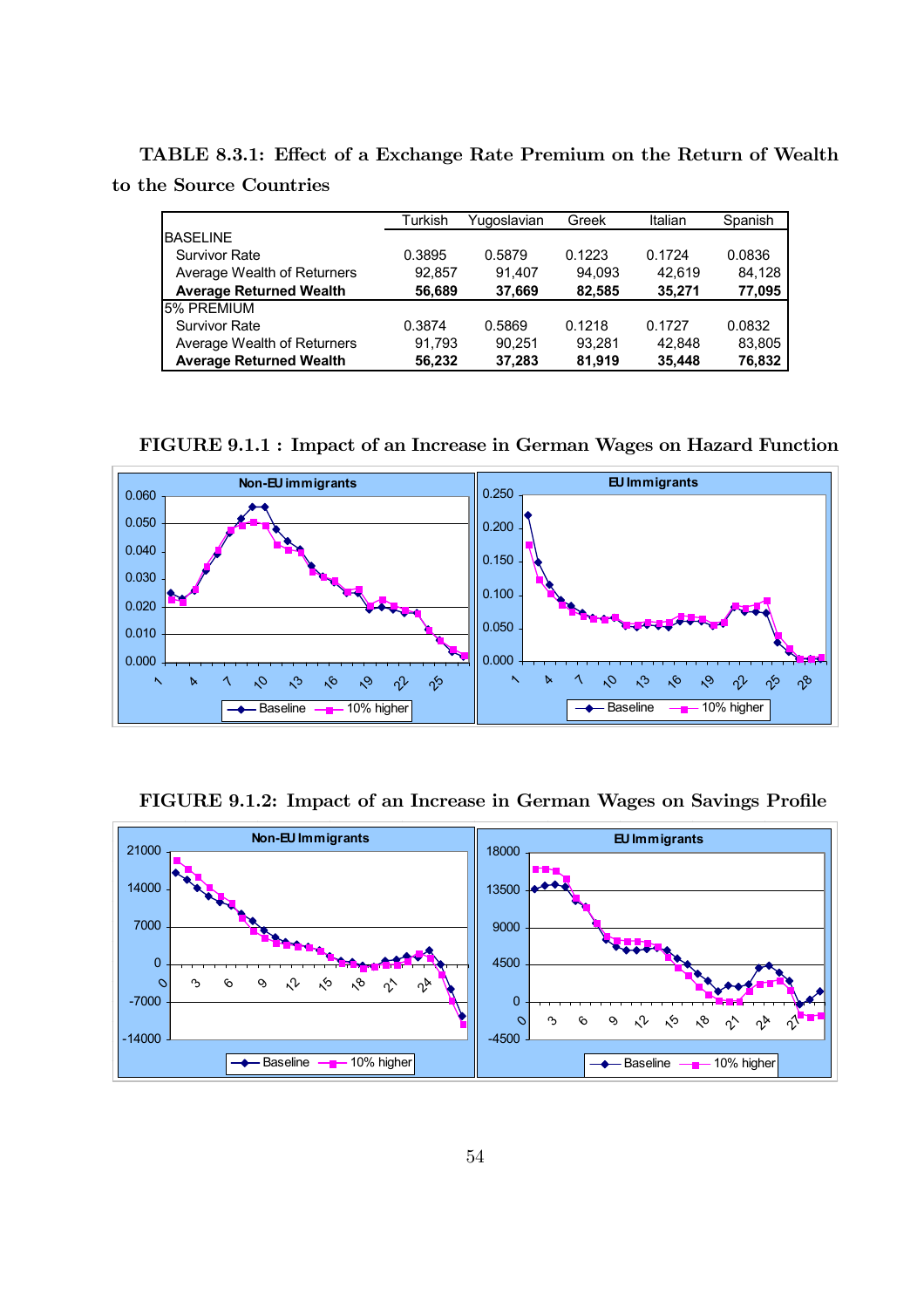TABLE 8.3.1: Effect of a Exchange Rate Premium on the Return of Wealth to the Source Countries

|                                | Turkish | Yugoslavian | Greek  | Italian | Spanish |
|--------------------------------|---------|-------------|--------|---------|---------|
| <b>BASELINE</b>                |         |             |        |         |         |
| <b>Survivor Rate</b>           | 0.3895  | 0.5879      | 0.1223 | 0.1724  | 0.0836  |
| Average Wealth of Returners    | 92.857  | 91.407      | 94.093 | 42.619  | 84.128  |
| <b>Average Returned Wealth</b> | 56.689  | 37,669      | 82.585 | 35.271  | 77,095  |
| 5% PREMIUM                     |         |             |        |         |         |
| <b>Survivor Rate</b>           | 0.3874  | 0.5869      | 0.1218 | 0.1727  | 0.0832  |
| Average Wealth of Returners    | 91.793  | 90.251      | 93.281 | 42.848  | 83,805  |
| <b>Average Returned Wealth</b> | 56.232  | 37.283      | 81.919 | 35,448  | 76,832  |

FIGURE 9.1.1 : Impact of an Increase in German Wages on Hazard Function



FIGURE 9.1.2: Impact of an Increase in German Wages on Savings Profile

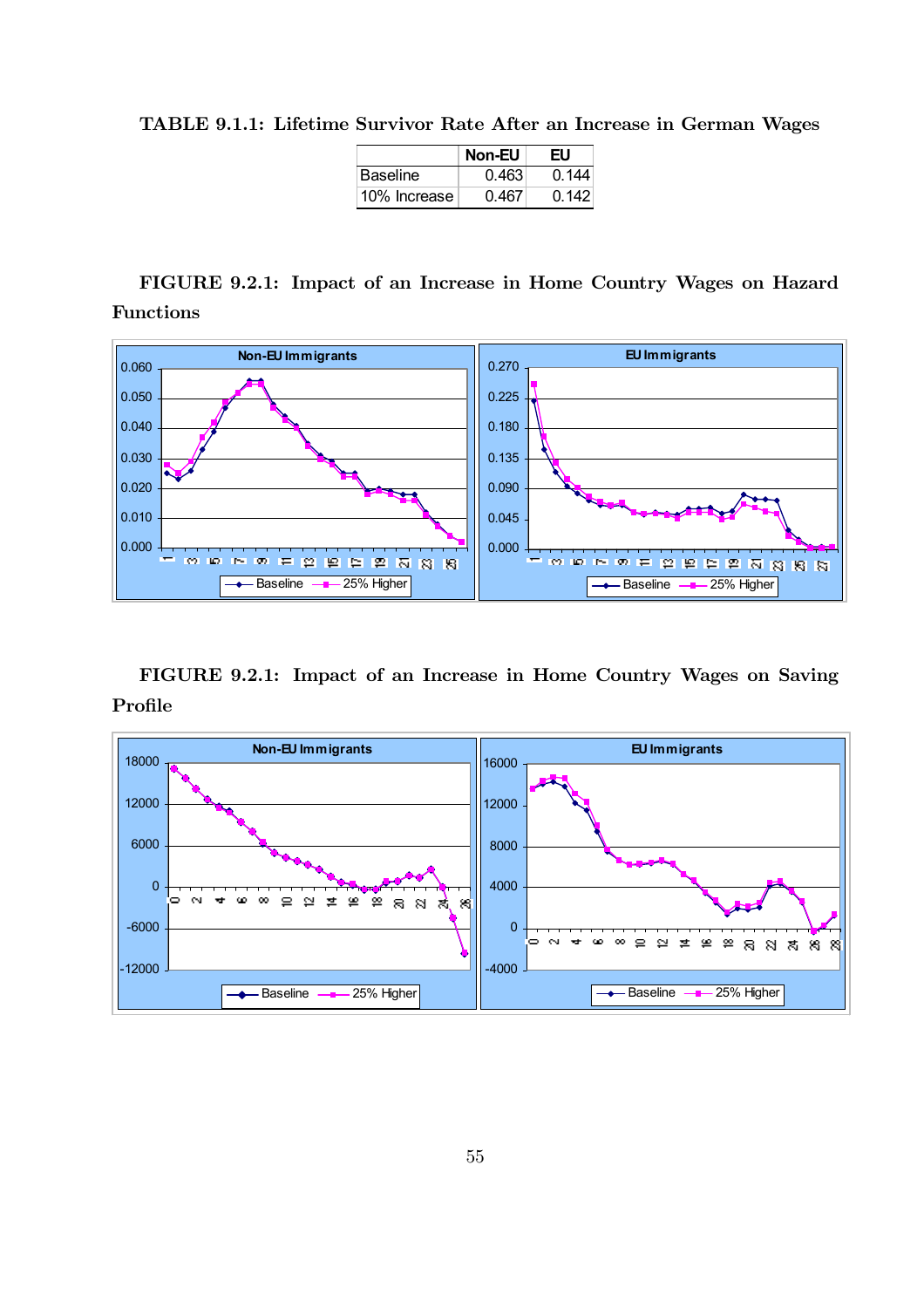TABLE 9.1.1: Lifetime Survivor Rate After an Increase in German Wages

|                 | <b>Non-EU</b> | EU    |
|-----------------|---------------|-------|
| <b>Baseline</b> | 0.463         | 0.144 |
| 10% Increase    | 0.467         | 0.142 |

FIGURE 9.2.1: Impact of an Increase in Home Country Wages on Hazard Functions



FIGURE 9.2.1: Impact of an Increase in Home Country Wages on Saving Profile

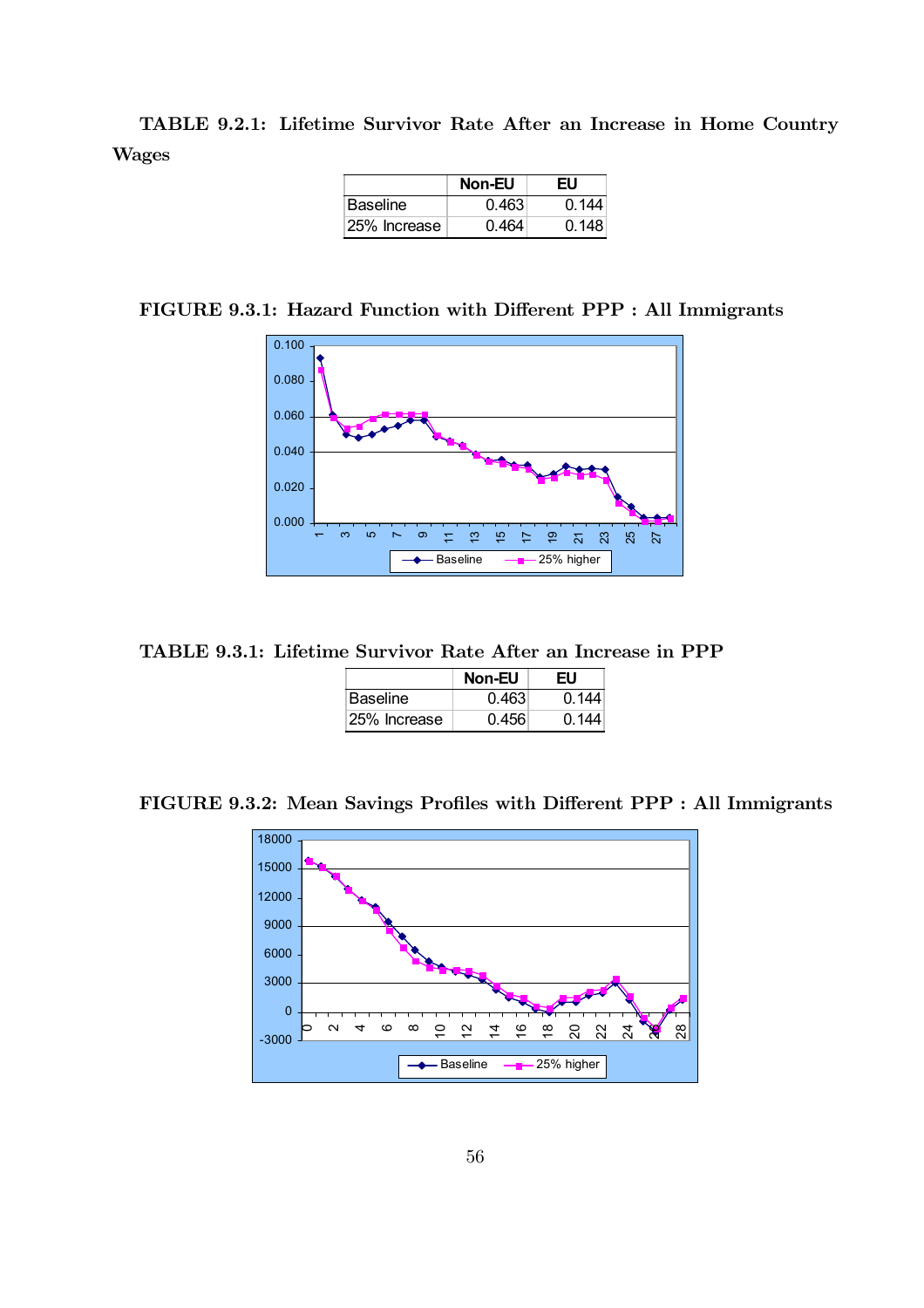TABLE 9.2.1: Lifetime Survivor Rate After an Increase in Home Country Wages

|                 | <b>Non-EU</b> | EU    |
|-----------------|---------------|-------|
| <b>Baseline</b> | 0.463         | በ 144 |
| 25% Increase    | በ 464         | በ 148 |

FIGURE 9.3.1: Hazard Function with Different PPP : All Immigrants



TABLE 9.3.1: Lifetime Survivor Rate After an Increase in PPP

|                 | <b>Non-EU</b> | EU    |
|-----------------|---------------|-------|
| <b>Baseline</b> | 0.463         | 0.144 |
| 125% Increase   | 0.456         | በ 144 |

FIGURE 9.3.2: Mean Savings Profiles with Different PPP : All Immigrants

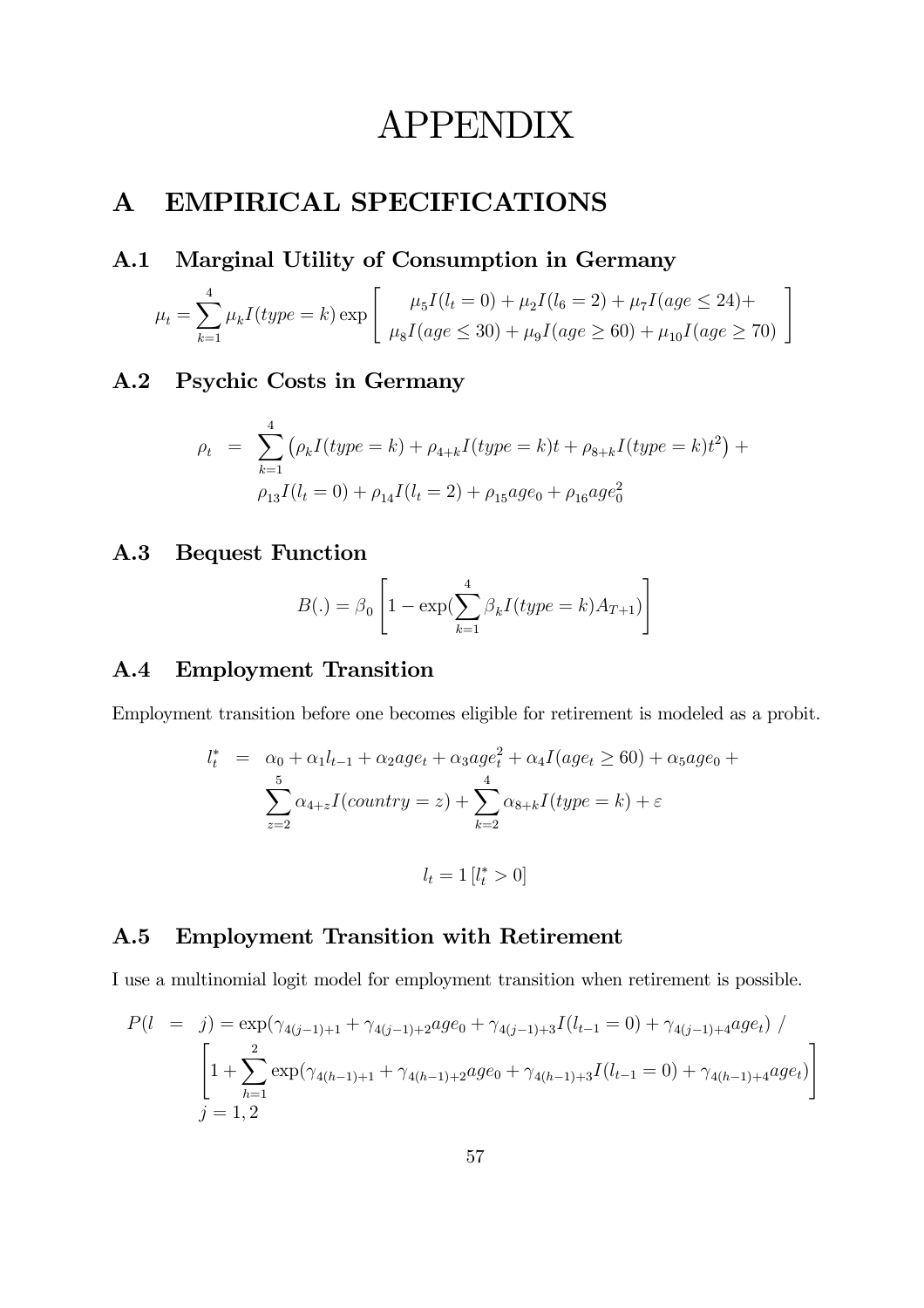# APPENDIX

# A EMPIRICAL SPECIFICATIONS

## A.1 Marginal Utility of Consumption in Germany

$$
\mu_t = \sum_{k=1}^4 \mu_k I(type = k) \exp\left[\begin{array}{c} \mu_5 I(l_t = 0) + \mu_2 I(l_6 = 2) + \mu_7 I(age \le 24) + \\ \mu_8 I(age \le 30) + \mu_9 I(age \ge 60) + \mu_{10} I(age \ge 70) \end{array}\right]
$$

### A.2 Psychic Costs in Germany

$$
\rho_t = \sum_{k=1}^4 (\rho_k I(type = k) + \rho_{4+k} I(type = k)t + \rho_{8+k} I(type = k)t^2) +
$$
  

$$
\rho_{13} I(l_t = 0) + \rho_{14} I(l_t = 2) + \rho_{15} age_0 + \rho_{16} age_0^2
$$

### A.3 Bequest Function

$$
B(.) = \beta_0 \left[ 1 - \exp\left(\sum_{k=1}^4 \beta_k I(type = k) A_{T+1}\right) \right]
$$

### A.4 Employment Transition

Employment transition before one becomes eligible for retirement is modeled as a probit.

$$
l_t^* = \alpha_0 + \alpha_1 l_{t-1} + \alpha_2 age_t + \alpha_3 age_t^2 + \alpha_4 I(age_t \ge 60) + \alpha_5 age_0 + \sum_{z=2}^5 \alpha_{4+z} I(country = z) + \sum_{k=2}^4 \alpha_{8+k} I(type = k) + \varepsilon
$$
  

$$
l_t = 1 [l_t^* > 0]
$$

## A.5 Employment Transition with Retirement

I use a multinomial logit model for employment transition when retirement is possible.

$$
P(l = j) = \exp(\gamma_{4(j-1)+1} + \gamma_{4(j-1)+2}age_0 + \gamma_{4(j-1)+3}I(l_{t-1} = 0) + \gamma_{4(j-1)+4}age_t) / \newline \left[1 + \sum_{h=1}^{2} \exp(\gamma_{4(h-1)+1} + \gamma_{4(h-1)+2}age_0 + \gamma_{4(h-1)+3}I(l_{t-1} = 0) + \gamma_{4(h-1)+4}age_t)\right]
$$
\n
$$
j = 1, 2
$$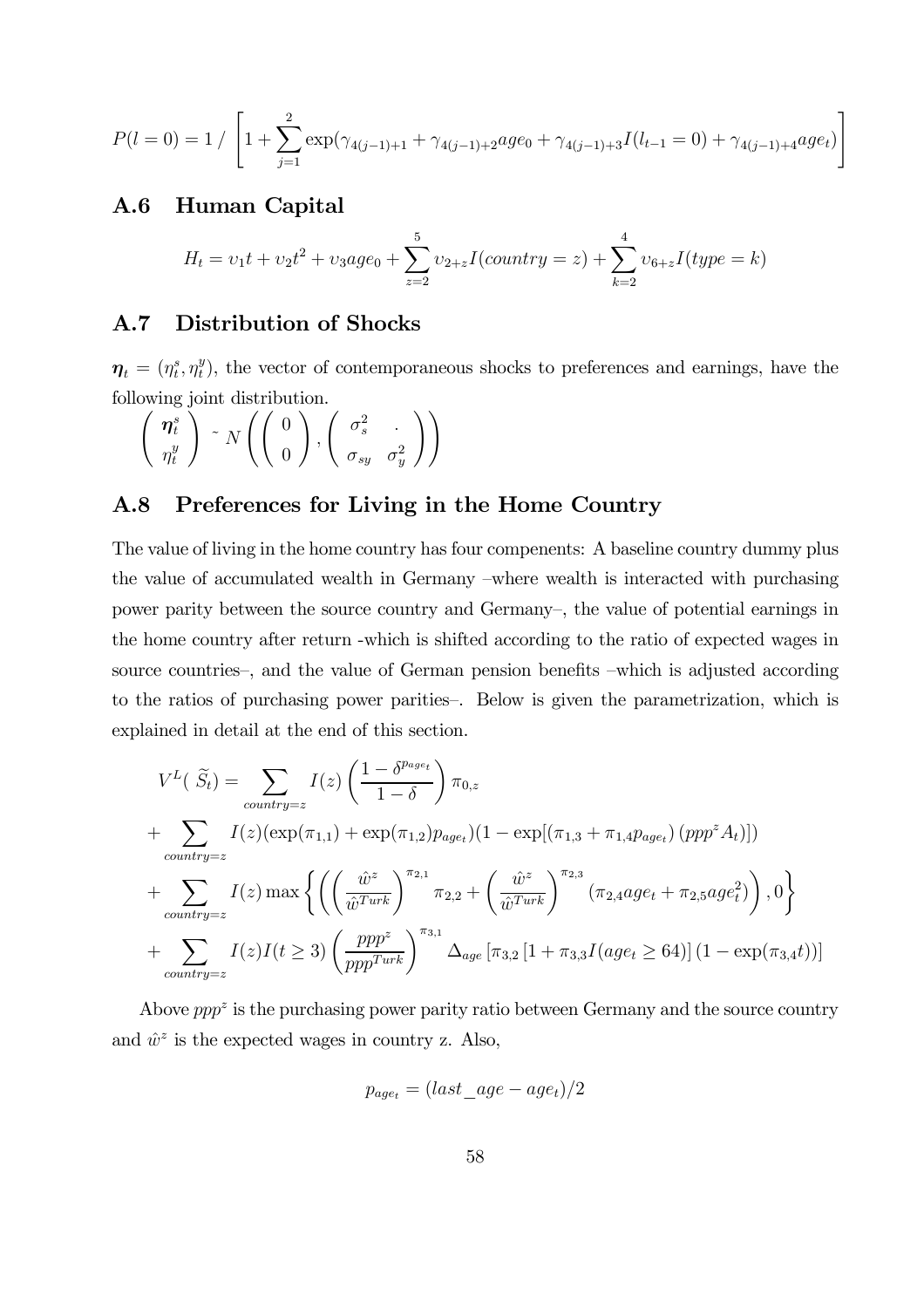$$
P(l=0) = 1 / \left[1 + \sum_{j=1}^{2} \exp(\gamma_{4(j-1)+1} + \gamma_{4(j-1)+2}age_0 + \gamma_{4(j-1)+3}I(l_{t-1}=0) + \gamma_{4(j-1)+4}age_t)\right]
$$

### A.6 Human Capital

$$
H_t = v_1t + v_2t^2 + v_3age_0 + \sum_{z=2}^{5} v_{2+z}I(country = z) + \sum_{k=2}^{4} v_{6+z}I(type = k)
$$

### A.7 Distribution of Shocks

 $\boldsymbol{\eta}_t = (\eta_t^s, \eta_t^y)$ , the vector of contemporaneous shocks to preferences and earnings, have the following joint distribution.

$$
\left(\begin{array}{c}\n\boldsymbol{\eta}_t^s \\
\eta_t^y\n\end{array}\right) \sim N\left(\left(\begin{array}{c}\n0 \\
0\n\end{array}\right), \left(\begin{array}{cc}\n\sigma_s^2 \\
\sigma_{sy} & \sigma_y^2\n\end{array}\right)\right)
$$

### A.8 Preferences for Living in the Home Country

The value of living in the home country has four compenents: A baseline country dummy plus the value of accumulated wealth in Germany —where wealth is interacted with purchasing power parity between the source country and Germany—, the value of potential earnings in the home country after return -which is shifted according to the ratio of expected wages in source countries—, and the value of German pension benefits —which is adjusted according to the ratios of purchasing power parities—. Below is given the parametrization, which is explained in detail at the end of this section.

$$
V^{L}(\widetilde{S}_{t}) = \sum_{countery=z} I(z) \left( \frac{1 - \delta^{p_{age}}}{1 - \delta} \right) \pi_{0,z}
$$
  
+ 
$$
\sum_{countery=z} I(z) (\exp(\pi_{1,1}) + \exp(\pi_{1,2}) p_{age}) (1 - \exp[(\pi_{1,3} + \pi_{1,4} p_{age}) (ppp^{z} A_{t})])
$$
  
+ 
$$
\sum_{countery=z} I(z) \max \left\{ \left( \left( \frac{\hat{w}^{z}}{\hat{w}^{Turb}} \right)^{\pi_{2,1}} \pi_{2,2} + \left( \frac{\hat{w}^{z}}{\hat{w}^{Turb}} \right)^{\pi_{2,3}} (\pi_{2,4} age_{t} + \pi_{2,5} age_{t}^{2}) \right), 0 \right\}
$$
  
+ 
$$
\sum_{countery=z} I(z) I(t \ge 3) \left( \frac{ppp^{z}}{ppp^{Turb}} \right)^{\pi_{3,1}} \Delta_{age} [\pi_{3,2} [1 + \pi_{3,3} I(age_{t} \ge 64)] (1 - \exp(\pi_{3,4} t))]
$$

Above  $pp^2$  is the purchasing power parity ratio between Germany and the source country and  $\hat{w}^z$  is the expected wages in country z. Also,

$$
p_{age_t} = (last\_age - age_t)/2
$$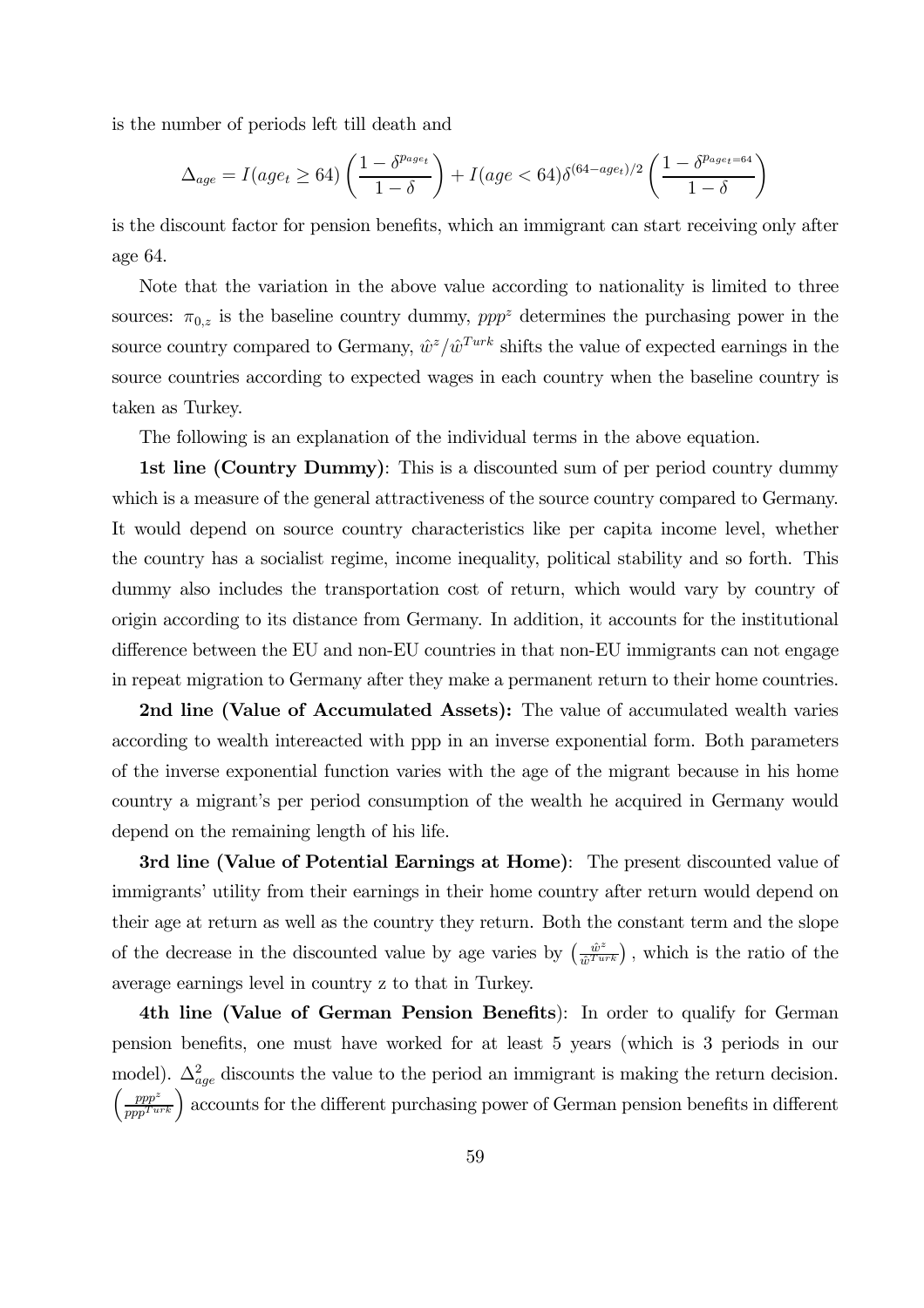is the number of periods left till death and

$$
\Delta_{age} = I(age_t \ge 64) \left( \frac{1 - \delta^{p_{age_t}}}{1 - \delta} \right) + I(age < 64) \delta^{(64 - age_t)/2} \left( \frac{1 - \delta^{p_{age_t = 64}}}{1 - \delta} \right)
$$

is the discount factor for pension benefits, which an immigrant can start receiving only after age 64.

Note that the variation in the above value according to nationality is limited to three sources:  $\pi_{0,z}$  is the baseline country dummy,  $ppp^z$  determines the purchasing power in the source country compared to Germany,  $\hat{w}^z/\hat{w}^{Turk}$  shifts the value of expected earnings in the source countries according to expected wages in each country when the baseline country is taken as Turkey.

The following is an explanation of the individual terms in the above equation.

1st line (Country Dummy): This is a discounted sum of per period country dummy which is a measure of the general attractiveness of the source country compared to Germany. It would depend on source country characteristics like per capita income level, whether the country has a socialist regime, income inequality, political stability and so forth. This dummy also includes the transportation cost of return, which would vary by country of origin according to its distance from Germany. In addition, it accounts for the institutional difference between the EU and non-EU countries in that non-EU immigrants can not engage in repeat migration to Germany after they make a permanent return to their home countries.

2nd line (Value of Accumulated Assets): The value of accumulated wealth varies according to wealth intereacted with ppp in an inverse exponential form. Both parameters of the inverse exponential function varies with the age of the migrant because in his home country a migrant's per period consumption of the wealth he acquired in Germany would depend on the remaining length of his life.

3rd line (Value of Potential Earnings at Home): The present discounted value of immigrants' utility from their earnings in their home country after return would depend on their age at return as well as the country they return. Both the constant term and the slope of the decrease in the discounted value by age varies by  $\left(\frac{\hat{w}^z}{\hat{w}^{Turb}}\right)$ , which is the ratio of the average earnings level in country z to that in Turkey.

4th line (Value of German Pension Benefits): In order to qualify for German pension benefits, one must have worked for at least 5 years (which is 3 periods in our model).  $\Delta_{age}^2$  discounts the value to the period an immigrant is making the return decision.  $\left(\frac{ppp^z}{ppp^{Turk}}\right)$  accounts for the different purchasing power of German pension benefits in different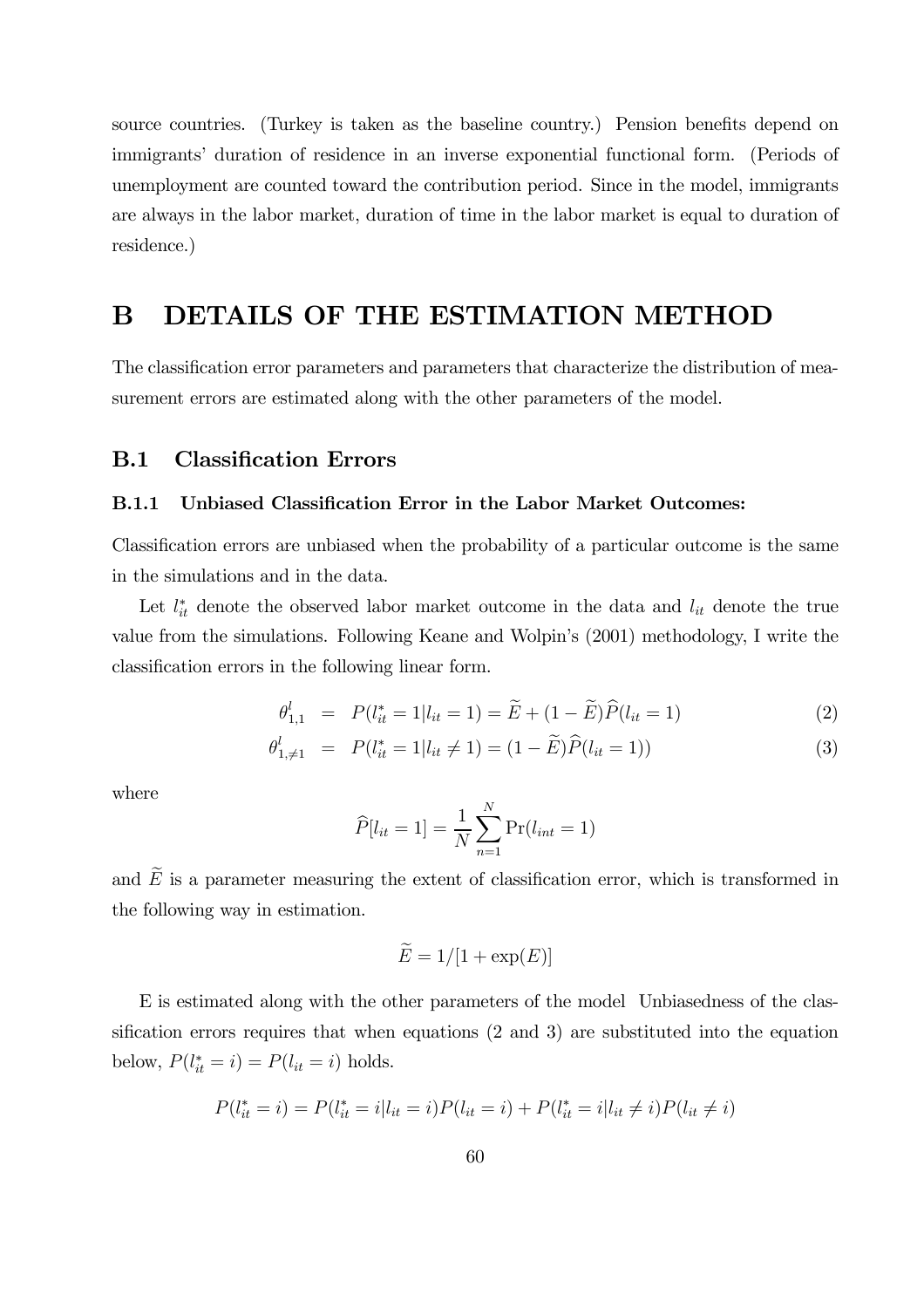source countries. (Turkey is taken as the baseline country.) Pension benefits depend on immigrants' duration of residence in an inverse exponential functional form. (Periods of unemployment are counted toward the contribution period. Since in the model, immigrants are always in the labor market, duration of time in the labor market is equal to duration of residence.)

# B DETAILS OF THE ESTIMATION METHOD

The classification error parameters and parameters that characterize the distribution of measurement errors are estimated along with the other parameters of the model.

### B.1 Classification Errors

### B.1.1 Unbiased Classification Error in the Labor Market Outcomes:

Classification errors are unbiased when the probability of a particular outcome is the same in the simulations and in the data.

Let  $l_{it}^*$  denote the observed labor market outcome in the data and  $l_{it}$  denote the true value from the simulations. Following Keane and Wolpin's (2001) methodology, I write the classification errors in the following linear form.

$$
\theta_{1,1}^l = P(l_{it}^* = 1 | l_{it} = 1) = \widetilde{E} + (1 - \widetilde{E})\widehat{P}(l_{it} = 1)
$$
\n(2)

$$
\theta_{1,\neq 1}^l = P(l_{it}^* = 1 | l_{it} \neq 1) = (1 - \widetilde{E})\widehat{P}(l_{it} = 1))
$$
\n(3)

where

$$
\widehat{P}[l_{it} = 1] = \frac{1}{N} \sum_{n=1}^{N} \Pr(l_{int} = 1)
$$

and  $\widetilde{E}$  is a parameter measuring the extent of classification error, which is transformed in the following way in estimation.

$$
\widetilde{E} = 1/[1 + \exp(E)]
$$

E is estimated along with the other parameters of the model Unbiasedness of the classification errors requires that when equations (2 and 3) are substituted into the equation below,  $P(l_{it}^* = i) = P(l_{it} = i)$  holds.

$$
P(l_{it}^* = i) = P(l_{it}^* = i | l_{it} = i) P(l_{it} = i) + P(l_{it}^* = i | l_{it} \neq i) P(l_{it} \neq i)
$$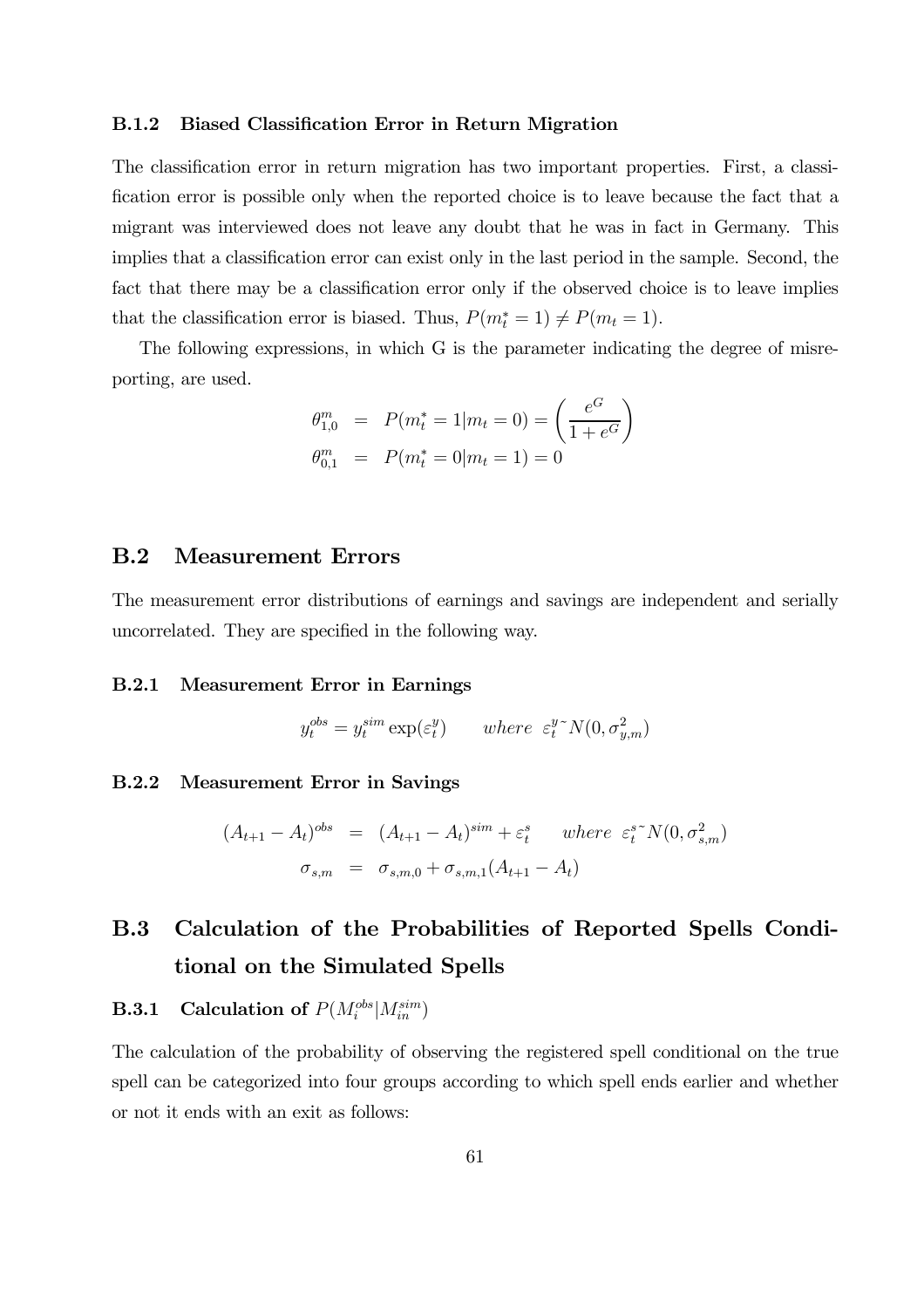### B.1.2 Biased Classification Error in Return Migration

The classification error in return migration has two important properties. First, a classification error is possible only when the reported choice is to leave because the fact that a migrant was interviewed does not leave any doubt that he was in fact in Germany. This implies that a classification error can exist only in the last period in the sample. Second, the fact that there may be a classification error only if the observed choice is to leave implies that the classification error is biased. Thus,  $P(m_t^* = 1) \neq P(m_t = 1)$ .

The following expressions, in which G is the parameter indicating the degree of misreporting, are used.

$$
\theta_{1,0}^m = P(m_t^* = 1 | m_t = 0) = \left(\frac{e^G}{1 + e^G}\right)
$$
  

$$
\theta_{0,1}^m = P(m_t^* = 0 | m_t = 1) = 0
$$

### B.2 Measurement Errors

The measurement error distributions of earnings and savings are independent and serially uncorrelated. They are specified in the following way.

### B.2.1 Measurement Error in Earnings

$$
y_t^{obs} = y_t^{sim} \exp(\varepsilon_t^y) \qquad where \ \ \varepsilon_t^{y \sim} N(0, \sigma_{y,m}^2)
$$

### B.2.2 Measurement Error in Savings

$$
(A_{t+1} - A_t)^{obs} = (A_{t+1} - A_t)^{sim} + \varepsilon_t^s \quad where \quad \varepsilon_t^{s \sim} N(0, \sigma_{s,m}^2)
$$

$$
\sigma_{s,m} = \sigma_{s,m,0} + \sigma_{s,m,1}(A_{t+1} - A_t)
$$

# B.3 Calculation of the Probabilities of Reported Spells Conditional on the Simulated Spells

# **B.3.1** Calculation of  $P(M_i^{obs}|M_{in}^{sim})$

The calculation of the probability of observing the registered spell conditional on the true spell can be categorized into four groups according to which spell ends earlier and whether or not it ends with an exit as follows: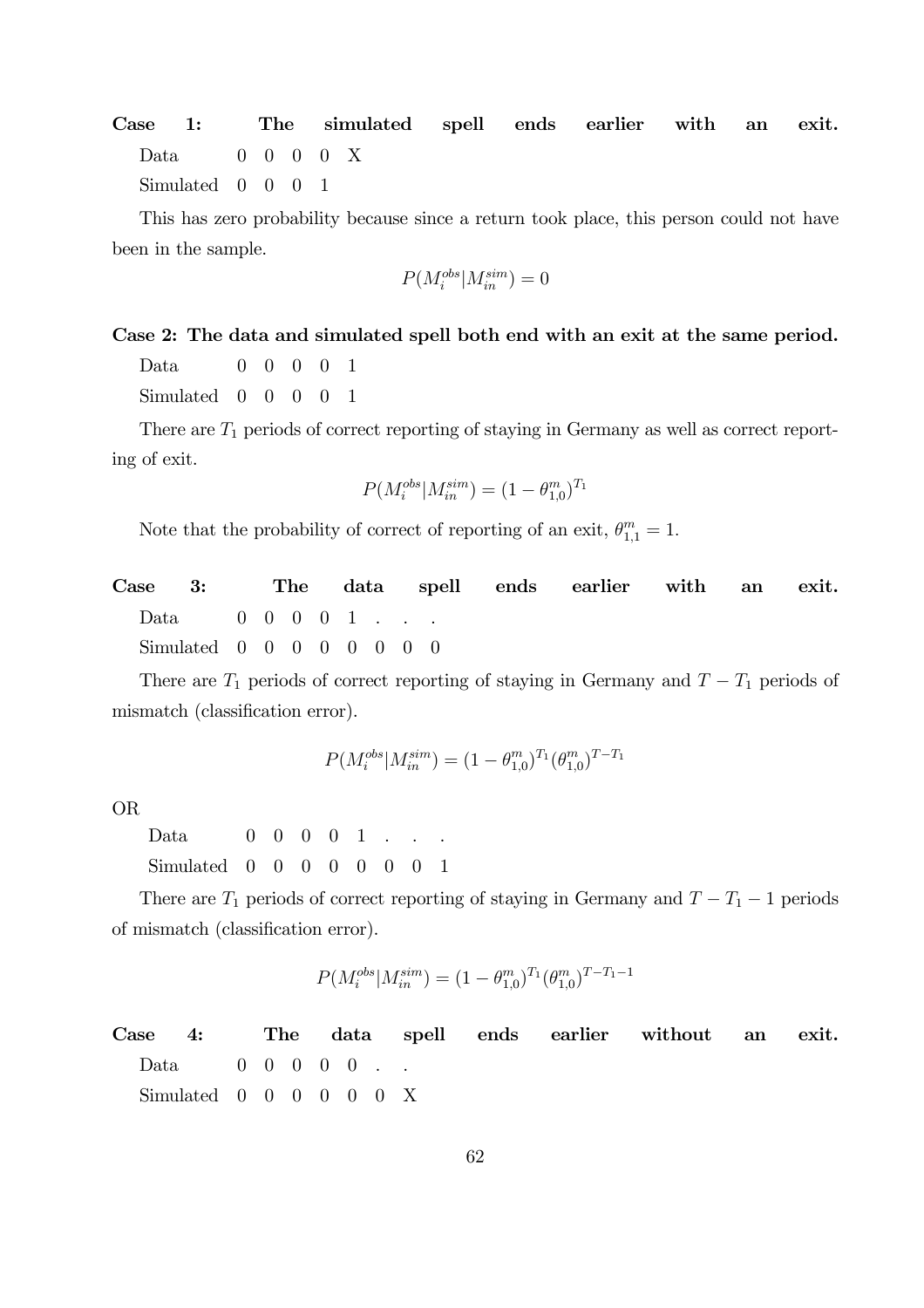Case 1: The simulated spell ends earlier with an exit. Data 0 0 0 0 X Simulated 0 0 0 1

This has zero probability because since a return took place, this person could not have been in the sample.

$$
P(M_i^{obs}|M_{in}^{sim}) = 0
$$

### Case 2: The data and simulated spell both end with an exit at the same period.

Data 0 0 0 0 1

Simulated 0 0 0 0 1

There are  $T_1$  periods of correct reporting of staying in Germany as well as correct reporting of exit.

$$
P(M_i^{obs}|M_{in}^{sim}) = (1 - \theta_{1,0}^m)^{T_1}
$$

Note that the probability of correct of reporting of an exit,  $\theta_{1,1}^m = 1$ .

Case 3: The data spell ends earlier with an exit. Data 0 0 0 0 1 . . . Simulated 0 0 0 0 0 0 0 0 0

There are  $T_1$  periods of correct reporting of staying in Germany and  $T - T_1$  periods of mismatch (classification error).

$$
P(M_i^{obs}|M_{in}^{sim}) = (1 - \theta_{1,0}^m)^{T_1} (\theta_{1,0}^m)^{T - T_1}
$$

OR

Data 0 0 0 0 1 . . Simulated 0 0 0 0 0 0 0 1

There are  $T_1$  periods of correct reporting of staying in Germany and  $T - T_1 - 1$  periods of mismatch (classification error).

$$
P(M_i^{obs}|M_{in}^{sim}) = (1 - \theta_{1,0}^m)^{T_1} (\theta_{1,0}^m)^{T - T_1 - 1}
$$

Case 4: The data spell ends earlier without an exit. Data 0 0 0 0 0 . .  $Simulated \quad 0 \quad 0 \quad 0 \quad 0 \quad 0 \quad 0 \quad X$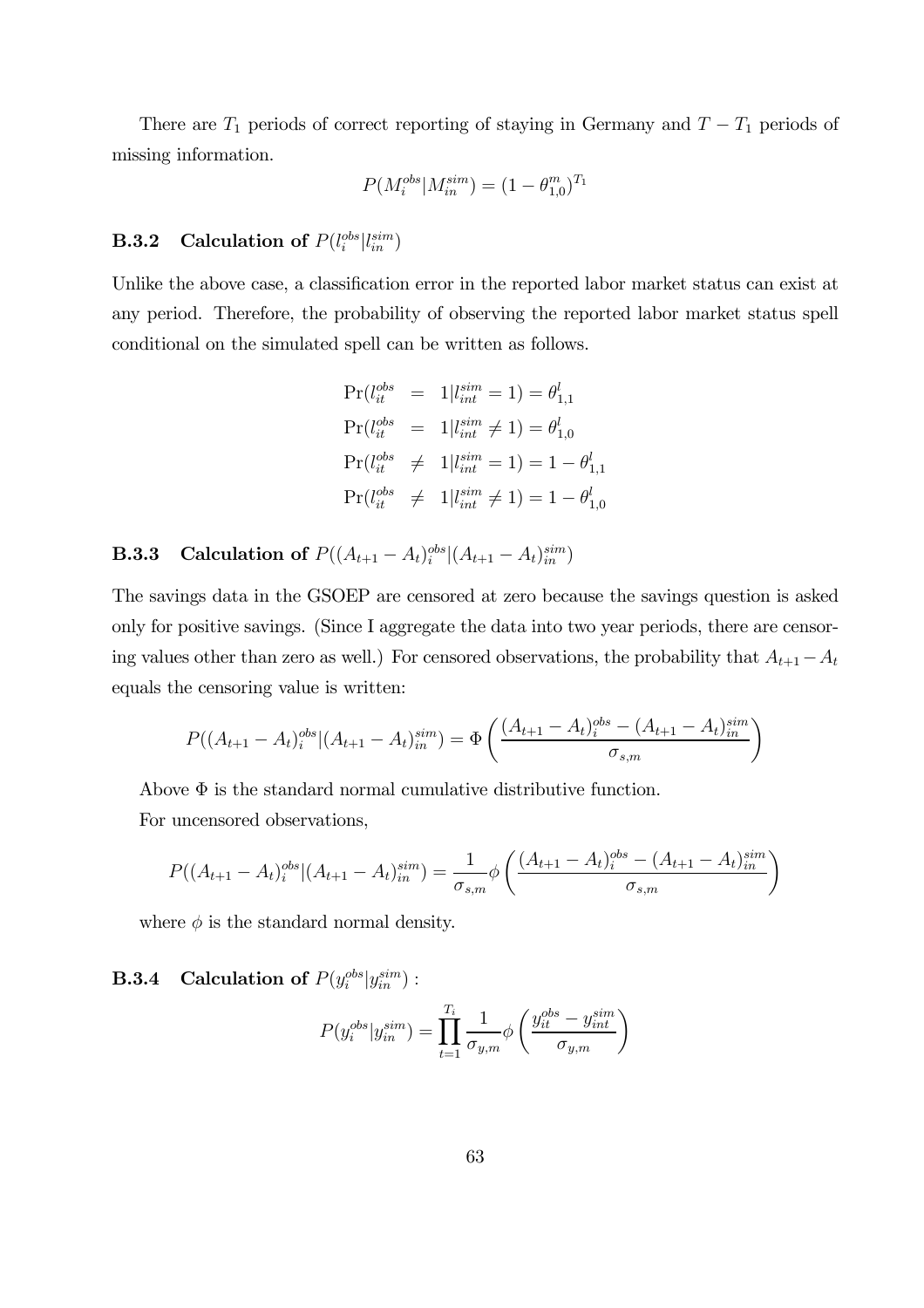There are  $T_1$  periods of correct reporting of staying in Germany and  $T - T_1$  periods of missing information.

$$
P(M_i^{obs}|M_{in}^{sim}) = (1 - \theta_{1,0}^m)^{T_1}
$$

# **B.3.2** Calculation of  $P(l_i^{obs}|l_{in}^{sim})$

Unlike the above case, a classification error in the reported labor market status can exist at any period. Therefore, the probability of observing the reported labor market status spell conditional on the simulated spell can be written as follows.

$$
Pr(l_{it}^{obs} = 1 | l_{int}^{sim} = 1) = \theta_{1,1}^{l}
$$
  
\n
$$
Pr(l_{it}^{obs} = 1 | l_{int}^{sim} \neq 1) = \theta_{1,0}^{l}
$$
  
\n
$$
Pr(l_{it}^{obs} \neq 1 | l_{int}^{sim} = 1) = 1 - \theta_{1,1}^{l}
$$
  
\n
$$
Pr(l_{it}^{obs} \neq 1 | l_{int}^{sim} \neq 1) = 1 - \theta_{1,0}^{l}
$$

**B.3.3** Calculation of  $P((A_{t+1} - A_t)_{i}^{obs}|(A_{t+1} - A_t)_{in}^{sim})$ 

The savings data in the GSOEP are censored at zero because the savings question is asked only for positive savings. (Since I aggregate the data into two year periods, there are censoring values other than zero as well.) For censored observations, the probability that  $A_{t+1}-A_t$ equals the censoring value is written:

$$
P((A_{t+1} - A_t)_{i}^{obs} | (A_{t+1} - A_t)_{in}^{sim}) = \Phi\left(\frac{(A_{t+1} - A_t)_{i}^{obs} - (A_{t+1} - A_t)_{in}^{sim}}{\sigma_{s,m}}\right)
$$

Above  $\Phi$  is the standard normal cumulative distributive function. For uncensored observations,

$$
P((A_{t+1} - A_t)_i^{obs}| (A_{t+1} - A_t)_{in}^{sim}) = \frac{1}{\sigma_{s,m}} \phi \left( \frac{(A_{t+1} - A_t)_i^{obs} - (A_{t+1} - A_t)_{in}^{sim}}{\sigma_{s,m}} \right)
$$

where  $\phi$  is the standard normal density.

# **B.3.4** Calculation of  $P(y_i^{obs}|y_{in}^{sim})$ :

$$
P(y_i^{obs}|y_{in}^{sim}) = \prod_{t=1}^{T_i} \frac{1}{\sigma_{y,m}} \phi\left(\frac{y_{it}^{obs} - y_{int}^{sim}}{\sigma_{y,m}}\right)
$$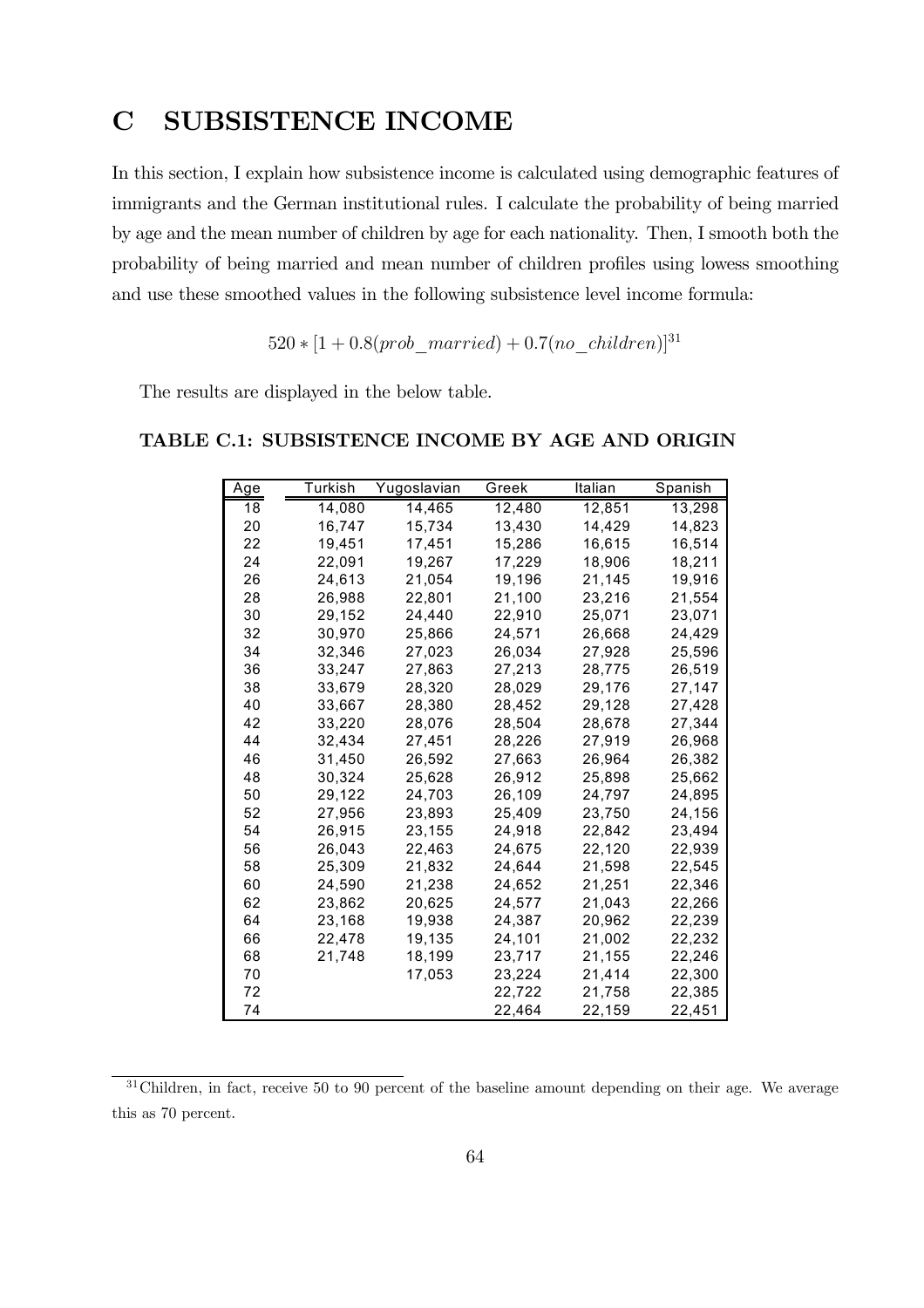# C SUBSISTENCE INCOME

In this section, I explain how subsistence income is calculated using demographic features of immigrants and the German institutional rules. I calculate the probability of being married by age and the mean number of children by age for each nationality. Then, I smooth both the probability of being married and mean number of children profiles using lowess smoothing and use these smoothed values in the following subsistence level income formula:

 $520 * [1 + 0.8(prob\_married) + 0.7(no\_children)]^{31}$ 

The results are displayed in the below table.

| Age | Turkish | Yugoslavian | Greek  | Italian | Spanish |
|-----|---------|-------------|--------|---------|---------|
| 18  | 14,080  | 14,465      | 12,480 | 12,851  | 13,298  |
| 20  | 16,747  | 15,734      | 13,430 | 14,429  | 14,823  |
| 22  | 19,451  | 17,451      | 15,286 | 16,615  | 16,514  |
| 24  | 22,091  | 19,267      | 17,229 | 18,906  | 18,211  |
| 26  | 24,613  | 21,054      | 19,196 | 21,145  | 19,916  |
| 28  | 26,988  | 22,801      | 21,100 | 23,216  | 21,554  |
| 30  | 29,152  | 24,440      | 22,910 | 25,071  | 23,071  |
| 32  | 30,970  | 25,866      | 24,571 | 26,668  | 24,429  |
| 34  | 32,346  | 27,023      | 26,034 | 27,928  | 25,596  |
| 36  | 33,247  | 27,863      | 27,213 | 28,775  | 26,519  |
| 38  | 33,679  | 28,320      | 28,029 | 29,176  | 27,147  |
| 40  | 33,667  | 28,380      | 28,452 | 29,128  | 27,428  |
| 42  | 33,220  | 28,076      | 28,504 | 28,678  | 27,344  |
| 44  | 32.434  | 27,451      | 28,226 | 27,919  | 26,968  |
| 46  | 31,450  | 26,592      | 27,663 | 26,964  | 26,382  |
| 48  | 30,324  | 25,628      | 26,912 | 25,898  | 25,662  |
| 50  | 29,122  | 24,703      | 26,109 | 24,797  | 24,895  |
| 52  | 27,956  | 23,893      | 25,409 | 23,750  | 24,156  |
| 54  | 26,915  | 23,155      | 24,918 | 22,842  | 23,494  |
| 56  | 26,043  | 22,463      | 24,675 | 22,120  | 22,939  |
| 58  | 25,309  | 21,832      | 24,644 | 21,598  | 22,545  |
| 60  | 24,590  | 21,238      | 24,652 | 21,251  | 22,346  |
| 62  | 23,862  | 20,625      | 24,577 | 21,043  | 22,266  |
| 64  | 23,168  | 19,938      | 24,387 | 20.962  | 22,239  |
| 66  | 22,478  | 19,135      | 24,101 | 21,002  | 22,232  |
| 68  | 21,748  | 18,199      | 23,717 | 21,155  | 22,246  |
| 70  |         | 17,053      | 23,224 | 21,414  | 22,300  |
| 72  |         |             | 22,722 | 21,758  | 22,385  |
| 74  |         |             | 22,464 | 22,159  | 22,451  |

### TABLE C.1: SUBSISTENCE INCOME BY AGE AND ORIGIN

<sup>&</sup>lt;sup>31</sup>Children, in fact, receive 50 to 90 percent of the baseline amount depending on their age. We average this as 70 percent.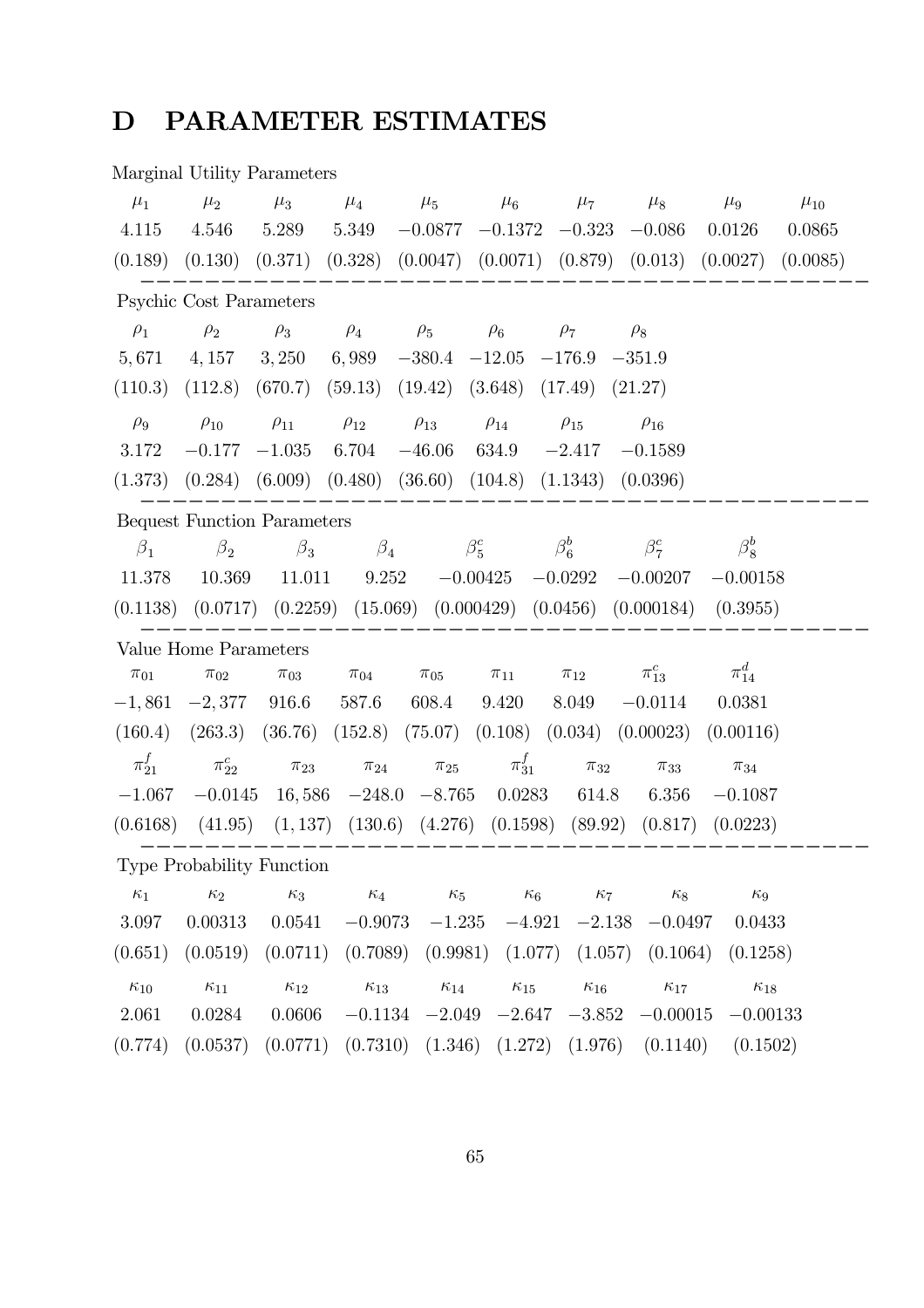# D PARAMETER ESTIMATES

# Marginal Utility Parameters

| $\mu_1$       | $\mu_2$                            | $\mu_3$       | $\mu_4$       | $\mu_5$       | $\mu_6$                                   | $\mu_7$       | $\mu_8$                                                               | $\mu_{9}$     | $\mu_{10}$ |
|---------------|------------------------------------|---------------|---------------|---------------|-------------------------------------------|---------------|-----------------------------------------------------------------------|---------------|------------|
| 4.115         | 4.546                              | 5.289         | 5.349         | $-0.0877$     | $-0.1372$                                 | $-0.323$      | $-0.086$                                                              | 0.0126        | 0.0865     |
| (0.189)       | (0.130)                            | (0.371)       | (0.328)       |               | $(0.0047)$ $(0.0071)$ $(0.879)$ $(0.013)$ |               |                                                                       | (0.0027)      | (0.0085)   |
|               | Psychic Cost Parameters            |               |               |               |                                           |               |                                                                       |               |            |
| $\rho_1$      | $\rho_2$                           | $\rho_3$      | $\rho_4$      | $\rho_5$      | $\rho_6$                                  | $\rho_7$      | $\rho_8$                                                              |               |            |
| 5,671         | 4,157                              | 3,250         | 6,989         | $-380.4$      | $-12.05$                                  | $-176.9$      | $-351.9$                                                              |               |            |
| (110.3)       | (112.8)                            | (670.7)       | (59.13)       | (19.42)       | (3.648)                                   | (17.49)       | (21.27)                                                               |               |            |
| $\rho_9$      | $\rho_{10}$                        | $\rho_{11}$   | $\rho_{12}$   | $\rho_{13}$   | $\rho_{14}$                               | $\rho_{15}$   | $\rho_{16}$                                                           |               |            |
| 3.172         | $-0.177$                           | $-1.035$      | 6.704         | $-46.06$      | 634.9                                     | $-2.417$      | $-0.1589$                                                             |               |            |
| (1.373)       | (0.284)                            | (6.009)       | (0.480)       | (36.60)       | (104.8)                                   | (1.1343)      | (0.0396)                                                              |               |            |
|               | <b>Bequest Function Parameters</b> |               |               |               |                                           |               |                                                                       |               |            |
| $\beta_1$     | $\beta_2$                          | $\beta_3$     | $\beta_4$     |               | $\beta_5^c$                               | $\beta_6^b$   | $\beta_7^c$                                                           | $\beta_8^b$   |            |
| 11.378        | 10.369                             | 11.011        | 9.252         |               | $-0.00425$                                | $-0.0292$     | $-0.00207$                                                            | $-0.00158$    |            |
| (0.1138)      |                                    |               |               |               |                                           |               | $(0.0717)$ $(0.2259)$ $(15.069)$ $(0.000429)$ $(0.0456)$ $(0.000184)$ | (0.3955)      |            |
|               | Value Home Parameters              |               |               |               |                                           |               |                                                                       |               |            |
| $\pi_{01}$    | $\pi_{02}$                         | $\pi_{03}$    | $\pi_{04}$    | $\pi_{05}$    | $\pi_{11}$                                | $\pi_{12}$    | $\pi_{13}^c$                                                          | $\pi^d_{14}$  |            |
| $-1,861$      | $-2,377$                           | 916.6         | 587.6         | 608.4         | 9.420                                     | 8.049         | $-0.0114$                                                             | 0.0381        |            |
| (160.4)       | (263.3)                            | (36.76)       | (152.8)       | (75.07)       | (0.108)                                   | (0.034)       | (0.00023)                                                             | (0.00116)     |            |
| $\pi^f_{21}$  | $\pi^c_{22}$                       | $\pi_{23}$    | $\pi_{24}$    | $\pi_{25}$    | $\pi^f_{31}$                              | $\pi_{32}$    | $\pi_{33}$                                                            | $\pi_{34}$    |            |
| $-1.067$      | $-0.0145$                          | 16,586        | $-248.0$      | $-8.765$      | 0.0283                                    | 614.8         | 6.356                                                                 | $-0.1087$     |            |
| (0.6168)      | (41.95)                            | (1, 137)      | (130.6)       | (4.276)       | (0.1598)                                  | (89.92)       | (0.817)                                                               | (0.0223)      |            |
|               | <b>Type Probability Function</b>   |               |               |               |                                           |               |                                                                       |               |            |
| $\kappa_1$    | $\kappa_2$                         | $\kappa_3$    | $\kappa_4$    | $\kappa_5$    | $\kappa_6$                                | $\kappa_7$    | $\kappa_8$                                                            | $\kappa_9$    |            |
| 3.097         | 0.00313                            | 0.0541        | $-0.9073$     | $-1.235$      | $-4.921$                                  | $-2.138$      | $-0.0497$                                                             | 0.0433        |            |
|               |                                    |               |               |               |                                           |               |                                                                       |               |            |
| (0.651)       | (0.0519)                           | (0.0711)      | (0.7089)      | (0.9981)      | (1.077)                                   | (1.057)       | (0.1064)                                                              | (0.1258)      |            |
| $\kappa_{10}$ | $\kappa_{11}$                      | $\kappa_{12}$ | $\kappa_{13}$ | $\kappa_{14}$ | $\kappa_{15}$                             | $\kappa_{16}$ | $\kappa_{17}$                                                         | $\kappa_{18}$ |            |
| 2.061         | 0.0284                             | 0.0606        | $-0.1134$     | $-2.049$      | $-2.647$                                  | $-3.852$      | $-0.00015$                                                            | $-0.00133$    |            |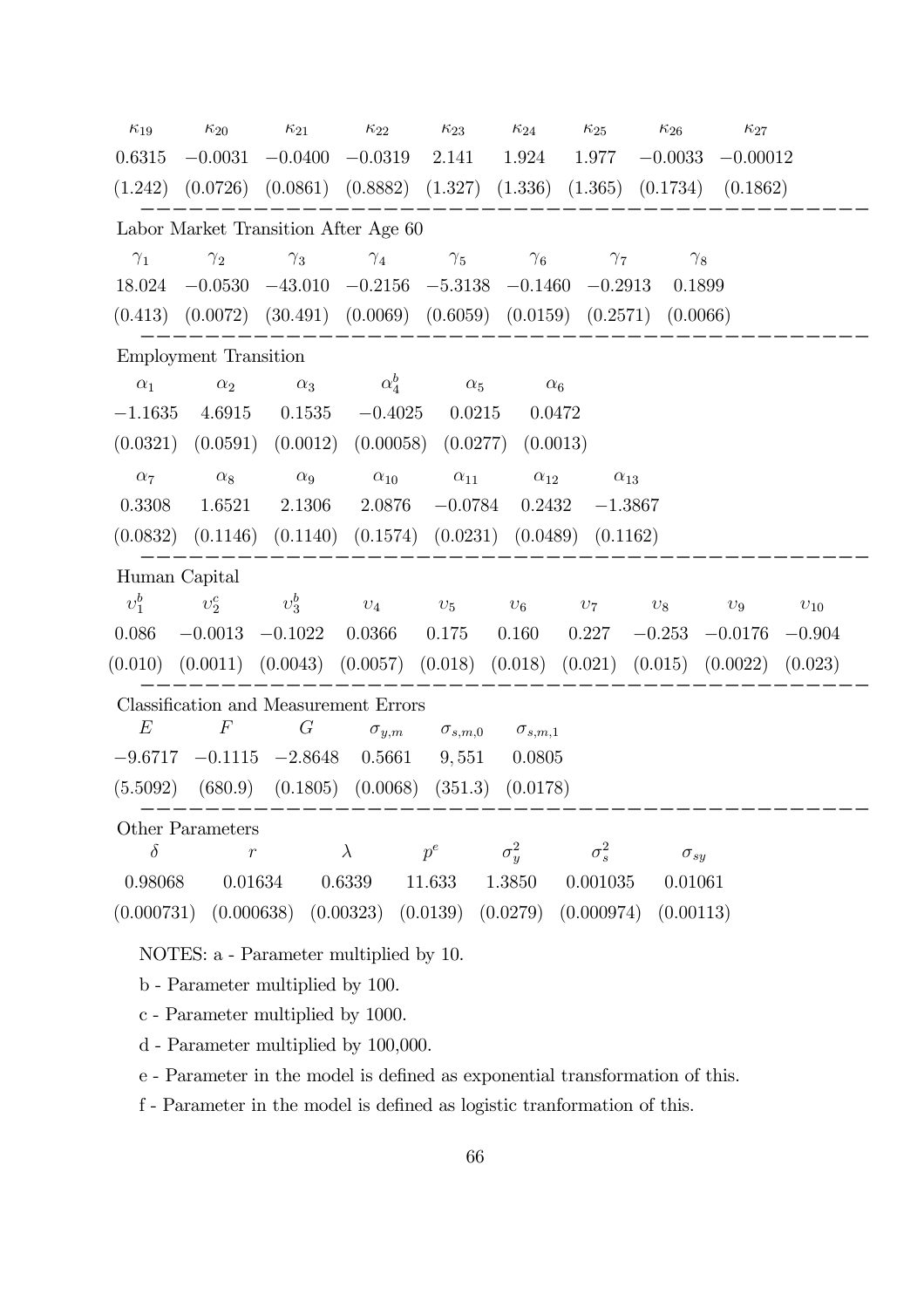| $\kappa_{19}$ | $\kappa_{20}$                | $\kappa_{21}$                                                     | $\kappa_{22}$        | $\kappa_{23}$    | $\kappa_{24}$    | $\kappa_{25}$ | $\kappa_{26}$        | $\kappa_{27}$ |          |
|---------------|------------------------------|-------------------------------------------------------------------|----------------------|------------------|------------------|---------------|----------------------|---------------|----------|
| 0.6315        | $-0.0031$                    | $-0.0400$                                                         | $-0.0319$            | 2.141            | 1.924            | 1.977         | $-0.0033$            | $-0.00012$    |          |
| (1.242)       |                              | $(0.0726)$ $(0.0861)$ $(0.8882)$ $(1.327)$                        |                      |                  | (1.336)          |               | $(1.365)$ $(0.1734)$ | (0.1862)      |          |
|               |                              | Labor Market Transition After Age 60                              |                      |                  |                  |               |                      |               |          |
| $\gamma_1$    | $\gamma_2$                   | $\gamma_3$                                                        | $\gamma_4$           | $\gamma_5$       | $\gamma_6$       | $\gamma_7$    | $\gamma_8$           |               |          |
| 18.024        | $-0.0530$                    | $-43.010$ $-0.2156$ $-5.3138$ $-0.1460$                           |                      |                  |                  | $-0.2913$     | 0.1899               |               |          |
| (0.413)       |                              | $(0.0072)$ $(30.491)$ $(0.0069)$ $(0.6059)$ $(0.0159)$ $(0.2571)$ |                      |                  |                  |               | (0.0066)             |               |          |
|               | <b>Employment Transition</b> |                                                                   |                      |                  |                  |               |                      |               |          |
| $\alpha_1$    | $\alpha_2$                   | $\alpha_3$                                                        | $\alpha_4^b$         | $\alpha_5$       | $\alpha_6$       |               |                      |               |          |
| $-1.1635$     | 4.6915                       | 0.1535                                                            | $-0.4025$            | 0.0215           | 0.0472           |               |                      |               |          |
| (0.0321)      | (0.0591)                     | (0.0012)                                                          | (0.00058)            | (0.0277)         | (0.0013)         |               |                      |               |          |
| $\alpha_7$    | $\alpha_8$                   | $\alpha_9$                                                        | $\alpha_{10}$        | $\alpha_{11}$    | $\alpha_{12}$    | $\alpha_{13}$ |                      |               |          |
| 0.3308        | 1.6521                       | 2.1306                                                            | 2.0876               | $-0.0784$        | 0.2432           | $-1.3867$     |                      |               |          |
| (0.0832)      | (0.1146)                     | (0.1140)                                                          | (0.1574)             | (0.0231)         | (0.0489)         | (0.1162)      |                      |               |          |
| Human Capital |                              |                                                                   |                      |                  |                  |               |                      |               |          |
| $v_1^b$       | $v_2^c$                      | $v_3^b$                                                           | $v_4$                | $v_5$            | $v_6$            | $v_7$         | $v_8$                | $v_9$         | $v_{10}$ |
| 0.086         | $-0.0013$                    | $-0.1022$                                                         | 0.0366               | 0.175            | 0.160            | 0.227         | $-0.253$             | $-0.0176$     | $-0.904$ |
| (0.010)       | (0.0011)                     | (0.0043)                                                          | $(0.0057)$ $(0.018)$ |                  | (0.018)          | (0.021)       | (0.015)              | (0.0022)      | (0.023)  |
|               |                              | Classification and Measurement Errors                             |                      |                  |                  |               |                      |               |          |
| E             | $\,F$                        | $\,G$                                                             | $\sigma_{y,m}$       | $\sigma_{s,m,0}$ | $\sigma_{s,m,1}$ |               |                      |               |          |
| $-9.6717$     | $-0.1115$                    | $-2.8648$                                                         | 0.5661               | 9,551            | 0.0805           |               |                      |               |          |
| (5.5092)      | (680.9)                      | (0.1805)                                                          | (0.0068)             | (351.3)          | (0.0178)         |               |                      |               |          |
|               | Other Parameters             |                                                                   |                      |                  |                  |               |                      |               |          |
| $\delta$      | $\overline{r}$               |                                                                   | $\lambda$            | $p^e$            | $\sigma_y^2$     | $\sigma_s^2$  | $\sigma_{sy}$        |               |          |
| 0.98068       | 0.01634                      |                                                                   | 0.6339               | 11.633           | 1.3850           | 0.001035      | 0.01061              |               |          |
| (0.000731)    | (0.000638)                   |                                                                   | (0.00323)            | (0.0139)         | (0.0279)         | (0.000974)    | (0.00113)            |               |          |

NOTES: a - Parameter multiplied by 10.

b - Parameter multiplied by 100.

c - Parameter multiplied by 1000.

d - Parameter multiplied by 100,000.

e - Parameter in the model is defined as exponential transformation of this.

f - Parameter in the model is defined as logistic tranformation of this.